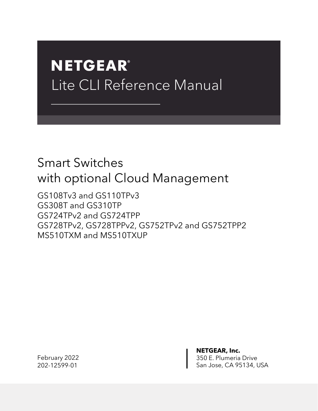# **NETGEAR®** Lite CLI Reference Manual

## Smart Switches with optional Cloud Management

GS108Tv3 and GS110TPv3 GS308T and GS310TP GS724TPv2 and GS724TPP GS728TPv2, GS728TPPv2, GS752TPv2 and GS752TPP2 MS510TXM and MS510TXUP

February 2022 202-12599-01

**NETGEAR, Inc.** 350 E. Plumeria Drive San Jose, CA 95134, USA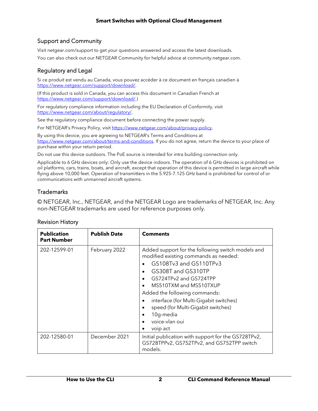#### Support and Community

Visi[t netgear.com/support](https://www.netgear.com/support/) to get your questions answered and access the latest downloads. You can also check out our NETGEAR Community for helpful advice a[t community.netgear.com.](https://community.netgear.com/)

#### Regulatory and Legal

Si ce produit est vendu au Canada, vous pouvez accéder à ce document en français canadien à [https://www.netgear.com/support/download/.](https://www.netgear.com/support/download/)

(If this product is sold in Canada, you can access this document in Canadian French at [https://www.netgear.com/support/download/.\)](https://www.netgear.com/support/download/)

For regulatory compliance information including the EU Declaration of Conformity, visit [https://www.netgear.com/about/regulatory/.](https://www.netgear.com/about/regulatory/)

See the regulatory compliance document before connecting the power supply.

For NETGEAR's Privacy Policy, visi[t https://www.netgear.com/about/privacy-policy.](https://www.netgear.com/about/privacy-policy)

By using this device, you are agreeing to NETGEAR's Terms and Conditions at [https://www.netgear.com/about/terms-and-conditions.](https://www.netgear.com/about/terms-and-conditions) If you do not agree, return the device to your place of purchase within your return period.

Do not use this device outdoors. The PoE source is intended for intra building connection only.

Applicable to 6 GHz devices only: Only use the device indoors. The operation of 6 GHz devices is prohibited on oil platforms, cars, trains, boats, and aircraft, except that operation of this device is permitted in large aircraft while flying above 10,000 feet. Operation of transmitters in the 5.925-7.125 GHz band is prohibited for control of or communications with unmanned aircraft systems.

#### **Trademarks**

© NETGEAR, Inc., NETGEAR, and the NETGEAR Logo are trademarks of NETGEAR, Inc. Any non-NETGEAR trademarks are used for reference purposes only.

#### Revision History

| <b>Publication</b><br><b>Part Number</b> | <b>Publish Date</b> | <b>Comments</b>                                                                                                                                                                                                                                                                                                                                                                                                  |
|------------------------------------------|---------------------|------------------------------------------------------------------------------------------------------------------------------------------------------------------------------------------------------------------------------------------------------------------------------------------------------------------------------------------------------------------------------------------------------------------|
| 202-12599-01                             | February 2022       | Added support for the following switch models and<br>modified existing commands as needed:<br>GS108Tv3 and GS110TPv3<br>GS308T and GS310TP<br>$\bullet$<br>GS724TPv2 and GS724TPP<br>$\bullet$<br>MS510TXM and MS510TXUP<br>$\bullet$<br>Added the following commands:<br>interface (for Multi-Gigabit switches)<br>speed (for Multi-Gigabit switches)<br>٠<br>10g-media<br>٠<br>voice-vlan oui<br>voip act<br>٠ |
| 202-12580-01                             | December 2021       | Initial publication with support for the GS728TPv2,<br>GS728TPPv2, GS752TPv2, and GS752TPP switch<br>models.                                                                                                                                                                                                                                                                                                     |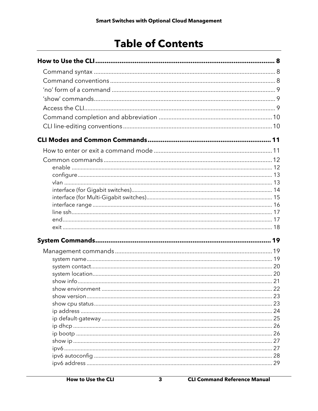## **Table of Contents**

| 22 |
|----|
|    |
|    |
|    |
|    |
|    |
|    |
|    |
|    |
|    |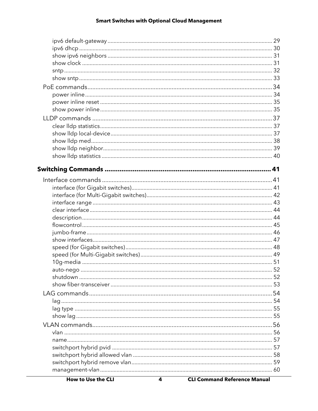| auto-nego | 52 |
|-----------|----|
|           |    |
|           |    |
|           |    |
|           |    |
|           |    |
|           |    |
|           |    |
|           |    |
|           |    |
|           |    |
|           |    |
|           |    |
|           |    |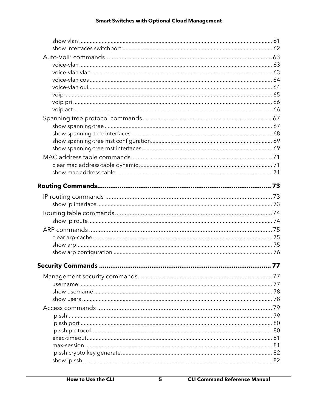| 77 |
|----|
|    |
|    |
|    |
|    |
|    |
|    |
|    |
|    |
|    |
|    |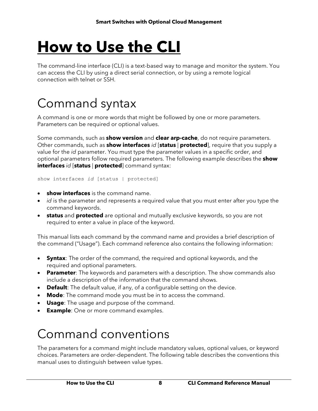# <span id="page-7-0"></span>**How to Use the CLI**

The command-line interface (CLI) is a text-based way to manage and monitor the system. You can access the CLI by using a direct serial connection, or by using a remote logical connection with telnet or SSH.

## <span id="page-7-1"></span>Command syntax

A command is one or more words that might be followed by one or more parameters. Parameters can be required or optional values.

Some commands, such as **show version** and **clear arp-cache**, do not require parameters. Other commands, such as **show interfaces** *id* [**status** | **protected**], require that you supply a value for the *id* parameter. You must type the parameter values in a specific order, and optional parameters follow required parameters. The following example describes the **show interfaces** *id* [**status** | **protected**] command syntax:

show interfaces *id* [status | protected]

- **show interfaces** is the command name.
- *id* is the parameter and represents a required value that you must enter after you type the command keywords.
- **status** and **protected** are optional and mutually exclusive keywords, so you are not required to enter a value in place of the keyword.

This manual lists each command by the command name and provides a brief description of the command ("Usage"). Each command reference also contains the following information:

- **Syntax**: The order of the command, the required and optional keywords, and the required and optional parameters.
- **Parameter**: The keywords and parameters with a description. The show commands also include a description of the information that the command shows.
- **Default**: The default value, if any, of a configurable setting on the device.
- **Mode**: The command mode you must be in to access the command.
- **Usage**: The usage and purpose of the command.
- <span id="page-7-2"></span>• **Example**: One or more command examples.

## Command conventions

The parameters for a command might include mandatory values, optional values, or keyword choices. Parameters are order-dependent. The following table describes the conventions this manual uses to distinguish between value types.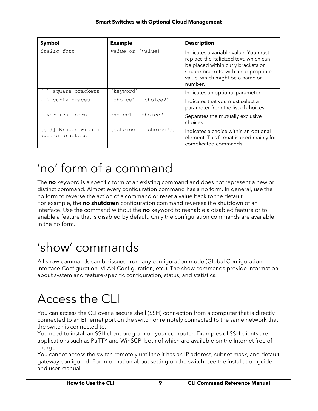| Symbol                           | <b>Example</b>                                      | <b>Description</b>                                                                                                                                                                                         |
|----------------------------------|-----------------------------------------------------|------------------------------------------------------------------------------------------------------------------------------------------------------------------------------------------------------------|
| italic font                      | value or [value]                                    | Indicates a variable value. You must<br>replace the italicized text, which can<br>be placed within curly brackets or<br>square brackets, with an appropriate<br>value, which might be a name or<br>number. |
| square brackets                  | [keyword]                                           | Indicates an optional parameter.                                                                                                                                                                           |
| curly braces                     | {choice1  <br>choice2}                              | Indicates that you must select a<br>parameter from the list of choices.                                                                                                                                    |
| Vertical bars                    | choice1  <br>choice2                                | Separates the mutually exclusive<br>choices.                                                                                                                                                               |
| Braces within<br>square brackets | $[{choice1}     \n    choice1     \n    choice2} ]$ | Indicates a choice within an optional<br>element. This format is used mainly for<br>complicated commands.                                                                                                  |

## <span id="page-8-0"></span>'no' form of a command

The **no** keyword is a specific form of an existing command and does not represent a new or distinct command. Almost every configuration command has a no form. In general, use the no form to reverse the action of a command or reset a value back to the default. For example, the **no shutdown** configuration command reverses the shutdown of an interface. Use the command without the **no** keyword to reenable a disabled feature or to enable a feature that is disabled by default. Only the configuration commands are available in the no form.

## <span id="page-8-1"></span>'show' commands

All show commands can be issued from any configuration mode (Global Configuration, Interface Configuration, VLAN Configuration, etc.). The show commands provide information about system and feature-specific configuration, status, and statistics.

## <span id="page-8-2"></span>Access the CLI

You can access the CLI over a secure shell (SSH) connection from a computer that is directly connected to an Ethernet port on the switch or remotely connected to the same network that the switch is connected to.

You need to install an SSH client program on your computer. Examples of SSH clients are applications such as PuTTY and WinSCP, both of which are available on the Internet free of charge.

You cannot access the switch remotely until the it has an IP address, subnet mask, and default gateway configured. For information about setting up the switch, see the installation guide and user manual.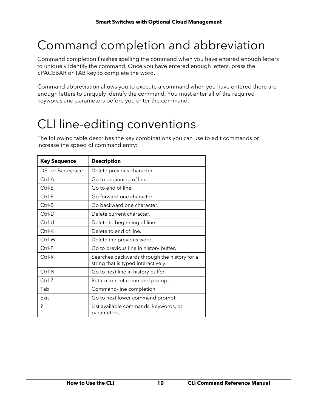## <span id="page-9-0"></span>Command completion and abbreviation

Command completion finishes spelling the command when you have entered enough letters to uniquely identify the command. Once you have entered enough letters, press the SPACEBAR or TAB key to complete the word.

Command abbreviation allows you to execute a command when you have entered there are enough letters to uniquely identify the command. You must enter all of the required keywords and parameters before you enter the command.

## <span id="page-9-1"></span>CLI line-editing conventions

The following table describes the key combinations you can use to edit commands or increase the speed of command entry:

| <b>Key Sequence</b> | <b>Description</b>                                                                  |
|---------------------|-------------------------------------------------------------------------------------|
| DEL or Backspace    | Delete previous character.                                                          |
| Ctrl-A              | Go to beginning of line.                                                            |
| Ctrl-E              | Go to end of line.                                                                  |
| Ctrl-F              | Go forward one character.                                                           |
| Ctrl-B              | Go backward one character.                                                          |
| Ctrl-D              | Delete current character.                                                           |
| Ctrl-U              | Delete to beginning of line.                                                        |
| Ctrl-K              | Delete to end of line.                                                              |
| Ctrl-W              | Delete the previous word.                                                           |
| Ctrl-P              | Go to previous line in history buffer.                                              |
| Ctrl-R              | Searches backwards through the history for a<br>string that is typed interactively. |
| Ctrl-N              | Go to next line in history buffer.                                                  |
| Ctrl-Z              | Return to root command prompt.                                                      |
| Tab                 | Command-line completion.                                                            |
| Exit                | Go to next lower command prompt.                                                    |
| ?                   | List available commands, keywords, or<br>parameters.                                |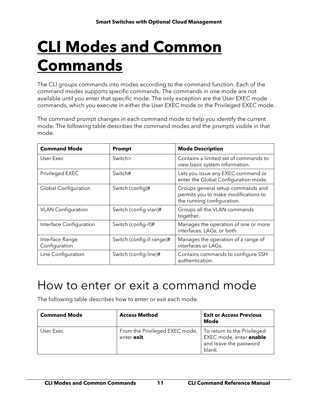# <span id="page-10-0"></span>**CLI Modes and Common Commands**

The CLI groups commands into modes according to the command function. Each of the command modes supports specific commands. The commands in one mode are not available until you enter that specific mode. The only exception are the User EXEC mode commands, which you execute in either the User EXEC mode or the Privileged EXEC mode.

The command prompt changes in each command mode to help you identify the current mode. The following table describes the command modes and the prompts visible in that mode.

| <b>Command Mode</b>              | <b>Prompt</b>             | <b>Mode Description</b>                                                                                 |
|----------------------------------|---------------------------|---------------------------------------------------------------------------------------------------------|
| User Exec                        | Switch>                   | Contains a limited set of commands to<br>view basic system information.                                 |
| Privileged EXEC                  | Switch#                   | Lets you issue any EXEC command or<br>enter the Global Configuration mode.                              |
| <b>Global Configuration</b>      | Switch (config)#          | Groups general setup commands and<br>permits you to make modifications to<br>the running configuration. |
| <b>VLAN</b> Configuration        | Switch (config-vlan)#     | Groups all the VLAN commands<br>together.                                                               |
| Interface Configuration          | Switch (config-if)#       | Manages the operation of one or more<br>interfaces, LAGs, or both.                                      |
| Interface Range<br>Configuration | Switch (config-if-range)# | Manages the operation of a range of<br>interfaces or LAGs.                                              |
| Line Configuration               | Switch (config-line)#     | Contains commands to configure SSH<br>authentication.                                                   |

## <span id="page-10-1"></span>How to enter or exit a command mode

The following table describes how to enter or exit each mode.

| <b>Command Mode</b> | <b>Access Method</b>                          | <b>Exit or Access Previous</b><br>Mode                                                     |
|---------------------|-----------------------------------------------|--------------------------------------------------------------------------------------------|
| User Exec           | From the Privileged EXEC mode,<br>enter exit. | To return to the Privileged<br>EXEC mode, enter enable<br>and leave the password<br>blank. |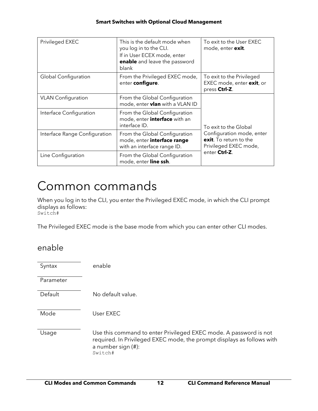| Privileged EXEC               | This is the default mode when<br>you log in to the CLI.<br>If in User ECEX mode, enter<br>enable and leave the password<br>blank | To exit to the User EXEC<br>mode, enter exit.                                |
|-------------------------------|----------------------------------------------------------------------------------------------------------------------------------|------------------------------------------------------------------------------|
| Global Configuration          | From the Privileged EXEC mode,<br>enter configure.                                                                               | To exit to the Privileged<br>EXEC mode, enter exit, or<br>press Ctrl-Z.      |
| <b>VLAN</b> Configuration     | From the Global Configuration<br>mode, enter <b>vlan</b> with a VLAN ID                                                          |                                                                              |
| Interface Configuration       | From the Global Configuration<br>mode, enter <i>interface</i> with an<br>interface ID.                                           | To exit to the Global                                                        |
| Interface Range Configuration | From the Global Configuration<br>mode, enter interface range<br>with an interface range ID.                                      | Configuration mode, enter<br>exit. To return to the<br>Privileged EXEC mode, |
| Line Configuration            | From the Global Configuration<br>mode, enter line ssh.                                                                           | enter Ctrl-Z.                                                                |

## <span id="page-11-0"></span>Common commands

When you log in to the CLI, you enter the Privileged EXEC mode, in which the CLI prompt displays as follows: Switch#

<span id="page-11-1"></span>The Privileged EXEC mode is the base mode from which you can enter other CLI modes.

### enable

Syntax enable

Parameter

Default No default value.

Mode User EXEC

Usage Use this command to enter Privileged EXEC mode. A password is not required. In Privileged EXEC mode, the prompt displays as follows with a number sign (#): Switch#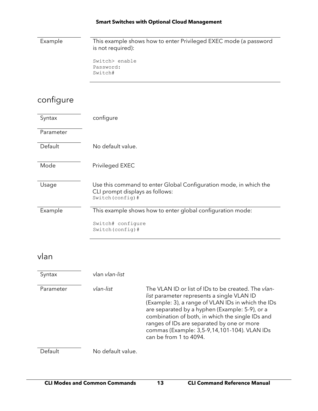Example This example shows how to enter Privileged EXEC mode (a password is not required):

> Switch> enable Password: Switch#

## <span id="page-12-0"></span>configure

| Syntax    | configure                                                                                                                 |
|-----------|---------------------------------------------------------------------------------------------------------------------------|
| Parameter |                                                                                                                           |
| Default   | No default value.                                                                                                         |
| Mode      | Privileged EXEC                                                                                                           |
| Usage     | Use this command to enter Global Configuration mode, in which the<br>CLI prompt displays as follows:<br>Switch (config) # |
| Example   | This example shows how to enter global configuration mode:                                                                |
|           | Switch# configure<br>$Switch(config)$ #                                                                                   |

### <span id="page-12-1"></span>vlan

| Syntax    | vlan vlan-list    |                                                                                                                                                                                                                                                                                                                                                                                       |
|-----------|-------------------|---------------------------------------------------------------------------------------------------------------------------------------------------------------------------------------------------------------------------------------------------------------------------------------------------------------------------------------------------------------------------------------|
| Parameter | vlan-list         | The VLAN ID or list of IDs to be created. The vlan-<br>list parameter represents a single VLAN ID<br>(Example: 3), a range of VLAN IDs in which the IDs<br>are separated by a hyphen (Example: 5-9), or a<br>combination of both, in which the single IDs and<br>ranges of IDs are separated by one or more<br>commas (Example: 3,5-9,14,101-104). VLAN IDs<br>can be from 1 to 4094. |
| Detault   | No default value. |                                                                                                                                                                                                                                                                                                                                                                                       |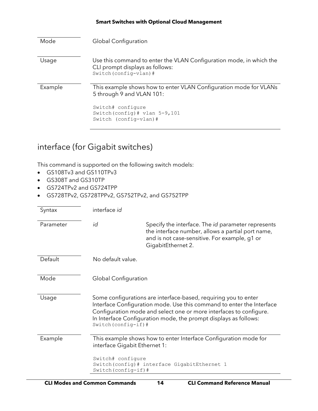| Mode    | <b>Global Configuration</b>                                                                                                                                                      |
|---------|----------------------------------------------------------------------------------------------------------------------------------------------------------------------------------|
| Usage   | Use this command to enter the VLAN Configuration mode, in which the<br>CLI prompt displays as follows:<br>Switch (config-vlan) #                                                 |
| Example | This example shows how to enter VLAN Configuration mode for VLANs<br>5 through 9 and VLAN 101:<br>Switch# configure<br>Switch (config) $#$ vlan 5-9,101<br>Switch (config-vlan)# |
|         |                                                                                                                                                                                  |

## <span id="page-13-0"></span>interface (for Gigabit switches)

- GS108Tv3 and GS110TPv3
- GS308T and GS310TP
- GS724TPv2 and GS724TPP
- GS728TPv2, GS728TPPv2, GS752TPv2, and GS752TPP

| Syntax    | interface id                                                               |                                                                                                                                                                                                                                                                                    |
|-----------|----------------------------------------------------------------------------|------------------------------------------------------------------------------------------------------------------------------------------------------------------------------------------------------------------------------------------------------------------------------------|
| Parameter | id                                                                         | Specify the interface. The <i>id</i> parameter represents<br>the interface number, allows a partial port name,<br>and is not case-sensitive. For example, g1 or<br>GigabitEthernet 2.                                                                                              |
| Default   | No default value.                                                          |                                                                                                                                                                                                                                                                                    |
| Mode      | Global Configuration                                                       |                                                                                                                                                                                                                                                                                    |
| Usage     | Switch (config-if) #                                                       | Some configurations are interface-based, requiring you to enter<br>Interface Configuration mode. Use this command to enter the Interface<br>Configuration mode and select one or more interfaces to configure.<br>In Interface Configuration mode, the prompt displays as follows: |
| Example   | interface Gigabit Ethernet 1:<br>Switch# configure<br>Switch (config-if) # | This example shows how to enter Interface Configuration mode for<br>Switch(config)# interface GigabitEthernet 1                                                                                                                                                                    |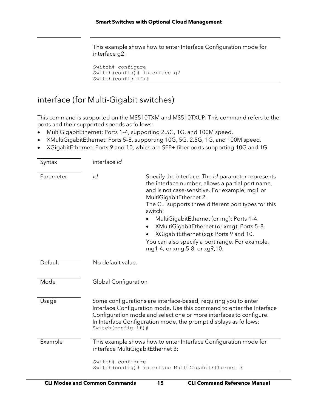This example shows how to enter Interface Configuration mode for interface g2:

```
Switch# configure
Switch(config)# interface g2
Switch(config-if)#
```
## <span id="page-14-0"></span>interface (for Multi-Gigabit switches)

This command is supported on the MS510TXM and MS510TXUP. This command refers to the ports and their supported speeds as follows:

- MultiGigabitEthernet: Ports 1–4, supporting 2.5G, 1G, and 100M speed.
- XMultiGigabitEthernet: Ports 5–8, supporting 10G, 5G, 2.5G, 1G, and 100M speed.
- XGigabitEthernet: Ports 9 and 10, which are SFP+ fiber ports supporting 10G and 1G

| Syntax    | interface id                                                                                                                                                                                                                                                                                                                                                                                                                                                                                       |
|-----------|----------------------------------------------------------------------------------------------------------------------------------------------------------------------------------------------------------------------------------------------------------------------------------------------------------------------------------------------------------------------------------------------------------------------------------------------------------------------------------------------------|
| Parameter | id<br>Specify the interface. The id parameter represents<br>the interface number, allows a partial port name,<br>and is not case-sensitive. For example, mg1 or<br>MultiGigabitEthernet 2.<br>The CLI supports three different port types for this<br>switch:<br>MultiGigabitEthernet (or mg): Ports 1-4.<br>XMultiGigabitEthernet (or xmg): Ports 5-8.<br>$\bullet$<br>XGigabitEthernet (xg): Ports 9 and 10.<br>You can also specify a port range. For example,<br>mg1-4, or xmg 5-8, or xg9,10. |
| Default   | No default value.                                                                                                                                                                                                                                                                                                                                                                                                                                                                                  |
| Mode      | <b>Global Configuration</b>                                                                                                                                                                                                                                                                                                                                                                                                                                                                        |
| Usage     | Some configurations are interface-based, requiring you to enter<br>Interface Configuration mode. Use this command to enter the Interface<br>Configuration mode and select one or more interfaces to configure.<br>In Interface Configuration mode, the prompt displays as follows:<br>Switch (config-if)#                                                                                                                                                                                          |
| Example   | This example shows how to enter Interface Configuration mode for<br>interface MultiGigabitEthernet 3:                                                                                                                                                                                                                                                                                                                                                                                              |
|           | Switch# configure<br>Switch(config)# interface MultiGigabitEthernet 3                                                                                                                                                                                                                                                                                                                                                                                                                              |
|           |                                                                                                                                                                                                                                                                                                                                                                                                                                                                                                    |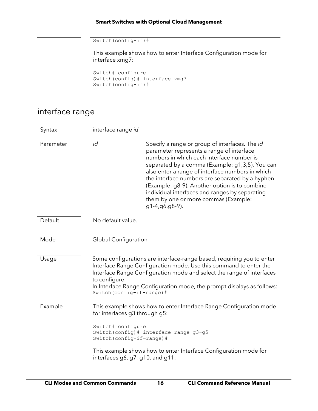```
Switch(config-if)#
```
This example shows how to enter Interface Configuration mode for interface xmg7:

```
Switch# configure
Switch(config)# interface xmg7
Switch(config-if)#
```
## <span id="page-15-0"></span>interface range

| Syntax    | interface range id                                                                                                   |                                                                                                                                                                                                                                                                                                                                                                                                                                                                 |
|-----------|----------------------------------------------------------------------------------------------------------------------|-----------------------------------------------------------------------------------------------------------------------------------------------------------------------------------------------------------------------------------------------------------------------------------------------------------------------------------------------------------------------------------------------------------------------------------------------------------------|
| Parameter | id                                                                                                                   | Specify a range or group of interfaces. The id<br>parameter represents a range of interface<br>numbers in which each interface number is<br>separated by a comma (Example: g1,3,5). You can<br>also enter a range of interface numbers in which<br>the interface numbers are separated by a hyphen<br>(Example: g8-9). Another option is to combine<br>individual interfaces and ranges by separating<br>them by one or more commas (Example:<br>g1-4,g6,g8-9). |
| Default   | No default value.                                                                                                    |                                                                                                                                                                                                                                                                                                                                                                                                                                                                 |
| Mode      | <b>Global Configuration</b>                                                                                          |                                                                                                                                                                                                                                                                                                                                                                                                                                                                 |
| Usage     | to configure.<br>Switch (config-if-range) #                                                                          | Some configurations are interface-range based, requiring you to enter<br>Interface Range Configuration mode. Use this command to enter the<br>Interface Range Configuration mode and select the range of interfaces<br>In Interface Range Configuration mode, the prompt displays as follows:                                                                                                                                                                   |
| Example   | for interfaces g3 through g5:<br>Switch# configure<br>Switch (config-if-range) #<br>interfaces g6, g7, g10, and g11: | This example shows how to enter Interface Range Configuration mode<br>Switch (config) # interface range g3-g5<br>This example shows how to enter Interface Configuration mode for                                                                                                                                                                                                                                                                               |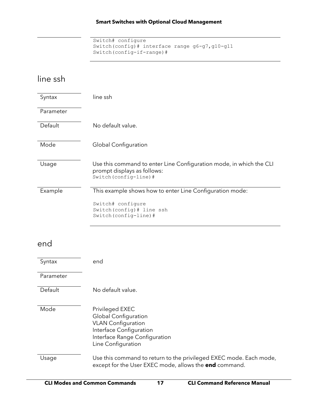```
Switch# configure
Switch(config)# interface range g6-g7,g10-g11
Switch(config-if-range)#
```
## <span id="page-16-0"></span>line ssh

<span id="page-16-1"></span>

| Syntax    | line ssh                                                                                                                                                      |
|-----------|---------------------------------------------------------------------------------------------------------------------------------------------------------------|
| Parameter |                                                                                                                                                               |
| Default   | No default value.                                                                                                                                             |
| Mode      | Global Configuration                                                                                                                                          |
| Usage     | Use this command to enter Line Configuration mode, in which the CLI<br>prompt displays as follows:<br>Switch (config-line) #                                  |
| Example   | This example shows how to enter Line Configuration mode:                                                                                                      |
|           | Switch# configure<br>Switch (config) # line ssh<br>Switch (config-line) #                                                                                     |
| end       |                                                                                                                                                               |
| Syntax    | end                                                                                                                                                           |
| Parameter |                                                                                                                                                               |
| Default   | No default value.                                                                                                                                             |
| Mode      |                                                                                                                                                               |
|           | Privileged EXEC<br><b>Global Configuration</b><br><b>VLAN Configuration</b><br>Interface Configuration<br>Interface Range Configuration<br>Line Configuration |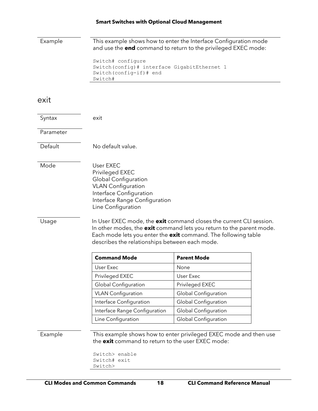Example This example shows how to enter the Interface Configuration mode and use the **end** command to return to the privileged EXEC mode:

```
Switch# configure
Switch(config)# interface GigabitEthernet 1
Switch(config-if)# end
Switch#
```
### <span id="page-17-0"></span>exit

| Syntax    | exit                                                                                                                                                                                                                                                            |                                                                   |  |
|-----------|-----------------------------------------------------------------------------------------------------------------------------------------------------------------------------------------------------------------------------------------------------------------|-------------------------------------------------------------------|--|
| Parameter |                                                                                                                                                                                                                                                                 |                                                                   |  |
| Default   | No default value.                                                                                                                                                                                                                                               |                                                                   |  |
| Mode      | User EXEC<br>Privileged EXEC<br>Global Configuration<br><b>VLAN Configuration</b><br>Interface Configuration<br>Interface Range Configuration<br>Line Configuration                                                                                             |                                                                   |  |
| Usage     | In User EXEC mode, the exit command closes the current CLI session.<br>In other modes, the exit command lets you return to the parent mode.<br>Each mode lets you enter the exit command. The following table<br>describes the relationships between each mode. |                                                                   |  |
|           | <b>Command Mode</b>                                                                                                                                                                                                                                             | <b>Parent Mode</b>                                                |  |
|           | User Exec                                                                                                                                                                                                                                                       | None                                                              |  |
|           | Privileged EXEC                                                                                                                                                                                                                                                 | User Exec                                                         |  |
|           | <b>Global Configuration</b>                                                                                                                                                                                                                                     | Privileged EXEC                                                   |  |
|           | <b>VLAN Configuration</b>                                                                                                                                                                                                                                       | Global Configuration                                              |  |
|           | Interface Configuration                                                                                                                                                                                                                                         | <b>Global Configuration</b>                                       |  |
|           | Interface Range Configuration                                                                                                                                                                                                                                   | <b>Global Configuration</b>                                       |  |
|           | Line Configuration                                                                                                                                                                                                                                              | <b>Global Configuration</b>                                       |  |
| Example   | the exit command to return to the user EXEC mode:                                                                                                                                                                                                               | This example shows how to enter privileged EXEC mode and then use |  |

Switch> enable Switch# exit Switch>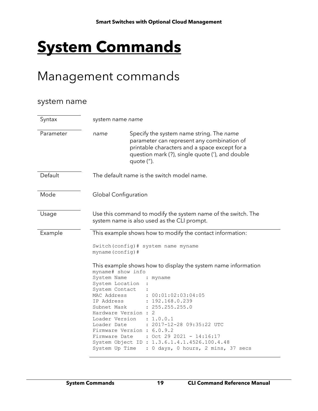# <span id="page-18-0"></span>**System Commands**

## <span id="page-18-1"></span>Management commands

### <span id="page-18-2"></span>system name

| Syntax    | system name name                                                                                          |                                                                                                                                                                                                                                                |
|-----------|-----------------------------------------------------------------------------------------------------------|------------------------------------------------------------------------------------------------------------------------------------------------------------------------------------------------------------------------------------------------|
| Parameter | name                                                                                                      | Specify the system name string. The name<br>parameter can represent any combination of<br>printable characters and a space except for a<br>question mark (?), single quote ('), and double<br>quote (").                                       |
| Default   |                                                                                                           | The default name is the switch model name.                                                                                                                                                                                                     |
| Mode      | Global Configuration                                                                                      |                                                                                                                                                                                                                                                |
| Usage     |                                                                                                           | Use this command to modify the system name of the switch. The<br>system name is also used as the CLI prompt.                                                                                                                                   |
| Example   | myname (config) #<br>myname# show info<br>System Name<br>System Location<br>System Contact<br>MAC Address | This example shows how to modify the contact information:<br>Switch (config) # system name myname<br>This example shows how to display the system name information<br>myname<br>: 00:01:02:03:04:05                                            |
|           | IP Address<br>Subnet Mask<br>Hardware Version :<br>Loader Date<br>Firmware Date<br>System Up Time         | 192.168.0.239<br>: 255.255.255.0<br>2<br>Loader Version : 1.0.0.1<br>: 2017-12-28 09:35:22 UTC<br>Firmware Version : 6.0.9.2<br>: Oct 29 2021 - 14:16:17<br>System Object ID : 1.3.6.1.4.1.4526.100.4.48<br>: 0 days, 0 hours, 2 mins, 37 secs |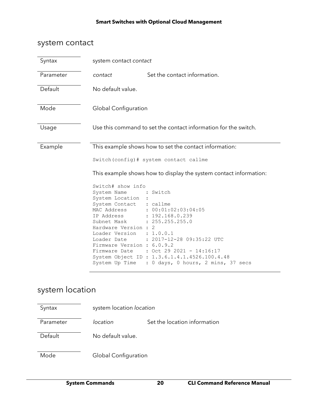### <span id="page-19-0"></span>system contact

| Syntax    | system contact contact                                                                                                                                    |                                                                                                                                                                                                |
|-----------|-----------------------------------------------------------------------------------------------------------------------------------------------------------|------------------------------------------------------------------------------------------------------------------------------------------------------------------------------------------------|
| Parameter | contact                                                                                                                                                   | Set the contact information.                                                                                                                                                                   |
| Default   | No default value.                                                                                                                                         |                                                                                                                                                                                                |
| Mode      | Global Configuration                                                                                                                                      |                                                                                                                                                                                                |
| Usage     |                                                                                                                                                           | Use this command to set the contact information for the switch.                                                                                                                                |
| Example   | Switch# show info<br>System Name<br>System Location<br>System Contact                                                                                     | This example shows how to set the contact information:<br>Switch (config) # system contact callme<br>This example shows how to display the system contact information:<br>: Switch<br>: callme |
|           | MAC Address<br>IP Address : 192.168.0.239<br>Subnet Mask<br>Hardware Version : 2<br>Loader Version : 1.0.0.1<br>Loader Date<br>Firmware Version : 6.0.9.2 | : 00:01:02:03:04:05<br>: 255.255.255.0<br>: 2017-12-28 09:35:22 UTC<br>Firmware Date : Oct 29 2021 - 14:16:17<br>System Object ID : 1.3.6.1.4.1.4526.100.4.48                                  |

## <span id="page-19-1"></span>system location

| Syntax    | system location location    |                              |
|-----------|-----------------------------|------------------------------|
| Parameter | location                    | Set the location information |
| Default   | No default value.           |                              |
| Mode      | <b>Global Configuration</b> |                              |

System Up Time : 0 days, 0 hours, 2 mins, 37 secs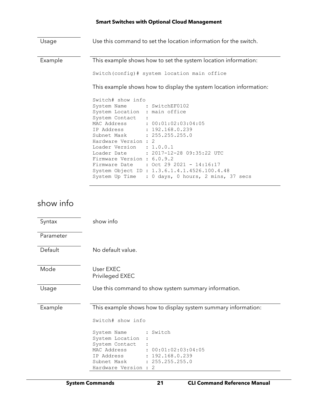Usage Use this command to set the location information for the switch. Example This example shows how to set the system location information: Switch(config)# system location main office This example shows how to display the system location information: Switch# show info System Name : SwitchEF0102 System Location : main office System Contact : MAC Address :  $00:01:02:03:04:05$ <br>IP Address : 192.168.0.239 IP Address : 192.168.0.239 Subnet Mask : 255.255.255.0 Hardware Version : 2 Loader Version : 1.0.0.1<br>Loader Date : 2017-12 : 2017-12-28 09:35:22 UTC Firmware Version : 6.0.9.2 Firmware Date : Oct 29 2021 - 14:16:17 System Object ID : 1.3.6.1.4.1.4526.100.4.48 System Up Time : 0 days, 0 hours, 2 mins, 37 secs

### <span id="page-20-0"></span>show info

| Syntax    | show info                                                                                                                           |
|-----------|-------------------------------------------------------------------------------------------------------------------------------------|
| Parameter |                                                                                                                                     |
| Default   | No default value.                                                                                                                   |
| Mode      | User EXEC<br>Privileged EXEC                                                                                                        |
| Usage     | Use this command to show system summary information.                                                                                |
| Example   | This example shows how to display system summary information:                                                                       |
|           | Switch# show info                                                                                                                   |
|           | : Switch<br>System Name<br>System Location<br>System Contact<br>: 00:01:02:03:04:05<br>MAC Address<br>: 192.168.0.239<br>IP Address |
|           | : 255.255.255.0<br>Subnet Mask<br>Hardware Version :<br>2                                                                           |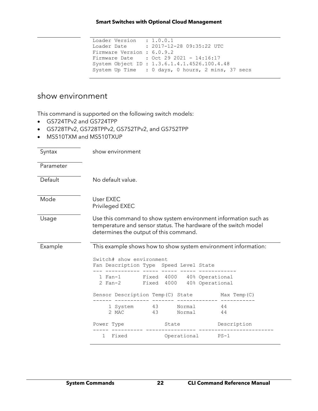```
Loader Version : 1.0.0.1
Loader Date : 2017-12-28 09:35:22 UTC
Firmware Version : 6.0.9.2
Firmware Date : Oct 29 2021 - 14:16:17
System Object ID : 1.3.6.1.4.1.4526.100.4.48
System Up Time : 0 days, 0 hours, 2 mins, 37 secs
```
### <span id="page-21-0"></span>show environment

- GS724TPv2 and GS724TPP
- GS728TPv2, GS728TPPv2, GS752TPv2, and GS752TPP
- MS510TXM and MS510TXUP

| Syntax    | show environment                                                                                                                                                             |                     |    |
|-----------|------------------------------------------------------------------------------------------------------------------------------------------------------------------------------|---------------------|----|
| Parameter |                                                                                                                                                                              |                     |    |
| Default   | No default value.                                                                                                                                                            |                     |    |
| Mode      | User EXEC<br>Privileged EXEC                                                                                                                                                 |                     |    |
| Usage     | Use this command to show system environment information such as<br>temperature and sensor status. The hardware of the switch model<br>determines the output of this command. |                     |    |
| Example   | This example shows how to show system environment information:<br>Switch# show environment<br>Fan Description Type Speed Level State                                         |                     |    |
|           | 1 Fan-1 Fixed 4000 40% Operational<br>2 Fan-2 Fixed 4000 40% Operational                                                                                                     |                     |    |
|           | Sensor Description Temp(C) State Max Temp(C)                                                                                                                                 |                     |    |
|           | 1 System 43<br>43<br>2 MAC                                                                                                                                                   | Normal 44<br>Normal | 44 |
|           | Power Type                                                                                                                                                                   | State Description   |    |
|           | 1 Fixed                                                                                                                                                                      | Operational PS-1    |    |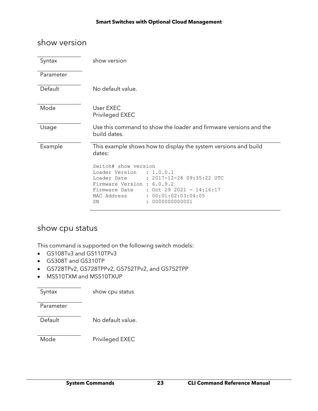### <span id="page-22-0"></span>show version

| Syntax    | show version                                                                                                                                                                                                                               |
|-----------|--------------------------------------------------------------------------------------------------------------------------------------------------------------------------------------------------------------------------------------------|
| Parameter |                                                                                                                                                                                                                                            |
| Default   | No default value.                                                                                                                                                                                                                          |
| Mode      | User EXEC<br>Privileged EXEC                                                                                                                                                                                                               |
| Usage     | Use this command to show the loader and firmware versions and the<br>build dates.                                                                                                                                                          |
| Example   | This example shows how to display the system versions and build<br>dates:                                                                                                                                                                  |
|           | Switch# show version<br>Loader Version : 1.0.0.1<br>$: 2017 - 12 - 28$ 09:35:22 UTC<br>Loader Date<br>Firmware Version : 6.0.9.2<br>: Oct 29 2021 - 14:16:17<br>Firmware Date<br>: 00:01:02:03:04:05<br>MAC Address<br>0000000000001<br>SN |

### <span id="page-22-1"></span>show cpu status

This command is supported on the following switch models:

- GS108Tv3 and GS110TPv3
- GS308T and GS310TP
- GS728TPv2, GS728TPPv2, GS752TPv2, and GS752TPP
- MS510TXM and MS510TXUP

Syntax show cpu status

Parameter

Default No default value.

Mode Privileged EXEC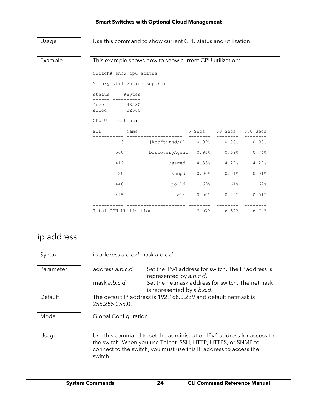| Usage   |                            |                         | Use this command to show current CPU status and utilization. |        |         |                |  |
|---------|----------------------------|-------------------------|--------------------------------------------------------------|--------|---------|----------------|--|
| Example |                            |                         | This example shows how to show current CPU utilization:      |        |         |                |  |
|         |                            | Switch# show cpu status |                                                              |        |         |                |  |
|         | Memory Utilization Report: |                         |                                                              |        |         |                |  |
|         | status KBytes              |                         |                                                              |        |         |                |  |
|         | free<br>alloc              | 43280<br>82360          |                                                              |        |         |                |  |
|         |                            | CPU Utilization:        |                                                              |        |         |                |  |
|         | PID                        | Name                    |                                                              | 5 Secs | 60 Secs | 300 Secs       |  |
|         |                            | 3                       | $[ksofitirqd/0]$ 0.09%                                       |        |         | $0.00\%$ 0.00% |  |
|         |                            | 500                     | DiscoveryAgent 0.94%                                         |        | 0.69%   | 0.74%          |  |
|         |                            | 412                     | usaged                                                       | 4.33%  | 4.29%   | 4.29%          |  |
|         |                            | 420                     | snmpd                                                        | 0.00%  | 0.01%   | 0.01%          |  |
|         |                            | 440                     | polld                                                        | 1.69%  | 1.61%   | 1.62%          |  |
|         |                            | 445                     | cli                                                          | 0.00%  | 0.00%   | 0.01%          |  |
|         | Total CPU Utilization      |                         |                                                              | 7.07%  | 6.64%   | 6.72%          |  |

## <span id="page-23-0"></span>ip address

| Syntax    | ip address a.b.c.d mask a.b.c.d                                                                                                                                                                                        |                                                                               |
|-----------|------------------------------------------------------------------------------------------------------------------------------------------------------------------------------------------------------------------------|-------------------------------------------------------------------------------|
| Parameter | address a.b.c.d                                                                                                                                                                                                        | Set the IPv4 address for switch. The IP address is<br>represented by a.b.c.d. |
|           | mask a.b.c.d                                                                                                                                                                                                           | Set the netmask address for switch. The netmask<br>is represented by a.b.c.d. |
| Default   | 255.255.255.0.                                                                                                                                                                                                         | The default IP address is 192.168.0.239 and default netmask is                |
| Mode      | Global Configuration                                                                                                                                                                                                   |                                                                               |
| Usage     | Use this command to set the administration IPv4 address for access to<br>the switch. When you use Telnet, SSH, HTTP, HTTPS, or SNMP to<br>connect to the switch, you must use this IP address to access the<br>switch. |                                                                               |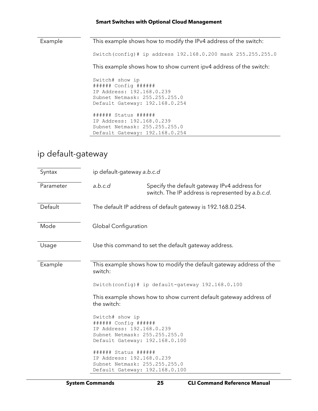Example This example shows how to modify the IPv4 address of the switch: Switch(config)# ip address 192.168.0.200 mask 255.255.255.0 This example shows how to show current ipv4 address of the switch: Switch# show ip ###### Config ###### IP Address: 192.168.0.239 Subnet Netmask: 255.255.255.0 Default Gateway: 192.168.0.254 ###### Status ###### IP Address: 192.168.0.239 Subnet Netmask: 255.255.255.0 Default Gateway: 192.168.0.254

## <span id="page-24-0"></span>ip default-gateway

| Syntax    | ip default-gateway a.b.c.d                                                                                                              |                                                                                                   |
|-----------|-----------------------------------------------------------------------------------------------------------------------------------------|---------------------------------------------------------------------------------------------------|
| Parameter | a.b.c.d                                                                                                                                 | Specify the default gateway IPv4 address for<br>switch. The IP address is represented by a.b.c.d. |
| Default   |                                                                                                                                         | The default IP address of default gateway is 192.168.0.254.                                       |
| Mode      | Global Configuration                                                                                                                    |                                                                                                   |
| Usage     |                                                                                                                                         | Use this command to set the default gateway address.                                              |
| Example   | switch:                                                                                                                                 | This example shows how to modify the default gateway address of the                               |
|           |                                                                                                                                         | Switch (config) # ip default-gateway 192.168.0.100                                                |
|           | the switch:                                                                                                                             | This example shows how to show current default gateway address of                                 |
|           | Switch# show ip<br>###### Config ######<br>IP Address: 192.168.0.239<br>Subnet Netmask: 255.255.255.0<br>Default Gateway: 192.168.0.100 |                                                                                                   |
|           | ###### Status ######<br>IP Address: 192.168.0.239<br>Subnet Netmask: 255.255.255.0<br>Default Gateway: 192.168.0.100                    |                                                                                                   |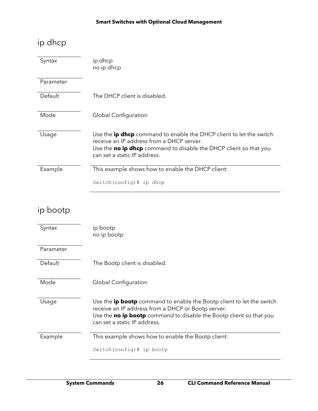## <span id="page-25-0"></span>ip dhcp

| Syntax    | ip dhcp<br>no ip dhcp                                                                                                                                                                                                               |
|-----------|-------------------------------------------------------------------------------------------------------------------------------------------------------------------------------------------------------------------------------------|
| Parameter |                                                                                                                                                                                                                                     |
| Default   | The DHCP client is disabled.                                                                                                                                                                                                        |
| Mode      | <b>Global Configuration</b>                                                                                                                                                                                                         |
| Usage     | Use the <b>ip dhcp</b> command to enable the DHCP client to let the switch<br>receive an IP address from a DHCP server.<br>Use the <b>no ip dhcp</b> command to disable the DHCP client so that you<br>can set a static IP address. |
| Example   | This example shows how to enable the DHCP client:                                                                                                                                                                                   |
|           | Switch (config) $#$ ip dhep                                                                                                                                                                                                         |

## <span id="page-25-1"></span>ip bootp

| Syntax    | ip bootp<br>no ip bootp                                                                                                                                                                                                                   |
|-----------|-------------------------------------------------------------------------------------------------------------------------------------------------------------------------------------------------------------------------------------------|
| Parameter |                                                                                                                                                                                                                                           |
| Default   | The Bootp client is disabled.                                                                                                                                                                                                             |
| Mode      | Global Configuration                                                                                                                                                                                                                      |
| Usage     | Use the <b>ip bootp</b> command to enable the Bootp client to let the switch<br>receive an IP address from a DHCP or Bootp server.<br>Use the no ip bootp command to disable the Bootp client so that you<br>can set a static IP address. |
| Example   | This example shows how to enable the Bootp client:                                                                                                                                                                                        |
|           | Switch (config) # ip bootp                                                                                                                                                                                                                |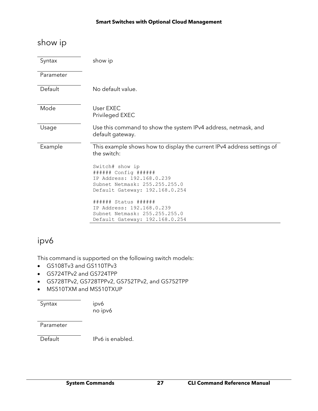## <span id="page-26-0"></span>show ip

| Syntax    | show ip                                                                               |
|-----------|---------------------------------------------------------------------------------------|
| Parameter |                                                                                       |
| Default   | No default value.                                                                     |
| Mode      | User EXEC<br>Privileged EXEC                                                          |
| Usage     | Use this command to show the system IPv4 address, netmask, and<br>default gateway.    |
| Example   | This example shows how to display the current IPv4 address settings of<br>the switch: |
|           | Switch# show ip                                                                       |
|           | ###### Config ######<br>IP Address: 192.168.0.239                                     |
|           | Subnet Netmask: 255.255.255.0                                                         |
|           | Default Gateway: 192.168.0.254                                                        |
|           | ###### Status ######                                                                  |
|           | IP Address: 192.168.0.239                                                             |
|           | Subnet Netmask: 255.255.255.0                                                         |
|           | Default Gateway: 192.168.0.254                                                        |

## <span id="page-26-1"></span>ipv6

This command is supported on the following switch models:

- GS108Tv3 and GS110TPv3
- GS724TPv2 and GS724TPP
- GS728TPv2, GS728TPPv2, GS752TPv2, and GS752TPP
- MS510TXM and MS510TXUP

Syntax ipv6 no ipv6

Parameter

Default IPv6 is enabled.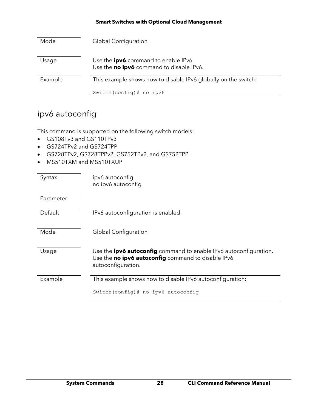| Mode    | <b>Global Configuration</b>                                                             |
|---------|-----------------------------------------------------------------------------------------|
| Usage   | Use the <b>ipv6</b> command to enable IPv6.<br>Use the no ipv6 command to disable IPv6. |
| Example | This example shows how to disable IPv6 globally on the switch:                          |
|         | Switch (config) $#$ no ipv6                                                             |

## <span id="page-27-0"></span>ipv6 autoconfig

- GS108Tv3 and GS110TPv3
- GS724TPv2 and GS724TPP
- GS728TPv2, GS728TPPv2, GS752TPv2, and GS752TPP
- MS510TXM and MS510TXUP

| Syntax    | ipv6 autoconfig<br>no ipv6 autoconfig                                                                                                                |
|-----------|------------------------------------------------------------------------------------------------------------------------------------------------------|
| Parameter |                                                                                                                                                      |
| Default   | IPv6 autoconfiguration is enabled.                                                                                                                   |
| Mode      | <b>Global Configuration</b>                                                                                                                          |
| Usage     | Use the <b>ipv6 autoconfig</b> command to enable IPv6 autoconfiguration.<br>Use the no ipv6 autoconfig command to disable IPv6<br>autoconfiguration. |
| Example   | This example shows how to disable IPv6 autoconfiguration:                                                                                            |
|           | Switch (config) # no ipv6 autoconfig                                                                                                                 |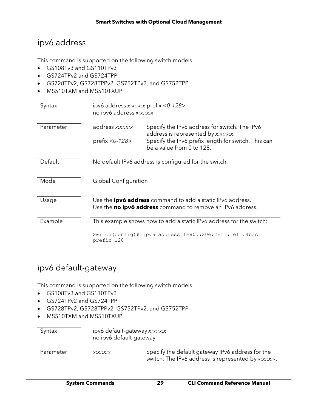## <span id="page-28-0"></span>ipv6 address

This command is supported on the following switch models:

- GS108Tv3 and GS110TPv3
- GS724TPv2 and GS724TPP
- GS728TPv2, GS728TPPv2, GS752TPv2, and GS752TPP
- MS510TXM and MS510TXUP

| Syntax    | ipv6 address x:x::x:x prefix <0-128><br>no ipv6 address x:x::x:x                                                                |                                                                                                                                                                          |
|-----------|---------------------------------------------------------------------------------------------------------------------------------|--------------------------------------------------------------------------------------------------------------------------------------------------------------------------|
| Parameter | address x:x::x:x<br>prefix < 0-128 >                                                                                            | Specify the IPv6 address for switch. The IPv6<br>address is represented by x:x::x:x.<br>Specify the IPv6 prefix length for switch. This can<br>be a value from 0 to 128. |
| Default   |                                                                                                                                 | No default IPv6 address is configured for the switch.                                                                                                                    |
| Mode      | Global Configuration                                                                                                            |                                                                                                                                                                          |
| Usage     | Use the <b>ipv6 address</b> command to add a static IPv6 address.<br>Use the no ipv6 address command to remove an IPv6 address. |                                                                                                                                                                          |
| Example   | This example shows how to add a static IPv6 address for the switch:                                                             |                                                                                                                                                                          |
|           | prefix 128                                                                                                                      | Switch(config)# ipv6 address $f=80::20e:2eff:fef1:4b3c$                                                                                                                  |

## <span id="page-28-1"></span>ipv6 default-gateway

- GS108Tv3 and GS110TPv3
- GS724TPv2 and GS724TPP
- GS728TPv2, GS728TPPv2, GS752TPv2, and GS752TPP
- MS510TXM and MS510TXUP

| Syntax    | ipv6 default-gateway x:x::x:x<br>no ipv6 default-gateway |                                                                                                          |
|-----------|----------------------------------------------------------|----------------------------------------------------------------------------------------------------------|
| Parameter | X:X::X:X                                                 | Specify the default gateway IPv6 address for the<br>switch. The IPv6 address is represented by x:x::x:x. |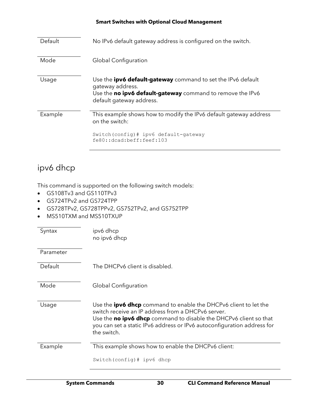| Default | No IPv6 default gateway address is configured on the switch.                                                                                                                      |
|---------|-----------------------------------------------------------------------------------------------------------------------------------------------------------------------------------|
| Mode    | <b>Global Configuration</b>                                                                                                                                                       |
| Usage   | Use the <b>ipv6 default-gateway</b> command to set the IPv6 default<br>gateway address.<br>Use the no ipv6 default-gateway command to remove the IPv6<br>default gateway address. |
| Example | This example shows how to modify the IPv6 default gateway address<br>on the switch:<br>Switch (config) # ipv6 default-gateway                                                     |
|         | fe80::dcad:beff:feef:103                                                                                                                                                          |

## <span id="page-29-0"></span>ipv6 dhcp

- GS108Tv3 and GS110TPv3
- GS724TPv2 and GS724TPP
- GS728TPv2, GS728TPPv2, GS752TPv2, and GS752TPP
- MS510TXM and MS510TXUP

| Syntax    | ipv6 dhcp<br>no ipv6 dhcp                                                                                                                                                                                                                                                                    |
|-----------|----------------------------------------------------------------------------------------------------------------------------------------------------------------------------------------------------------------------------------------------------------------------------------------------|
| Parameter |                                                                                                                                                                                                                                                                                              |
| Default   | The DHCPv6 client is disabled.                                                                                                                                                                                                                                                               |
| Mode      | Global Configuration                                                                                                                                                                                                                                                                         |
| Usage     | Use the <b>ipv6 dhcp</b> command to enable the DHCPv6 client to let the<br>switch receive an IP address from a DHCPv6 server.<br>Use the no ipv6 dhcp command to disable the DHCPv6 client so that<br>you can set a static IPv6 address or IPv6 autoconfiguration address for<br>the switch. |
| Example   | This example shows how to enable the DHCPv6 client:<br>Switch (config) # ipv6 dhcp                                                                                                                                                                                                           |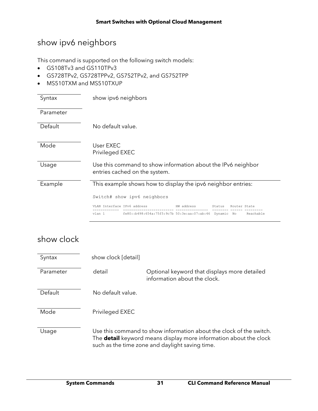## <span id="page-30-0"></span>show ipv6 neighbors

This command is supported on the following switch models:

- GS108Tv3 and GS110TPv3
- GS728TPv2, GS728TPPv2, GS752TPv2, and GS752TPP
- MS510TXM and MS510TXUP

| Syntax    | show ipv6 neighbors                                                                           |  |  |  |  |  |  |
|-----------|-----------------------------------------------------------------------------------------------|--|--|--|--|--|--|
| Parameter |                                                                                               |  |  |  |  |  |  |
| Default   | No default value.                                                                             |  |  |  |  |  |  |
| Mode      | User FXFC<br>Privileged EXEC                                                                  |  |  |  |  |  |  |
| Usage     | Use this command to show information about the IPv6 neighbor<br>entries cached on the system. |  |  |  |  |  |  |
| Example   | This example shows how to display the ipv6 neighbor entries:                                  |  |  |  |  |  |  |
|           | Switch# show ipv6 neighbors                                                                   |  |  |  |  |  |  |
|           | VLAN Interface IPv6 address<br>HW address<br>Status<br>Router State                           |  |  |  |  |  |  |
|           | fe80::b498:654a:75f5:9c7b 50:3e:aa:07:ab:46<br>vlan 1<br>Dynamic No<br>Reachable              |  |  |  |  |  |  |

## <span id="page-30-1"></span>show clock

| Syntax    | show clock [detail]                                                                                                                                                                                |                                                                              |  |  |
|-----------|----------------------------------------------------------------------------------------------------------------------------------------------------------------------------------------------------|------------------------------------------------------------------------------|--|--|
| Parameter | detail                                                                                                                                                                                             | Optional keyword that displays more detailed<br>information about the clock. |  |  |
| Default   | No default value.                                                                                                                                                                                  |                                                                              |  |  |
| Mode      | Privileged EXEC                                                                                                                                                                                    |                                                                              |  |  |
| Usage     | Use this command to show information about the clock of the switch.<br>The <b>detail</b> keyword means display more information about the clock<br>such as the time zone and daylight saving time. |                                                                              |  |  |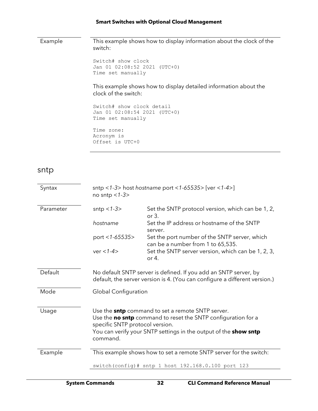Example This example shows how to display information about the clock of the switch:

```
Switch# show clock 
Jan 01 02:08:52 2021 (UTC+0)
Time set manually
```
This example shows how to display detailed information about the clock of the switch:

```
Switch# show clock detail
Jan 01 02:08:54 2021 (UTC+0)
Time set manually
```
Time zone: Acronym is Offset is UTC+0

#### <span id="page-31-0"></span>sntp

| Syntax    | sntp <1-3> host hostname port <1-65535> [ver <1-4>]<br>no sntp $<1-3>$                                                                                                                                                                              |                                                                                    |  |  |  |
|-----------|-----------------------------------------------------------------------------------------------------------------------------------------------------------------------------------------------------------------------------------------------------|------------------------------------------------------------------------------------|--|--|--|
| Parameter | sntp $<$ 1-3 $>$                                                                                                                                                                                                                                    | Set the SNTP protocol version, which can be 1, 2,<br>or $3.$                       |  |  |  |
|           | hostname                                                                                                                                                                                                                                            | Set the IP address or hostname of the SNTP<br>server.                              |  |  |  |
|           | port <1-65535>                                                                                                                                                                                                                                      | Set the port number of the SNTP server, which<br>can be a number from 1 to 65,535. |  |  |  |
|           | $ver < 1-4>$                                                                                                                                                                                                                                        | Set the SNTP server version, which can be 1, 2, 3,<br>or 4.                        |  |  |  |
| Default   | No default SNTP server is defined. If you add an SNTP server, by<br>default, the server version is 4. (You can configure a different version.)                                                                                                      |                                                                                    |  |  |  |
| Mode      | Global Configuration                                                                                                                                                                                                                                |                                                                                    |  |  |  |
| Usage     | Use the <b>sntp</b> command to set a remote SNTP server.<br>Use the no sntp command to reset the SNTP configuration for a<br>specific SNTP protocol version.<br>You can verify your SNTP settings in the output of the <b>show sntp</b><br>command. |                                                                                    |  |  |  |
| Example   | This example shows how to set a remote SNTP server for the switch:<br>switch(config)# sntp 1 host 192.168.0.100 port 123                                                                                                                            |                                                                                    |  |  |  |
|           |                                                                                                                                                                                                                                                     |                                                                                    |  |  |  |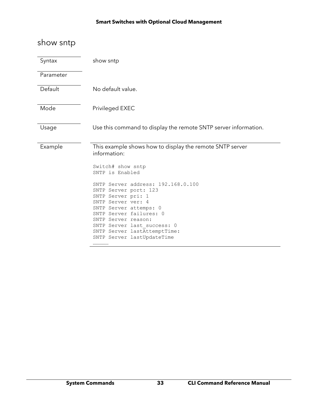## <span id="page-32-0"></span>show sntp

| Syntax    | show sntp                                                                                                                                                                                                                                                                                                                                                                                                |  |  |  |  |  |
|-----------|----------------------------------------------------------------------------------------------------------------------------------------------------------------------------------------------------------------------------------------------------------------------------------------------------------------------------------------------------------------------------------------------------------|--|--|--|--|--|
| Parameter |                                                                                                                                                                                                                                                                                                                                                                                                          |  |  |  |  |  |
| Default   | No default value.                                                                                                                                                                                                                                                                                                                                                                                        |  |  |  |  |  |
| Mode      | Privileged EXEC                                                                                                                                                                                                                                                                                                                                                                                          |  |  |  |  |  |
| Usage     | Use this command to display the remote SNTP server information.                                                                                                                                                                                                                                                                                                                                          |  |  |  |  |  |
| Example   | This example shows how to display the remote SNTP server<br>information:<br>Switch# show sntp<br>SNTP is Enabled<br>SNTP Server address: 192.168.0.100<br>SNTP Server port: 123<br>SNTP Server pri: 1<br>SNTP Server ver: 4<br>SNTP Server attemps: 0<br>SNTP Server failures: 0<br>SNTP Server reason:<br>SNTP Server last success: 0<br>SNTP Server lastAttemptTime:<br>SNTP Server lastUpdateTime<br> |  |  |  |  |  |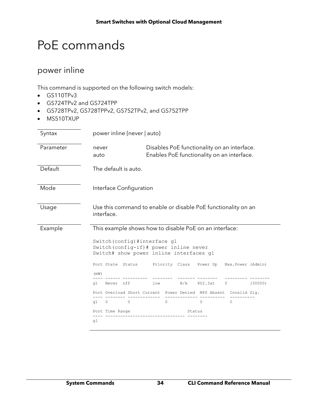## <span id="page-33-0"></span>PoE commands

## <span id="page-33-1"></span>power inline

- GS110TPv3
- GS724TPv2 and GS724TPP
- GS728TPv2, GS728TPPv2, GS752TPv2, and GS752TPP
- MS510TXUP

| Syntax    | power inline {never   auto}                                                                                         |                         |                    |                   |         |  |  |  |
|-----------|---------------------------------------------------------------------------------------------------------------------|-------------------------|--------------------|-------------------|---------|--|--|--|
| Parameter | Disables PoE functionality on an interface.<br>never<br>Enables PoE functionality on an interface.<br>auto          |                         |                    |                   |         |  |  |  |
| Default   | The default is auto.                                                                                                |                         |                    |                   |         |  |  |  |
| Mode      | Interface Configuration                                                                                             |                         |                    |                   |         |  |  |  |
| Usage     | Use this command to enable or disable PoE functionality on an<br>interface.                                         |                         |                    |                   |         |  |  |  |
| Example   | This example shows how to disable PoE on an interface:                                                              |                         |                    |                   |         |  |  |  |
|           | Switch (config) #interface g1<br>Switch (config-if) # power inline never<br>Switch# show power inline interfaces g1 |                         |                    |                   |         |  |  |  |
|           | Port State Status                                                                                                   | Priority Class Power Up |                    | Max.Power (Admin) |         |  |  |  |
|           | (mW)                                                                                                                |                         |                    |                   |         |  |  |  |
|           | Never off<br>q1                                                                                                     | N/A<br>low              | 802.3at<br>$\circ$ |                   | (30000) |  |  |  |
|           | Port Overload Short Current Power Denied MPS Absent Invalid Sig.                                                    |                         |                    |                   |         |  |  |  |
|           | q1<br>$\circ$<br>0                                                                                                  | $\Omega$                | $\Omega$           | $\Omega$          |         |  |  |  |
|           | Port Time Range                                                                                                     |                         | Status             |                   |         |  |  |  |
|           | q1                                                                                                                  |                         |                    |                   |         |  |  |  |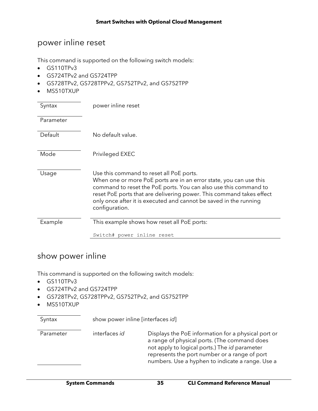### <span id="page-34-0"></span>power inline reset

This command is supported on the following switch models:

- GS110TPv3
- GS724TPv2 and GS724TPP
- GS728TPv2, GS728TPPv2, GS752TPv2, and GS752TPP
- MS510TXUP

| Syntax    | power inline reset                                                                                                                                                                                                                                                                                                                                |
|-----------|---------------------------------------------------------------------------------------------------------------------------------------------------------------------------------------------------------------------------------------------------------------------------------------------------------------------------------------------------|
| Parameter |                                                                                                                                                                                                                                                                                                                                                   |
| Default   | No default value.                                                                                                                                                                                                                                                                                                                                 |
| Mode      | Privileged EXEC                                                                                                                                                                                                                                                                                                                                   |
| Usage     | Use this command to reset all PoE ports.<br>When one or more PoE ports are in an error state, you can use this<br>command to reset the PoE ports. You can also use this command to<br>reset PoE ports that are delivering power. This command takes effect<br>only once after it is executed and cannot be saved in the running<br>configuration. |
| Example   | This example shows how reset all PoE ports:                                                                                                                                                                                                                                                                                                       |
|           | Switch# power inline reset                                                                                                                                                                                                                                                                                                                        |

### <span id="page-34-1"></span>show power inline

This command is supported on the following switch models:

- GS110TPv3
- GS724TPv2 and GS724TPP
- GS728TPv2, GS728TPPv2, GS752TPv2, and GS752TPP

Syntax show power inline [interfaces *id*]

• MS510TXUP

| Parameter | interfaces id | Displays the PoE information for a physical port or<br>a range of physical ports. (The command does<br>not apply to logical ports.) The id parameter<br>represents the port number or a range of port<br>numbers. Use a hyphen to indicate a range. Use a |
|-----------|---------------|-----------------------------------------------------------------------------------------------------------------------------------------------------------------------------------------------------------------------------------------------------------|
|           |               |                                                                                                                                                                                                                                                           |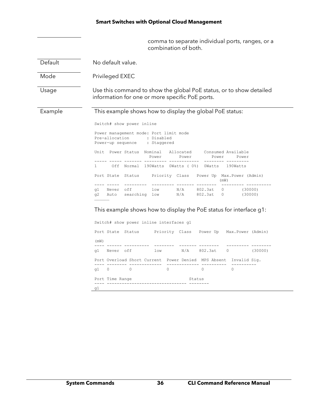comma to separate individual ports, ranges, or a combination of both.

| Default | No default value.                                                                                                                                                                                                                                                                                                                                                                                                          |  |  |  |  |  |  |
|---------|----------------------------------------------------------------------------------------------------------------------------------------------------------------------------------------------------------------------------------------------------------------------------------------------------------------------------------------------------------------------------------------------------------------------------|--|--|--|--|--|--|
| Mode    | Privileged EXEC                                                                                                                                                                                                                                                                                                                                                                                                            |  |  |  |  |  |  |
| Usage   | Use this command to show the global PoE status, or to show detailed<br>information for one or more specific PoE ports.                                                                                                                                                                                                                                                                                                     |  |  |  |  |  |  |
| Example | This example shows how to display the global PoE status:<br>Switch# show power inline<br>Power management mode: Port limit mode<br>Pre-allocation<br>: Disabled<br>Power-up sequence : Staggered<br>Unit Power Status Nominal Allocated<br>Consumed Available<br>Power<br>Power<br>Power<br>Power<br>Off Normal 190Watts 0Watts (0%) 0Watts 190Watts<br>1.<br>Port State Status Priority Class Power Up Max. Power (Admin) |  |  |  |  |  |  |
|         |                                                                                                                                                                                                                                                                                                                                                                                                                            |  |  |  |  |  |  |
|         | (mW)<br>$low$ $N/A$ $802.3at$<br>Never off<br>(30000)<br>$\overline{0}$<br>q1<br>(30000)<br>searching low N/A<br>802.3at<br>q2<br>Auto<br>$0 \qquad \qquad$<br><br>This example shows how to display the PoE status for interface g1:<br>Switch# show power inline interfaces q1                                                                                                                                           |  |  |  |  |  |  |

|        | Port State Status |                                                                  |          |        | Priority Class Power Up Max.Power (Admin) |         |
|--------|-------------------|------------------------------------------------------------------|----------|--------|-------------------------------------------|---------|
| (mW)   |                   |                                                                  |          |        |                                           |         |
| q1     | Never off         |                                                                  | low      |        | N/A 802.3at 0                             | (30000) |
|        |                   | Port Overload Short Current Power Denied MPS Absent Invalid Sig. |          |        |                                           |         |
| $q1$ 0 |                   | 0                                                                | $\Omega$ |        | $\Omega$                                  |         |
|        | Port Time Range   |                                                                  |          | Status |                                           |         |
| q1     |                   |                                                                  |          |        |                                           |         |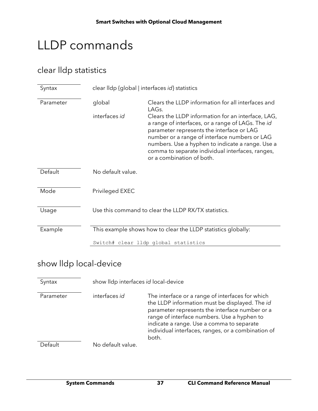# LLDP commands

## clear lldp statistics

| Syntax    | clear lldp {global   interfaces id} statistics                |                                                                                                                                                                                                                                                                                                                                            |
|-----------|---------------------------------------------------------------|--------------------------------------------------------------------------------------------------------------------------------------------------------------------------------------------------------------------------------------------------------------------------------------------------------------------------------------------|
| Parameter | global                                                        | Clears the LLDP information for all interfaces and<br>LAGs.                                                                                                                                                                                                                                                                                |
|           | interfaces id                                                 | Clears the LLDP information for an interface, LAG,<br>a range of interfaces, or a range of LAGs. The id<br>parameter represents the interface or LAG<br>number or a range of interface numbers or LAG<br>numbers. Use a hyphen to indicate a range. Use a<br>comma to separate individual interfaces, ranges,<br>or a combination of both. |
| Default   | No default value.                                             |                                                                                                                                                                                                                                                                                                                                            |
| Mode      | Privileged EXEC                                               |                                                                                                                                                                                                                                                                                                                                            |
| Usage     |                                                               | Use this command to clear the LLDP RX/TX statistics.                                                                                                                                                                                                                                                                                       |
| Example   | This example shows how to clear the LLDP statistics globally: |                                                                                                                                                                                                                                                                                                                                            |
|           |                                                               | Switch# clear lldp global statistics                                                                                                                                                                                                                                                                                                       |

## show lldp local-device

| Syntax    | show IIdp interfaces id local-device |                                                                                                                                                                                                                                                                                                                 |  |
|-----------|--------------------------------------|-----------------------------------------------------------------------------------------------------------------------------------------------------------------------------------------------------------------------------------------------------------------------------------------------------------------|--|
| Parameter | interfaces id                        | The interface or a range of interfaces for which<br>the LLDP information must be displayed. The id<br>parameter represents the interface number or a<br>range of interface numbers. Use a hyphen to<br>indicate a range. Use a comma to separate<br>individual interfaces, ranges, or a combination of<br>both. |  |
| Default   | No default value.                    |                                                                                                                                                                                                                                                                                                                 |  |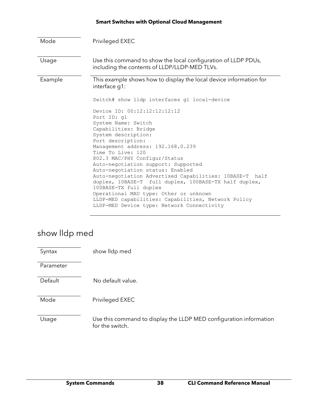| Mode    | Privileged EXEC                                                                                                                                                                                                                                                                                                                                                                                                                                                                                      |
|---------|------------------------------------------------------------------------------------------------------------------------------------------------------------------------------------------------------------------------------------------------------------------------------------------------------------------------------------------------------------------------------------------------------------------------------------------------------------------------------------------------------|
| Usage   | Use this command to show the local configuration of LLDP PDUs,<br>including the contents of LLDP/LLDP-MED TLVs.                                                                                                                                                                                                                                                                                                                                                                                      |
| Example | This example shows how to display the local device information for<br>interface g1:                                                                                                                                                                                                                                                                                                                                                                                                                  |
|         | Switch# show lldp interfaces q1 local-device                                                                                                                                                                                                                                                                                                                                                                                                                                                         |
|         | Device ID: 00:12:12:12:12:12<br>Port ID: g1<br>System Name: Switch<br>Capabilities: Bridge<br>System description:<br>Port description:<br>Management address: 192.168.0.239<br>Time To Live: 120<br>802.3 MAC/PHY Configur/Status<br>Auto-negotiation support: Supported<br>Auto-negotiation status: Enabled<br>Auto-negotiation Advertised Capabilities: 10BASE-T half<br>duplex, 10BASE-T full duplex, 100BASE-TX half duplex,<br>100BASE-TX full duplex<br>Operational MAU type: Other or unknown |
|         | LLDP-MED capabilities: Capabilities, Network Policy<br>LLDP-MED Device type: Network Connectivity                                                                                                                                                                                                                                                                                                                                                                                                    |

## show lldp med

| Syntax    | show lldp med                                                                         |
|-----------|---------------------------------------------------------------------------------------|
| Parameter |                                                                                       |
| Default   | No default value.                                                                     |
| Mode      | Privileged EXEC                                                                       |
| Usage     | Use this command to display the LLDP MED configuration information<br>for the switch. |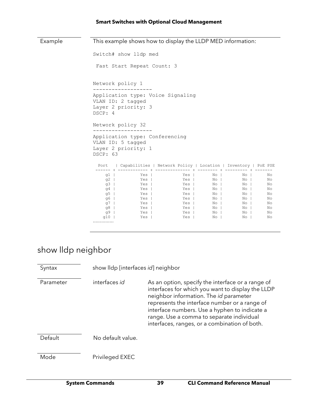| Example |                                                                                              | This example shows how to display the LLDP MED information:                            |                                                                                            |                                                                    |                                                                      |                                                    |  |
|---------|----------------------------------------------------------------------------------------------|----------------------------------------------------------------------------------------|--------------------------------------------------------------------------------------------|--------------------------------------------------------------------|----------------------------------------------------------------------|----------------------------------------------------|--|
|         |                                                                                              | Switch# show lldp med                                                                  |                                                                                            |                                                                    |                                                                      |                                                    |  |
|         |                                                                                              | Fast Start Repeat Count: 3                                                             |                                                                                            |                                                                    |                                                                      |                                                    |  |
|         |                                                                                              | Network policy 1                                                                       |                                                                                            |                                                                    |                                                                      |                                                    |  |
|         | DSCP: 4                                                                                      | Application type: Voice Signaling<br>VLAN ID: 2 tagged<br>Layer 2 priority: 3          |                                                                                            |                                                                    |                                                                      |                                                    |  |
|         |                                                                                              | Network policy 32                                                                      |                                                                                            |                                                                    |                                                                      |                                                    |  |
|         |                                                                                              | Application type: Conferencing<br>VLAN ID: 5 tagged<br>Layer 2 priority: 1<br>DSCP: 63 |                                                                                            |                                                                    |                                                                      |                                                    |  |
|         |                                                                                              |                                                                                        | Port   Capabilities   Network Policy   Location   Inventory   PoE PSE                      |                                                                    |                                                                      |                                                    |  |
|         | $q1$  <br>$q2$  <br>$q3$  <br>q4  <br>q5 $\parallel$<br>q6  <br>q7 $\vert$<br>q $81$<br>$q9$ | Yes  <br>Yes  <br>Yes  <br>Yes  <br>Yes  <br>Yes  <br>Yes  <br>Yes  <br>Yes            | Yes  <br><b>Example 3</b> Yes<br>Yes  <br>Yes  <br>Yes  <br>Yes  <br>Yes  <br>Yes  <br>Yes | No I<br>No I<br>No I<br>No I<br>No I<br>No  <br>No I<br>No I<br>No | $No$  <br>No  <br>No I<br>No I<br>No I<br>No I<br>No I<br>No I<br>No | No<br>No<br>No<br>No<br>No<br>No<br>No<br>No<br>No |  |
|         | $q10$  <br>                                                                                  | Yes                                                                                    | Yes                                                                                        | No I                                                               | N <sub>O</sub>                                                       | No                                                 |  |

## show lldp neighbor

| Syntax    | show lldp [interfaces id] neighbor |                                                                                                                                                                                                                                                                                                                                                         |
|-----------|------------------------------------|---------------------------------------------------------------------------------------------------------------------------------------------------------------------------------------------------------------------------------------------------------------------------------------------------------------------------------------------------------|
| Parameter | interfaces id                      | As an option, specify the interface or a range of<br>interfaces for which you want to display the LLDP<br>neighbor information. The <i>id</i> parameter<br>represents the interface number or a range of<br>interface numbers. Use a hyphen to indicate a<br>range. Use a comma to separate individual<br>interfaces, ranges, or a combination of both. |
| Default   | No default value.                  |                                                                                                                                                                                                                                                                                                                                                         |
| Mode      | Privileged EXEC                    |                                                                                                                                                                                                                                                                                                                                                         |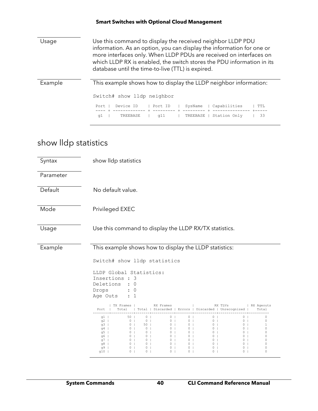| Usage   | Use this command to display the received neighbor LLDP PDU<br>information. As an option, you can display the information for one or<br>more interfaces only. When LLDP PDUs are received on interfaces on<br>which LLDP RX is enabled, the switch stores the PDU information in its<br>database until the time-to-live (TTL) is expired. |  |  |
|---------|------------------------------------------------------------------------------------------------------------------------------------------------------------------------------------------------------------------------------------------------------------------------------------------------------------------------------------------|--|--|
| Example | This example shows how to display the LLDP neighbor information:                                                                                                                                                                                                                                                                         |  |  |
|         | Switch# show lldp neighbor                                                                                                                                                                                                                                                                                                               |  |  |
|         | Device ID<br>Capabilities<br>SysName<br>Port<br>Port ID<br>TTT                                                                                                                                                                                                                                                                           |  |  |
|         | Station Only<br>33<br>q11<br><b>α1</b><br>TREEBASE<br>TREEBASE                                                                                                                                                                                                                                                                           |  |  |

## show lldp statistics

| Syntax    | show Ildp statistics                                                                                                                                                                                                                                                                                                                                                                                                                                                                                                                                                                                                                                                                                                                                                                                                                                                                                                                                                                                                                                                                                                                                               |  |  |  |
|-----------|--------------------------------------------------------------------------------------------------------------------------------------------------------------------------------------------------------------------------------------------------------------------------------------------------------------------------------------------------------------------------------------------------------------------------------------------------------------------------------------------------------------------------------------------------------------------------------------------------------------------------------------------------------------------------------------------------------------------------------------------------------------------------------------------------------------------------------------------------------------------------------------------------------------------------------------------------------------------------------------------------------------------------------------------------------------------------------------------------------------------------------------------------------------------|--|--|--|
| Parameter |                                                                                                                                                                                                                                                                                                                                                                                                                                                                                                                                                                                                                                                                                                                                                                                                                                                                                                                                                                                                                                                                                                                                                                    |  |  |  |
| Default   | No default value.                                                                                                                                                                                                                                                                                                                                                                                                                                                                                                                                                                                                                                                                                                                                                                                                                                                                                                                                                                                                                                                                                                                                                  |  |  |  |
| Mode      | Privileged EXEC                                                                                                                                                                                                                                                                                                                                                                                                                                                                                                                                                                                                                                                                                                                                                                                                                                                                                                                                                                                                                                                                                                                                                    |  |  |  |
| Usage     | Use this command to display the LLDP RX/TX statistics.                                                                                                                                                                                                                                                                                                                                                                                                                                                                                                                                                                                                                                                                                                                                                                                                                                                                                                                                                                                                                                                                                                             |  |  |  |
| Example   | This example shows how to display the LLDP statistics:<br>Switch# show lldp statistics                                                                                                                                                                                                                                                                                                                                                                                                                                                                                                                                                                                                                                                                                                                                                                                                                                                                                                                                                                                                                                                                             |  |  |  |
|           | LLDP Global Statistics:<br>Insertions : 3<br>Deletions<br>$\colon 0$<br>Drops<br>$\colon 0$<br>Age Outs<br>: 1                                                                                                                                                                                                                                                                                                                                                                                                                                                                                                                                                                                                                                                                                                                                                                                                                                                                                                                                                                                                                                                     |  |  |  |
|           | TX Frames  <br>RX Frames<br>RX TLVS<br>  RX Ageouts<br>Total   Total   Discarded   Errors   Discarded   Unrecognized  <br>Port  <br>Total                                                                                                                                                                                                                                                                                                                                                                                                                                                                                                                                                                                                                                                                                                                                                                                                                                                                                                                                                                                                                          |  |  |  |
|           | $50$  <br>0 <sup>1</sup><br>0 <sub>1</sub><br>0 <sub>1</sub><br>$0$  <br>0<br>$q1$  <br>0 <sub>1</sub><br>0 <sub>1</sub><br>$0$  <br>$0$  <br>0<br>$q2$  <br>0 <sub>1</sub><br>0 <sub>1</sub><br>0 <sub>1</sub><br>0 <sub>1</sub><br>$50$  <br>0 <sub>1</sub><br>0 <sub>1</sub><br>0 <sub>1</sub><br>0 <sub>1</sub><br>1<br>q $3$  <br>0 <sup>1</sup><br>g4  <br>0 <sub>1</sub><br>0 <sub>1</sub><br>0 <sub>1</sub><br>0 <sub>1</sub><br>0 <sub>1</sub><br>0<br>$\circ$<br>0 <sub>1</sub><br>0 <sub>1</sub><br>$q5$  <br>0 <sub>1</sub><br>0 <sub>1</sub><br>0 <sub>1</sub><br>0<br>0 <sub>1</sub><br>$0-1$<br>0 <sub>1</sub><br>0<br>g6  <br>0 <sub>1</sub><br>0 <sub>1</sub><br>0 <sub>1</sub><br>$0$  <br>0 <sub>1</sub><br>0 <sub>1</sub><br>$q7$  <br>0 <sub>1</sub><br>0 <sub>1</sub><br>0 <sub>1</sub><br>0<br>$0-1$<br>$0-1$<br>0 <sub>1</sub><br>0<br>$q8$  <br>0 <sub>1</sub><br>0 <sub>1</sub><br>$0-1$<br>0 <sub>1</sub><br>0 <sub>1</sub><br>0 <sub>1</sub><br>0<br>g9  <br>0 <sub>1</sub><br>0 <sub>1</sub><br>0 <sub>1</sub><br>0 <sub>1</sub><br>0<br>$0$  <br>0 <sub>1</sub><br>0 <sub>1</sub><br>0 <sub>1</sub><br>0 <sub>1</sub><br>q10 $\vert$ |  |  |  |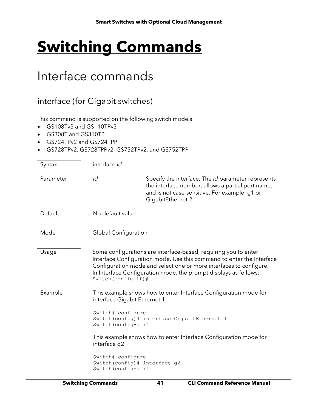# **Switching Commands**

# Interface commands

### interface (for Gigabit switches)

This command is supported on the following switch models:

- GS108Tv3 and GS110TPv3
- GS308T and GS310TP
- GS724TPv2 and GS724TPP
- GS728TPv2, GS728TPPv2, GS752TPv2, and GS752TPP

| Syntax    | interface id           |                                                                                                                                                                                                                                                                                                                                                   |  |
|-----------|------------------------|---------------------------------------------------------------------------------------------------------------------------------------------------------------------------------------------------------------------------------------------------------------------------------------------------------------------------------------------------|--|
| Parameter | id                     | Specify the interface. The <i>id</i> parameter represents<br>the interface number, allows a partial port name,<br>and is not case-sensitive. For example, g1 or<br>GigabitEthernet 2.                                                                                                                                                             |  |
| Default   | No default value.      |                                                                                                                                                                                                                                                                                                                                                   |  |
| Mode      | Global Configuration   |                                                                                                                                                                                                                                                                                                                                                   |  |
| Usage     | Switch (config-if) $#$ | Some configurations are interface-based, requiring you to enter<br>Interface Configuration mode. Use this command to enter the Interface<br>Configuration mode and select one or more interfaces to configure.<br>In Interface Configuration mode, the prompt displays as follows:                                                                |  |
| Example   | interface g2:          | This example shows how to enter Interface Configuration mode for<br>interface Gigabit Ethernet 1:<br>Switch# configure<br>Switch (config) # interface GigabitEthernet 1<br>Switch (config-if) #<br>This example shows how to enter Interface Configuration mode for<br>Switch# configure<br>Switch (config) # interface g2<br>Switch (config-if)# |  |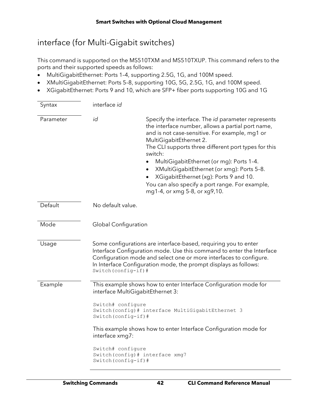## interface (for Multi-Gigabit switches)

This command is supported on the MS510TXM and MS510TXUP. This command refers to the ports and their supported speeds as follows:

- MultiGigabitEthernet: Ports 1–4, supporting 2.5G, 1G, and 100M speed.
- XMultiGigabitEthernet: Ports 5–8, supporting 10G, 5G, 2.5G, 1G, and 100M speed.
- XGigabitEthernet: Ports 9 and 10, which are SFP+ fiber ports supporting 10G and 1G

| Syntax    | interface id                                                                                                                                                                                                                                                                                               |                                                                                                                                                                                                                                                                                                                                                                                                                                                                                                           |  |
|-----------|------------------------------------------------------------------------------------------------------------------------------------------------------------------------------------------------------------------------------------------------------------------------------------------------------------|-----------------------------------------------------------------------------------------------------------------------------------------------------------------------------------------------------------------------------------------------------------------------------------------------------------------------------------------------------------------------------------------------------------------------------------------------------------------------------------------------------------|--|
| Parameter | id                                                                                                                                                                                                                                                                                                         | Specify the interface. The id parameter represents<br>the interface number, allows a partial port name,<br>and is not case-sensitive. For example, mg1 or<br>MultiGigabitEthernet 2.<br>The CLI supports three different port types for this<br>switch:<br>MultiGigabitEthernet (or mg): Ports 1-4.<br>$\bullet$<br>XMultiGigabitEthernet (or xmg): Ports 5-8.<br>$\bullet$<br>XGigabitEthernet (xg): Ports 9 and 10.<br>You can also specify a port range. For example,<br>mg1-4, or xmg 5-8, or xg9,10. |  |
| Default   | No default value.                                                                                                                                                                                                                                                                                          |                                                                                                                                                                                                                                                                                                                                                                                                                                                                                                           |  |
| Mode      | <b>Global Configuration</b>                                                                                                                                                                                                                                                                                |                                                                                                                                                                                                                                                                                                                                                                                                                                                                                                           |  |
| Usage     | Some configurations are interface-based, requiring you to enter<br>Interface Configuration mode. Use this command to enter the Interface<br>Configuration mode and select one or more interfaces to configure.<br>In Interface Configuration mode, the prompt displays as follows:<br>Switch (config-if) # |                                                                                                                                                                                                                                                                                                                                                                                                                                                                                                           |  |
| Example   | This example shows how to enter Interface Configuration mode for<br>interface MultiGigabitEthernet 3:                                                                                                                                                                                                      |                                                                                                                                                                                                                                                                                                                                                                                                                                                                                                           |  |
|           | Switch# configure<br>Switch(config)# interface MultiGigabitEthernet 3<br>Switch (config-if)#                                                                                                                                                                                                               |                                                                                                                                                                                                                                                                                                                                                                                                                                                                                                           |  |
|           | This example shows how to enter Interface Configuration mode for<br>interface xmg7:                                                                                                                                                                                                                        |                                                                                                                                                                                                                                                                                                                                                                                                                                                                                                           |  |
|           | Switch# configure<br>Switch (config-if) #                                                                                                                                                                                                                                                                  | Switch (config) # interface xmg7                                                                                                                                                                                                                                                                                                                                                                                                                                                                          |  |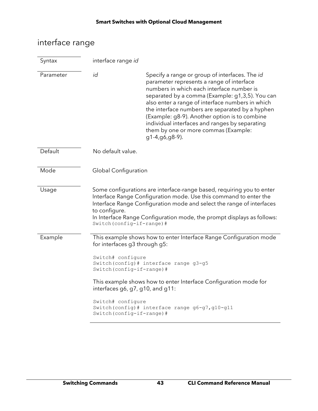# interface range

| Syntax    | interface range id                                                                                  |                                                                                                                                                                                                                                                                                                                                                                                                                                                                 |  |  |
|-----------|-----------------------------------------------------------------------------------------------------|-----------------------------------------------------------------------------------------------------------------------------------------------------------------------------------------------------------------------------------------------------------------------------------------------------------------------------------------------------------------------------------------------------------------------------------------------------------------|--|--|
| Parameter | id                                                                                                  | Specify a range or group of interfaces. The id<br>parameter represents a range of interface<br>numbers in which each interface number is<br>separated by a comma (Example: g1,3,5). You can<br>also enter a range of interface numbers in which<br>the interface numbers are separated by a hyphen<br>(Example: g8-9). Another option is to combine<br>individual interfaces and ranges by separating<br>them by one or more commas (Example:<br>g1-4,g6,g8-9). |  |  |
| Default   | No default value.                                                                                   |                                                                                                                                                                                                                                                                                                                                                                                                                                                                 |  |  |
| Mode      | Global Configuration                                                                                |                                                                                                                                                                                                                                                                                                                                                                                                                                                                 |  |  |
| Usage     | to configure.<br>Switch (config-if-range) #                                                         | Some configurations are interface-range based, requiring you to enter<br>Interface Range Configuration mode. Use this command to enter the<br>Interface Range Configuration mode and select the range of interfaces<br>In Interface Range Configuration mode, the prompt displays as follows:                                                                                                                                                                   |  |  |
| Example   | This example shows how to enter Interface Range Configuration mode<br>for interfaces g3 through g5: |                                                                                                                                                                                                                                                                                                                                                                                                                                                                 |  |  |
|           | Switch# configure<br>Switch (config) # interface range g3-g5<br>Switch (config-if-range) #          |                                                                                                                                                                                                                                                                                                                                                                                                                                                                 |  |  |
|           |                                                                                                     | This example shows how to enter Interface Configuration mode for<br>interfaces g6, g7, g10, and g11:                                                                                                                                                                                                                                                                                                                                                            |  |  |
|           | Switch# configure<br>Switch (config-if-range) #                                                     | Switch (config)# interface range g6-g7, g10-g11                                                                                                                                                                                                                                                                                                                                                                                                                 |  |  |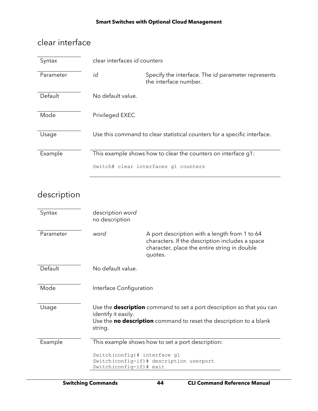## clear interface

| Syntax    | clear interfaces id counters |                                                                                    |
|-----------|------------------------------|------------------------------------------------------------------------------------|
| Parameter | id                           | Specify the interface. The <i>id</i> parameter represents<br>the interface number. |
| Default   | No default value.            |                                                                                    |
| Mode      | Privileged EXEC              |                                                                                    |
| Usage     |                              | Use this command to clear statistical counters for a specific interface.           |
| Example   |                              | This example shows how to clear the counters on interface g1:                      |
|           |                              | Switch# clear interfaces q1 counters                                               |

## description

| Syntax    | description word<br>no description                          |                                                                                                                                                             |
|-----------|-------------------------------------------------------------|-------------------------------------------------------------------------------------------------------------------------------------------------------------|
| Parameter | word                                                        | A port description with a length from 1 to 64<br>characters. If the description includes a space<br>character, place the entire string in double<br>quotes. |
| Default   | No default value.                                           |                                                                                                                                                             |
| Mode      | Interface Configuration                                     |                                                                                                                                                             |
| Usage     | identify it easily.<br>string.                              | Use the <b>description</b> command to set a port description so that you can<br>Use the no description command to reset the description to a blank          |
| Example   |                                                             | This example shows how to set a port description:                                                                                                           |
|           | Switch (config) # interface g1<br>Switch (config-if) # exit | Switch (config-if)# description userport                                                                                                                    |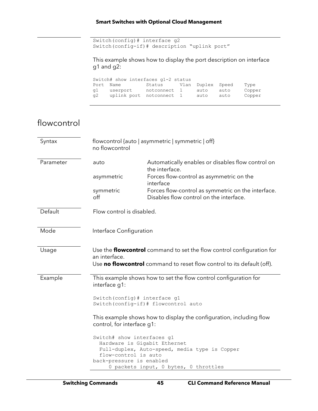Switch(config)# interface g2 Switch(config-if)# description "uplink port"

This example shows how to display the port description on interface g1 and g2:

Switch# show interfaces g1-2 status Port Name Status Vlan Duplex Speed Type g1 userport notconnect 1 auto auto Copper g2 uplink port notconnect 1 auto auto Copper

### flowcontrol

| Syntax    | no flowcontrol                                                                 | flowcontrol {auto   asymmetric   symmetric   off}                                                                                                             |
|-----------|--------------------------------------------------------------------------------|---------------------------------------------------------------------------------------------------------------------------------------------------------------|
| Parameter | auto                                                                           | Automatically enables or disables flow control on<br>the interface.                                                                                           |
|           | asymmetric                                                                     | Forces flow-control as asymmetric on the<br>interface                                                                                                         |
|           | symmetric<br>off                                                               | Forces flow-control as symmetric on the interface.<br>Disables flow control on the interface.                                                                 |
| Default   | Flow control is disabled.                                                      |                                                                                                                                                               |
| Mode      | Interface Configuration                                                        |                                                                                                                                                               |
| Usage     | an interface.                                                                  | Use the <b>flowcontrol</b> command to set the flow control configuration for<br>Use <b>no flowcontrol</b> command to reset flow control to its default (off). |
| Example   | interface q1:                                                                  | This example shows how to set the flow control configuration for<br>Switch (config) # interface g1                                                            |
|           |                                                                                | Switch (config-if) # flowcontrol auto                                                                                                                         |
|           | control, for interface g1:                                                     | This example shows how to display the configuration, including flow                                                                                           |
|           | Switch# show interfaces g1<br>flow-control is auto<br>back-pressure is enabled | Hardware is Gigabit Ethernet<br>Full-duplex, Auto-speed, media type is Copper<br>0 packets input, 0 bytes, 0 throttles                                        |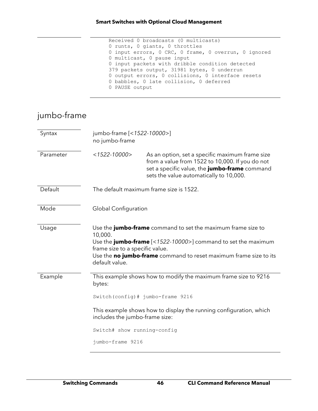```
 Received 0 broadcasts (0 multicasts)
 0 runts, 0 giants, 0 throttles
 0 input errors, 0 CRC, 0 frame, 0 overrun, 0 ignored
 0 multicast, 0 pause input
 0 input packets with dribble condition detected
 379 packets output, 31981 bytes, 0 underrun
0 output errors, 0 collisions, 0 interface resets
 0 babbles, 0 late collision, 0 deferred
 0 PAUSE output
```
## jumbo-frame

| Syntax    | jumbo-frame [<1522-10000>]<br>no jumbo-frame                 |                                                                                                                                                                                                                    |
|-----------|--------------------------------------------------------------|--------------------------------------------------------------------------------------------------------------------------------------------------------------------------------------------------------------------|
| Parameter | $<$ 1522-10000>                                              | As an option, set a specific maximum frame size<br>from a value from 1522 to 10,000. If you do not<br>set a specific value, the jumbo-frame command<br>sets the value automatically to 10,000.                     |
| Default   |                                                              | The default maximum frame size is 1522.                                                                                                                                                                            |
| Mode      | <b>Global Configuration</b>                                  |                                                                                                                                                                                                                    |
| Usage     | 10,000.<br>frame size to a specific value.<br>default value. | Use the <b>jumbo-frame</b> command to set the maximum frame size to<br>Use the <b>jumbo-frame</b> $[<1522-10000>]$ command to set the maximum<br>Use the no jumbo-frame command to reset maximum frame size to its |
| Example   | bytes:                                                       | This example shows how to modify the maximum frame size to 9216                                                                                                                                                    |
|           |                                                              | Switch (config) # jumbo-frame 9216                                                                                                                                                                                 |
|           | includes the jumbo-frame size:                               | This example shows how to display the running configuration, which                                                                                                                                                 |
|           | Switch# show running-config                                  |                                                                                                                                                                                                                    |
|           | jumbo-frame 9216                                             |                                                                                                                                                                                                                    |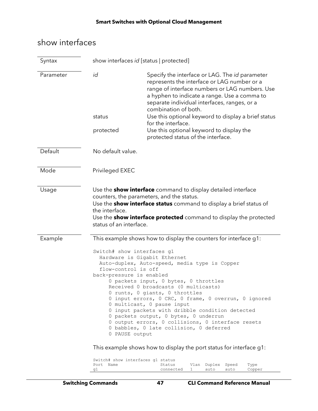## show interfaces

| Syntax    | show interfaces id [status   protected]                           |                                                                                                                                                                                                                                                                                                                                                                                                                                                                                                                                                                                                                                                             |  |
|-----------|-------------------------------------------------------------------|-------------------------------------------------------------------------------------------------------------------------------------------------------------------------------------------------------------------------------------------------------------------------------------------------------------------------------------------------------------------------------------------------------------------------------------------------------------------------------------------------------------------------------------------------------------------------------------------------------------------------------------------------------------|--|
| Parameter | id                                                                | Specify the interface or LAG. The id parameter<br>represents the interface or LAG number or a<br>range of interface numbers or LAG numbers. Use<br>a hyphen to indicate a range. Use a comma to<br>separate individual interfaces, ranges, or a<br>combination of both.                                                                                                                                                                                                                                                                                                                                                                                     |  |
|           | status                                                            | Use this optional keyword to display a brief status<br>for the interface.                                                                                                                                                                                                                                                                                                                                                                                                                                                                                                                                                                                   |  |
|           | protected                                                         | Use this optional keyword to display the<br>protected status of the interface.                                                                                                                                                                                                                                                                                                                                                                                                                                                                                                                                                                              |  |
| Default   | No default value.                                                 |                                                                                                                                                                                                                                                                                                                                                                                                                                                                                                                                                                                                                                                             |  |
| Mode      | Privileged EXEC                                                   |                                                                                                                                                                                                                                                                                                                                                                                                                                                                                                                                                                                                                                                             |  |
| Usage     | the interface.<br>status of an interface.                         | Use the <b>show interface</b> command to display detailed interface<br>counters, the parameters, and the status.<br>Use the <b>show interface status</b> command to display a brief status of<br>Use the <b>show interface protected</b> command to display the protected                                                                                                                                                                                                                                                                                                                                                                                   |  |
| Example   | flow-control is off<br>back-pressure is enabled<br>0 PAUSE output | This example shows how to display the counters for interface g1:<br>Switch# show interfaces g1<br>Hardware is Gigabit Ethernet<br>Auto-duplex, Auto-speed, media type is Copper<br>0 packets input, 0 bytes, 0 throttles<br>Received 0 broadcasts (0 multicasts)<br>0 runts, 0 giants, 0 throttles<br>0 input errors, 0 CRC, 0 frame, 0 overrun, 0 ignored<br>0 multicast, 0 pause input<br>0 input packets with dribble condition detected<br>0 packets output, 0 bytes, 0 underrun<br>0 output errors, 0 collisions, 0 interface resets<br>0 babbles, 0 late collision, 0 deferred<br>This example shows how to display the port status for interface g1: |  |

| Switch# show interfaces q1 status |             |                   |      |        |
|-----------------------------------|-------------|-------------------|------|--------|
| Port Name                         | Status      | Vlan Duplex Speed |      | Type   |
| a1 q                              | connected 1 | auto              | auto | Copper |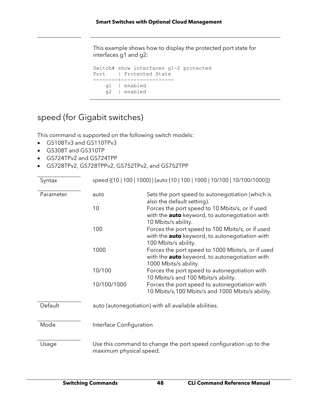This example shows how to display the protected port state for interfaces g1 and g2:

```
Switch# show interfaces g1-2 protected
Port | Protected State
--------+-----------------
    g1 | enabled
    g2 | enabled
```
## speed (for Gigabit switches)

This command is supported on the following switch models:

- GS108Tv3 and GS110TPv3
- GS308T and GS310TP
- GS724TPv2 and GS724TPP
- GS728TPv2, GS728TPPv2, GS752TPv2, and GS752TPP

| Syntax    |                         | speed {{10   100   1000}   {auto [10   100   1000   10/100   10/100/1000]}}                                                         |
|-----------|-------------------------|-------------------------------------------------------------------------------------------------------------------------------------|
| Parameter | auto                    | Sets the port speed to autonegotiation (which is<br>also the default setting).                                                      |
|           | 10                      | Forces the port speed to 10 Mbits/s, or if used<br>with the auto keyword, to autonegotiation with<br>10 Mbits/s ability.            |
|           | 100                     | Forces the port speed to 100 Mbits/s, or if used<br>with the <b>auto</b> keyword, to autonegotiation with<br>100 Mbits/s ability.   |
|           | 1000                    | Forces the port speed to 1000 Mbits/s, or if used<br>with the <b>auto</b> keyword, to autonegotiation with<br>1000 Mbits/s ability. |
|           | 10/100                  | Forces the port speed to autonegotiation with<br>10 Mbits/s and 100 Mbits/s ability.                                                |
|           | 10/100/1000             | Forces the port speed to autonegotiation with<br>10 Mbits/s, 100 Mbits/s and 1000 Mbits/s ability.                                  |
| Default   |                         | auto (autonegotiation) with all available abilities.                                                                                |
| Mode      | Interface Configuration |                                                                                                                                     |
| Usage     | maximum physical speed. | Use this command to change the port speed configuration up to the                                                                   |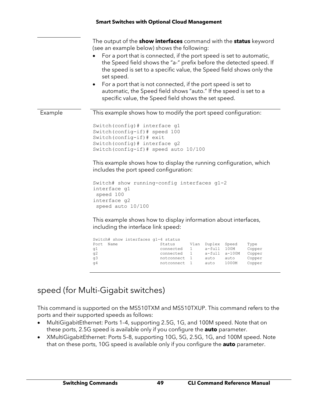|         | The output of the <b>show interfaces</b> command with the <b>status</b> keyword<br>(see an example below) shows the following:<br>For a port that is connected, if the port speed is set to automatic,<br>the Speed field shows the "a-" prefix before the detected speed. If<br>the speed is set to a specific value, the Speed field shows only the<br>set speed.<br>For a port that is not connected, if the port speed is set to<br>automatic, the Speed field shows "auto." If the speed is set to a<br>specific value, the Speed field shows the set speed. |
|---------|-------------------------------------------------------------------------------------------------------------------------------------------------------------------------------------------------------------------------------------------------------------------------------------------------------------------------------------------------------------------------------------------------------------------------------------------------------------------------------------------------------------------------------------------------------------------|
| Example | This example shows how to modify the port speed configuration:                                                                                                                                                                                                                                                                                                                                                                                                                                                                                                    |
|         | Switch (config) # interface g1<br>Switch (config-if) # speed 100<br>Switch (config-if) # exit<br>Switch (config) # interface g2<br>Switch (config-if) # speed auto 10/100                                                                                                                                                                                                                                                                                                                                                                                         |
|         | This example shows how to display the running configuration, which<br>includes the port speed configuration:                                                                                                                                                                                                                                                                                                                                                                                                                                                      |
|         | Switch# show running-config interfaces g1-2<br>interface g1<br>speed 100<br>interface g2<br>speed auto 10/100                                                                                                                                                                                                                                                                                                                                                                                                                                                     |
|         | This example shows how to display information about interfaces,<br>including the interface link speed:                                                                                                                                                                                                                                                                                                                                                                                                                                                            |
|         | $Switch\#$ show interfaces $g1-4$ status                                                                                                                                                                                                                                                                                                                                                                                                                                                                                                                          |

|              | Switch# show interfaces q1-4 status |      |              |               |        |
|--------------|-------------------------------------|------|--------------|---------------|--------|
| Port<br>Name | Status                              | Vlan | Duplex Speed |               | Type   |
| q1           | connected                           |      | a-full       | 100M          | Copper |
| q2           | connected                           |      |              | a-full a-100M | Copper |
| q3           | notconnect                          |      | auto         | auto          | Copper |
| q4           | notconnect 1                        |      | auto         | 1000M         | Copper |
|              |                                     |      |              |               |        |

## speed (for Multi-Gigabit switches)

This command is supported on the MS510TXM and MS510TXUP. This command refers to the ports and their supported speeds as follows:

- MultiGigabitEthernet: Ports 1–4, supporting 2.5G, 1G, and 100M speed. Note that on these ports, 2.5G speed is available only if you configure the **auto** parameter.
- XMultiGigabitEthernet: Ports 5–8, supporting 10G, 5G, 2.5G, 1G, and 100M speed. Note that on these ports, 10G speed is available only if you configure the **auto** parameter.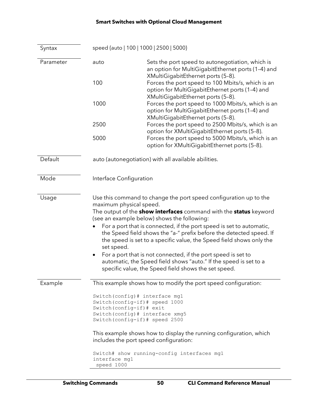| Syntax    | speed {auto   100   1000   2500   5000}                                                                                                                                |                                                                                                                                                                                                                                                                                                                                                                                                                                                                                                                                                                  |  |
|-----------|------------------------------------------------------------------------------------------------------------------------------------------------------------------------|------------------------------------------------------------------------------------------------------------------------------------------------------------------------------------------------------------------------------------------------------------------------------------------------------------------------------------------------------------------------------------------------------------------------------------------------------------------------------------------------------------------------------------------------------------------|--|
| Parameter | auto                                                                                                                                                                   | Sets the port speed to autonegotiation, which is<br>an option for MultiGigabitEthernet ports (1-4) and<br>XMultiGigabitEthernet ports (5-8).                                                                                                                                                                                                                                                                                                                                                                                                                     |  |
|           | 100                                                                                                                                                                    | Forces the port speed to 100 Mbits/s, which is an<br>option for MultiGigabitEthernet ports (1-4) and<br>XMultiGigabitEthernet ports (5-8).                                                                                                                                                                                                                                                                                                                                                                                                                       |  |
|           | 1000                                                                                                                                                                   | Forces the port speed to 1000 Mbits/s, which is an<br>option for MultiGigabitEthernet ports (1-4) and<br>XMultiGigabitEthernet ports (5-8).                                                                                                                                                                                                                                                                                                                                                                                                                      |  |
|           | 2500                                                                                                                                                                   | Forces the port speed to 2500 Mbits/s, which is an<br>option for XMultiGigabitEthernet ports (5-8).                                                                                                                                                                                                                                                                                                                                                                                                                                                              |  |
|           | 5000                                                                                                                                                                   | Forces the port speed to 5000 Mbits/s, which is an<br>option for XMultiGigabitEthernet ports (5-8).                                                                                                                                                                                                                                                                                                                                                                                                                                                              |  |
| Default   |                                                                                                                                                                        | auto (autonegotiation) with all available abilities.                                                                                                                                                                                                                                                                                                                                                                                                                                                                                                             |  |
| Mode      | Interface Configuration                                                                                                                                                |                                                                                                                                                                                                                                                                                                                                                                                                                                                                                                                                                                  |  |
| Usage     | maximum physical speed.<br>set speed.<br>٠                                                                                                                             | Use this command to change the port speed configuration up to the<br>The output of the <b>show interfaces</b> command with the <b>status</b> keyword<br>(see an example below) shows the following:<br>For a port that is connected, if the port speed is set to automatic,<br>the Speed field shows the "a-" prefix before the detected speed. If<br>the speed is set to a specific value, the Speed field shows only the<br>For a port that is not connected, if the port speed is set to<br>automatic, the Speed field shows "auto." If the speed is set to a |  |
|           |                                                                                                                                                                        | specific value, the Speed field shows the set speed.                                                                                                                                                                                                                                                                                                                                                                                                                                                                                                             |  |
| Example   |                                                                                                                                                                        | This example shows how to modify the port speed configuration:                                                                                                                                                                                                                                                                                                                                                                                                                                                                                                   |  |
|           | Switch (config) # interface mg1<br>Switch (config-if) # speed 1000<br>Switch (config-if) # exit<br>Switch (config) # interface xmg5<br>Switch (config-if) # speed 2500 |                                                                                                                                                                                                                                                                                                                                                                                                                                                                                                                                                                  |  |
|           |                                                                                                                                                                        | This example shows how to display the running configuration, which<br>includes the port speed configuration:                                                                                                                                                                                                                                                                                                                                                                                                                                                     |  |
|           | interface mg1                                                                                                                                                          | Switch# show running-config interfaces mg1                                                                                                                                                                                                                                                                                                                                                                                                                                                                                                                       |  |

speed 1000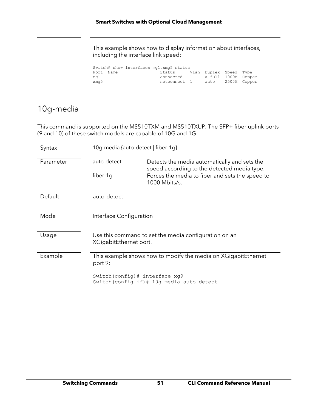This example shows how to display information about interfaces, including the interface link speed:

|                          | Switch# show interfaces mg1, xmg5 status |                                                              |                                          |  |
|--------------------------|------------------------------------------|--------------------------------------------------------------|------------------------------------------|--|
| Port Name<br>mg1<br>xmg5 |                                          | Status Vlan Duplex Speed Type<br>connected 1<br>notconnect 1 | a-full 1000M Copper<br>auto 2500M Copper |  |

### 10g-media

This command is supported on the MS510TXM and MS510TXUP. The SFP+ fiber uplink ports (9 and 10) of these switch models are capable of 10G and 1G.

| Syntax    | 10g-media {auto-detect   fiber-1g}                                            |                                                                                                                                                                 |  |
|-----------|-------------------------------------------------------------------------------|-----------------------------------------------------------------------------------------------------------------------------------------------------------------|--|
| Parameter | auto-detect<br>fiber-1g                                                       | Detects the media automatically and sets the<br>speed according to the detected media type.<br>Forces the media to fiber and sets the speed to<br>1000 Mbits/s. |  |
| Default   | auto-detect                                                                   |                                                                                                                                                                 |  |
| Mode      | Interface Configuration                                                       |                                                                                                                                                                 |  |
| Usage     | XGigabitEthernet port.                                                        | Use this command to set the media configuration on an                                                                                                           |  |
| Example   | This example shows how to modify the media on XGigabitEthernet<br>port 9:     |                                                                                                                                                                 |  |
|           | Switch (config) # interface xg9<br>Switch (config-if) # 10g-media auto-detect |                                                                                                                                                                 |  |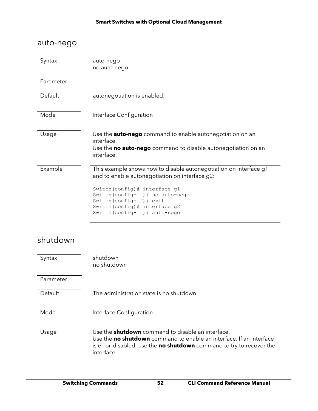| auto-nego |                                                                                                                                                                                                                                                                                             |
|-----------|---------------------------------------------------------------------------------------------------------------------------------------------------------------------------------------------------------------------------------------------------------------------------------------------|
| Syntax    | auto-nego<br>no auto-nego                                                                                                                                                                                                                                                                   |
| Parameter |                                                                                                                                                                                                                                                                                             |
| Default   | autonegotiation is enabled.                                                                                                                                                                                                                                                                 |
| Mode      | Interface Configuration                                                                                                                                                                                                                                                                     |
| Usage     | Use the <b>auto-nego</b> command to enable autonegotiation on an<br>interface.<br>Use the <b>no auto-nego</b> command to disable autonegotiation on an<br>interface.                                                                                                                        |
| Example   | This example shows how to disable autonegotiation on interface g1<br>and to enable autonegotiation on interface g2:<br>Switch (config) # interface g1<br>Switch (config-if) # no auto-nego<br>Switch (config-if) # exit<br>Switch (config) # interface g2<br>Switch (config-if) # auto-nego |

## shutdown

| Syntax    | shutdown<br>no shutdown                                                                                                                                                                                                      |
|-----------|------------------------------------------------------------------------------------------------------------------------------------------------------------------------------------------------------------------------------|
| Parameter |                                                                                                                                                                                                                              |
| Default   | The administration state is no shutdown.                                                                                                                                                                                     |
| Mode      | Interface Configuration                                                                                                                                                                                                      |
| Usage     | Use the <b>shutdown</b> command to disable an interface.<br>Use the no shutdown command to enable an interface. If an interface<br>is error-disabled, use the <b>no shutdown</b> command to try to recover the<br>interface. |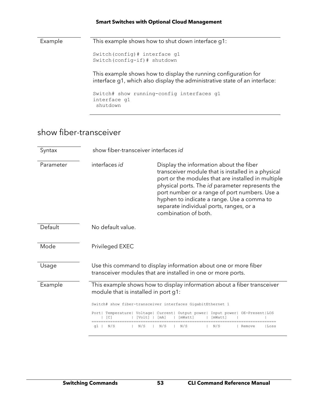Example This example shows how to shut down interface g1: Switch(config)# interface g1 Switch(config-if)# shutdown This example shows how to display the running configuration for interface g1, which also display the administrative state of an interface: Switch# show running-config interfaces g1 interface g1 shutdown

### show fiber-transceiver

| Syntax    |                                      | show fiber-transceiver interfaces id                                                                                                                                                                                                                                                                                                                                     |  |
|-----------|--------------------------------------|--------------------------------------------------------------------------------------------------------------------------------------------------------------------------------------------------------------------------------------------------------------------------------------------------------------------------------------------------------------------------|--|
| Parameter | interfaces id                        | Display the information about the fiber<br>transceiver module that is installed in a physical<br>port or the modules that are installed in multiple<br>physical ports. The id parameter represents the<br>port number or a range of port numbers. Use a<br>hyphen to indicate a range. Use a comma to<br>separate individual ports, ranges, or a<br>combination of both. |  |
| Default   | No default value.                    |                                                                                                                                                                                                                                                                                                                                                                          |  |
| Mode      | Privileged EXEC                      |                                                                                                                                                                                                                                                                                                                                                                          |  |
| Usage     |                                      | Use this command to display information about one or more fiber<br>transceiver modules that are installed in one or more ports.                                                                                                                                                                                                                                          |  |
| Example   | module that is installed in port g1: | This example shows how to display information about a fiber transceiver                                                                                                                                                                                                                                                                                                  |  |
|           |                                      | Switch# show fiber-transceiver interfaces GigabitEthernet 1                                                                                                                                                                                                                                                                                                              |  |
|           | TC 1<br>IVolt!                       | Port  Temperature  Voltage  Current  Output power  Input power  OE-Present LOS<br>l mA l<br>lmWattl                                                                                                                                                                                                                                                                      |  |
|           | N/S<br>N/S<br>q1                     | N/S<br>N/S<br>N/S<br>Remove<br>lLoss                                                                                                                                                                                                                                                                                                                                     |  |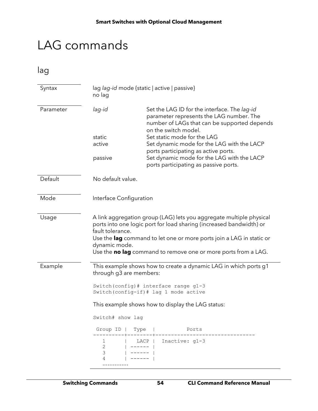# LAG commands

lag

| Syntax    | lag lag-id mode {static   active   passive}<br>no lag |                                                                                                                                                                                                                                                                                      |
|-----------|-------------------------------------------------------|--------------------------------------------------------------------------------------------------------------------------------------------------------------------------------------------------------------------------------------------------------------------------------------|
| Parameter | lag-id                                                | Set the LAG ID for the interface. The lag-id<br>parameter represents the LAG number. The<br>number of LAGs that can be supported depends<br>on the switch model.                                                                                                                     |
|           | static                                                | Set static mode for the LAG                                                                                                                                                                                                                                                          |
|           | active                                                | Set dynamic mode for the LAG with the LACP<br>ports participating as active ports.                                                                                                                                                                                                   |
|           | passive                                               | Set dynamic mode for the LAG with the LACP<br>ports participating as passive ports.                                                                                                                                                                                                  |
| Default   | No default value.                                     |                                                                                                                                                                                                                                                                                      |
| Mode      | Interface Configuration                               |                                                                                                                                                                                                                                                                                      |
| Usage     | fault tolerance.<br>dynamic mode.                     | A link aggregation group (LAG) lets you aggregate multiple physical<br>ports into one logic port for load sharing (increased bandwidth) or<br>Use the lag command to let one or more ports join a LAG in static or<br>Use the no lag command to remove one or more ports from a LAG. |
| Example   | through g3 are members:                               | This example shows how to create a dynamic LAG in which ports g1<br>Switch (config) # interface range g1-3<br>Switch (config-if) # lag 1 mode active                                                                                                                                 |
|           |                                                       | This example shows how to display the LAG status:                                                                                                                                                                                                                                    |
|           | Switch# show lag                                      |                                                                                                                                                                                                                                                                                      |
|           | Group ID  <br>Type                                    | Ports                                                                                                                                                                                                                                                                                |
|           | 1<br>$\overline{2}$<br>3<br>4                         | Inactive: $g1-3$<br>LACP                                                                                                                                                                                                                                                             |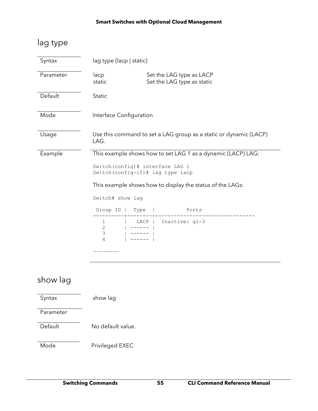## lag type

| Syntax    | lag type {lacp   static}                              |                                                                                                                                                                 |
|-----------|-------------------------------------------------------|-----------------------------------------------------------------------------------------------------------------------------------------------------------------|
| Parameter | lacp<br>static                                        | Set the LAG type as LACP<br>Set the LAG type as static                                                                                                          |
| Default   | <b>Static</b>                                         |                                                                                                                                                                 |
| Mode      | Interface Configuration                               |                                                                                                                                                                 |
| Usage     | LAG.                                                  | Use this command to set a LAG group as a static or dynamic (LACP)                                                                                               |
| Example   | Switch (config) # interface LAG 1<br>Switch# show lag | This example shows how to set LAG 1 as a dynamic (LACP) LAG:<br>Switch (config-if) # lag type lacp<br>This example shows how to display the status of the LAGs: |
|           | Group ID  <br>Type                                    | Ports                                                                                                                                                           |
|           | ı<br>$\overline{2}$<br>3<br>4                         | Inactive: g1-3<br>LACP                                                                                                                                          |
|           |                                                       |                                                                                                                                                                 |

## show lag

Syntax show lag Parameter Default No default value. Mode Privileged EXEC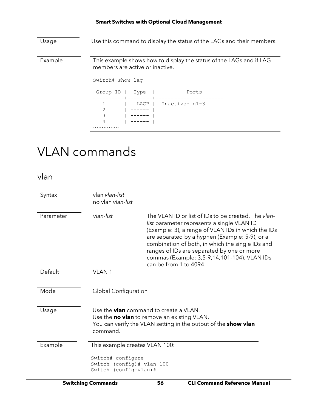Usage Use this command to display the status of the LAGs and their members. Example This example shows how to display the status of the LAGs and if LAG members are active or inactive. Switch# show lag Group ID | Type | Ports ----------+--------+---------------------- 1 | LACP | Inactive: g1-3<br>2 | ----- |  $2 \qquad | \qquad \text{---} \qquad | \qquad \text{---}$ <br>3  $| \qquad \text{---} \qquad |$  3 | ------ | 4 | ------ | ……………

# VLAN commands

vlan

| Syntax    | vlan vlan-list<br>no vlan vlan-list                                     |                                                                                                                                                                                                                                                                                                                                                                                       |
|-----------|-------------------------------------------------------------------------|---------------------------------------------------------------------------------------------------------------------------------------------------------------------------------------------------------------------------------------------------------------------------------------------------------------------------------------------------------------------------------------|
| Parameter | vlan-list                                                               | The VLAN ID or list of IDs to be created. The vlan-<br>list parameter represents a single VLAN ID<br>(Example: 3), a range of VLAN IDs in which the IDs<br>are separated by a hyphen (Example: 5-9), or a<br>combination of both, in which the single IDs and<br>ranges of IDs are separated by one or more<br>commas (Example: 3,5-9,14,101-104). VLAN IDs<br>can be from 1 to 4094. |
| Default   | <b>VLAN1</b>                                                            |                                                                                                                                                                                                                                                                                                                                                                                       |
| Mode      | <b>Global Configuration</b>                                             |                                                                                                                                                                                                                                                                                                                                                                                       |
| Usage     | command.                                                                | Use the <b>vian</b> command to create a VLAN.<br>Use the no vlan to remove an existing VLAN.<br>You can verify the VLAN setting in the output of the <b>show vlan</b>                                                                                                                                                                                                                 |
| Example   | This example creates VLAN 100:                                          |                                                                                                                                                                                                                                                                                                                                                                                       |
|           | Switch# configure<br>Switch (config)# vlan 100<br>Switch (config-vlan)# |                                                                                                                                                                                                                                                                                                                                                                                       |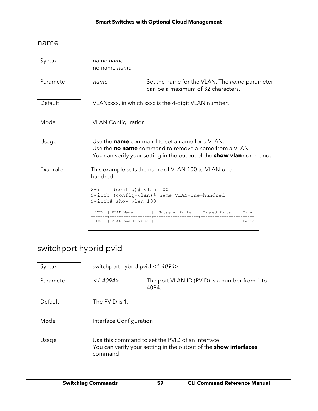#### name

| Syntax    | name name<br>no name name                          |                                                                                                                                                                                                     |
|-----------|----------------------------------------------------|-----------------------------------------------------------------------------------------------------------------------------------------------------------------------------------------------------|
| Parameter | name                                               | Set the name for the VLAN. The name parameter<br>can be a maximum of 32 characters.                                                                                                                 |
| Default   |                                                    | VLANxxxx, in which xxxx is the 4-digit VLAN number.                                                                                                                                                 |
| Mode      | <b>VLAN</b> Configuration                          |                                                                                                                                                                                                     |
| Usage     |                                                    | Use the <b>name</b> command to set a name for a VLAN.<br>Use the <b>no name</b> command to remove a name from a VLAN.<br>You can verify your setting in the output of the <b>show vlan</b> command. |
| Example   | hundred:                                           | This example sets the name of VLAN 100 to VLAN-one-                                                                                                                                                 |
|           | Switch (config)# vlan 100<br>Switch# show ylan 100 | Switch (config-vlan)# name VLAN-one-hundred                                                                                                                                                         |
|           | VLAN Name<br>VID                                   | Untagged Ports   Tagged Ports  <br>Type                                                                                                                                                             |
|           | VLAN-one-hundred  <br>100                          | Static                                                                                                                                                                                              |

## switchport hybrid pvid

| Syntax    | switchport hybrid pvid <1-4094> |                                                                                                                              |
|-----------|---------------------------------|------------------------------------------------------------------------------------------------------------------------------|
| Parameter | $<1-4094>$                      | The port VLAN ID (PVID) is a number from 1 to<br>4094.                                                                       |
| Default   | The PVID is 1.                  |                                                                                                                              |
| Mode      | Interface Configuration         |                                                                                                                              |
| Usage     | command.                        | Use this command to set the PVID of an interface.<br>You can verify your setting in the output of the <b>show interfaces</b> |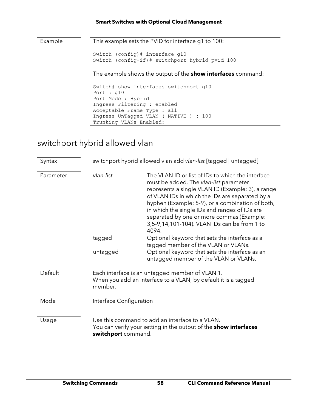Example This example sets the PVID for interface g1 to 100:

Switch (config)# interface g10

Switch (config-if)# switchport hybrid pvid 100

The example shows the output of the **show interfaces** command:

```
Switch# show interfaces switchport g10
Port : g10
Port Mode : Hybrid
Ingress Filtering : enabled
Acceptable Frame Type : all
Ingress UnTagged VLAN ( NATIVE ) : 100
Trunking VLANs Enabled:
```
## switchport hybrid allowed vlan

| Syntax    | switchport hybrid allowed vlan add vlan-list [tagged   untagged] |                                                                                                                                                                                                                                                                                                                                                                                                                |
|-----------|------------------------------------------------------------------|----------------------------------------------------------------------------------------------------------------------------------------------------------------------------------------------------------------------------------------------------------------------------------------------------------------------------------------------------------------------------------------------------------------|
| Parameter | vlan-list                                                        | The VLAN ID or list of IDs to which the interface<br>must be added. The vlan-list parameter<br>represents a single VLAN ID (Example: 3), a range<br>of VLAN IDs in which the IDs are separated by a<br>hyphen (Example: 5-9), or a combination of both,<br>in which the single IDs and ranges of IDs are<br>separated by one or more commas (Example:<br>3,5-9,14,101-104). VLAN IDs can be from 1 to<br>4094. |
|           | tagged                                                           | Optional keyword that sets the interface as a<br>tagged member of the VLAN or VLANs.                                                                                                                                                                                                                                                                                                                           |
|           | untagged                                                         | Optional keyword that sets the interface as an<br>untagged member of the VLAN or VLANs.                                                                                                                                                                                                                                                                                                                        |
| Default   | member.                                                          | Each interface is an untagged member of VLAN 1.<br>When you add an interface to a VLAN, by default it is a tagged                                                                                                                                                                                                                                                                                              |
| Mode      | Interface Configuration                                          |                                                                                                                                                                                                                                                                                                                                                                                                                |
| Usage     | switchport command.                                              | Use this command to add an interface to a VLAN.<br>You can verify your setting in the output of the <b>show interfaces</b>                                                                                                                                                                                                                                                                                     |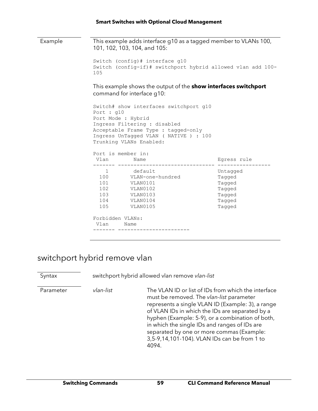| Example | This example adds interface g10 as a tagged member to VLANs 100,<br>101, 102, 103, 104, and 105:                                                                                                                                             |                                                                                   |                                                                      |
|---------|----------------------------------------------------------------------------------------------------------------------------------------------------------------------------------------------------------------------------------------------|-----------------------------------------------------------------------------------|----------------------------------------------------------------------|
|         | Switch (config)# interface g10<br>Switch (config-if)# switchport hybrid allowed vlan add 100-<br>105                                                                                                                                         |                                                                                   |                                                                      |
|         | This example shows the output of the <b>show interfaces switchport</b><br>command for interface g10:                                                                                                                                         |                                                                                   |                                                                      |
|         | Switch# show interfaces switchport g10<br>Port : g10<br>Port Mode : Hybrid<br>Ingress Filtering : disabled<br>Acceptable Frame Type : tagged-only<br>Ingress UnTagged VLAN ( NATIVE ) : 100<br>Trunking VLANs Enabled:<br>Port is member in: |                                                                                   |                                                                      |
|         |                                                                                                                                                                                                                                              | Vlan Name<br>_______________________                                              | Egress rule                                                          |
|         | 101<br>102<br>Forbidden VLANs:<br>Vlan                                                                                                                                                                                                       | 1 default<br>100 VLAN-one-hundred<br>VLAN0101<br>VLAN0102<br>105 VLAN0105<br>Name | Untagged<br>Tagged<br>Tagged<br>Tagged<br>Tagged<br>Tagged<br>Tagged |
|         |                                                                                                                                                                                                                                              |                                                                                   |                                                                      |

### switchport hybrid remove vlan

Syntax switchport hybrid allowed vlan remove *vlan-list*

Parameter *vlan-list* The VLAN ID or list of IDs from which the interface must be removed. The *vlan-list* parameter represents a single VLAN ID (Example: 3), a range of VLAN IDs in which the IDs are separated by a hyphen (Example: 5-9), or a combination of both, in which the single IDs and ranges of IDs are separated by one or more commas (Example: 3,5-9,14,101-104). VLAN IDs can be from 1 to 4094.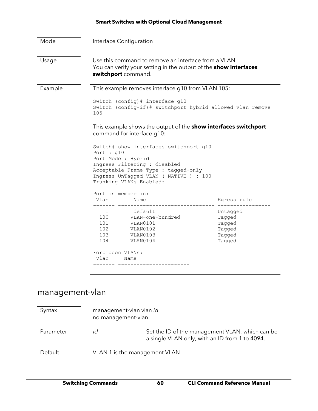| Mode                                                                                                 |                                                                                                                                                        | Interface Configuration                                                                                                                                                                                  |                                                            |
|------------------------------------------------------------------------------------------------------|--------------------------------------------------------------------------------------------------------------------------------------------------------|----------------------------------------------------------------------------------------------------------------------------------------------------------------------------------------------------------|------------------------------------------------------------|
| Usage                                                                                                | Use this command to remove an interface from a VLAN.<br>You can verify your setting in the output of the <b>show interfaces</b><br>switchport command. |                                                                                                                                                                                                          |                                                            |
| Example                                                                                              |                                                                                                                                                        | This example removes interface g10 from VLAN 105:                                                                                                                                                        |                                                            |
|                                                                                                      | Switch (config)# interface g10<br>Switch (config-if)# switchport hybrid allowed vlan remove<br>105                                                     |                                                                                                                                                                                                          |                                                            |
| This example shows the output of the <b>show interfaces switchport</b><br>command for interface g10: |                                                                                                                                                        |                                                                                                                                                                                                          |                                                            |
|                                                                                                      | Port : $q10$                                                                                                                                           | Switch# show interfaces switchport g10<br>Port Mode : Hybrid<br>Ingress Filtering : disabled<br>Acceptable Frame Type : tagged-only<br>Ingress UnTagged VLAN ( NATIVE ) : 100<br>Trunking VLANs Enabled: |                                                            |
|                                                                                                      |                                                                                                                                                        | Port is member in:                                                                                                                                                                                       |                                                            |
|                                                                                                      | Vlan<br>-------                                                                                                                                        | Name                                                                                                                                                                                                     | Egress rule                                                |
|                                                                                                      | $\mathbf{1}$<br>100<br>101<br>102<br>103<br>104                                                                                                        | default<br>VLAN-one-hundred<br>VLAN0101<br>VLAN0102<br>VLAN0103<br>VLAN0104                                                                                                                              | Untagged<br>Tagged<br>Tagged<br>Tagged<br>Tagged<br>Tagged |
|                                                                                                      | Forbidden VLANs:                                                                                                                                       |                                                                                                                                                                                                          |                                                            |
|                                                                                                      | Vlan                                                                                                                                                   | Name                                                                                                                                                                                                     |                                                            |
|                                                                                                      |                                                                                                                                                        |                                                                                                                                                                                                          |                                                            |

## management-vlan

| Syntax    | management-vlan vlan id<br>no management-vlan |                                                                                                   |
|-----------|-----------------------------------------------|---------------------------------------------------------------------------------------------------|
| Parameter | id                                            | Set the ID of the management VLAN, which can be<br>a single VLAN only, with an ID from 1 to 4094. |
| Default   | VLAN 1 is the management VLAN                 |                                                                                                   |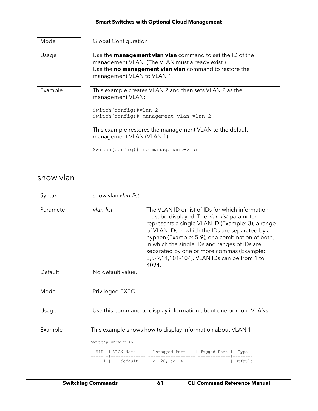| Mode    | <b>Global Configuration</b>                                                                                                                                                                                 |
|---------|-------------------------------------------------------------------------------------------------------------------------------------------------------------------------------------------------------------|
| Usage   | Use the <b>management vian vian</b> command to set the ID of the<br>management VLAN. (The VLAN must already exist.)<br>Use the no management vlan vlan command to restore the<br>management VLAN to VLAN 1. |
| Example | This example creates VLAN 2 and then sets VLAN 2 as the<br>management VLAN:                                                                                                                                 |
|         | Switch (config) #vlan 2<br>Switch (config) # management-vlan vlan 2                                                                                                                                         |
|         | This example restores the management VLAN to the default<br>management VLAN (VLAN 1):                                                                                                                       |
|         | Switch (config) # no management-vlan                                                                                                                                                                        |

## show vlan

| Syntax    | show vlan vlan-list                     |                                                                                                                                                                                                                                                                                                                                                                                                                   |             |                 |
|-----------|-----------------------------------------|-------------------------------------------------------------------------------------------------------------------------------------------------------------------------------------------------------------------------------------------------------------------------------------------------------------------------------------------------------------------------------------------------------------------|-------------|-----------------|
| Parameter | vlan-list                               | The VLAN ID or list of IDs for which information<br>must be displayed. The vlan-list parameter<br>represents a single VLAN ID (Example: 3), a range<br>of VLAN IDs in which the IDs are separated by a<br>hyphen (Example: 5-9), or a combination of both,<br>in which the single IDs and ranges of IDs are<br>separated by one or more commas (Example:<br>3,5-9,14,101-104). VLAN IDs can be from 1 to<br>4094. |             |                 |
| Default   | No default value.                       |                                                                                                                                                                                                                                                                                                                                                                                                                   |             |                 |
| Mode      | Privileged EXEC                         |                                                                                                                                                                                                                                                                                                                                                                                                                   |             |                 |
| Usage     |                                         | Use this command to display information about one or more VLANs.                                                                                                                                                                                                                                                                                                                                                  |             |                 |
| Example   |                                         | This example shows how to display information about VLAN 1:                                                                                                                                                                                                                                                                                                                                                       |             |                 |
|           | Switch# show ylan 1<br>VID<br>VLAN Name | Untagged Port                                                                                                                                                                                                                                                                                                                                                                                                     | Tagged Port |                 |
|           | default<br>$1 \mid$                     | $q1 - 28$ , lag1-4                                                                                                                                                                                                                                                                                                                                                                                                |             | Type<br>Default |
|           |                                         |                                                                                                                                                                                                                                                                                                                                                                                                                   |             |                 |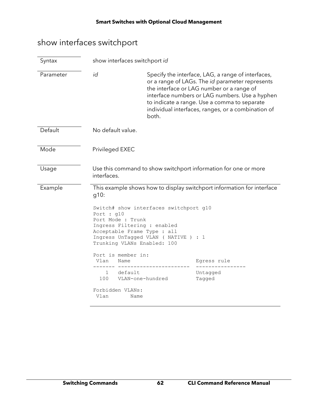## show interfaces switchport

| Syntax    | show interfaces switchport id                                                                                                                                                                                                                   |                                                                                                    |                                                                                                                                                                                                                                                                                                            |
|-----------|-------------------------------------------------------------------------------------------------------------------------------------------------------------------------------------------------------------------------------------------------|----------------------------------------------------------------------------------------------------|------------------------------------------------------------------------------------------------------------------------------------------------------------------------------------------------------------------------------------------------------------------------------------------------------------|
| Parameter | id                                                                                                                                                                                                                                              | both.                                                                                              | Specify the interface, LAG, a range of interfaces,<br>or a range of LAGs. The id parameter represents<br>the interface or LAG number or a range of<br>interface numbers or LAG numbers. Use a hyphen<br>to indicate a range. Use a comma to separate<br>individual interfaces, ranges, or a combination of |
| Default   | No default value.                                                                                                                                                                                                                               |                                                                                                    |                                                                                                                                                                                                                                                                                                            |
| Mode      | Privileged EXEC                                                                                                                                                                                                                                 |                                                                                                    |                                                                                                                                                                                                                                                                                                            |
| Usage     | interfaces.                                                                                                                                                                                                                                     |                                                                                                    | Use this command to show switchport information for one or more                                                                                                                                                                                                                                            |
| Example   | g10:<br>Port : $q10$<br>Port Mode : Trunk<br>Ingress Filtering : enabled<br>Acceptable Frame Type : all<br>Trunking VLANs Enabled: 100<br>Port is member in:<br>Vlan<br>Name<br>default<br>$1 \quad$<br>100<br>Forbidden VLANs:<br>Vlan<br>Name | Switch# show interfaces switchport g10<br>Ingress UnTagged VLAN ( NATIVE ) : 1<br>VLAN-one-hundred | This example shows how to display switchport information for interface<br>Egress rule<br>Untagged<br>Tagged                                                                                                                                                                                                |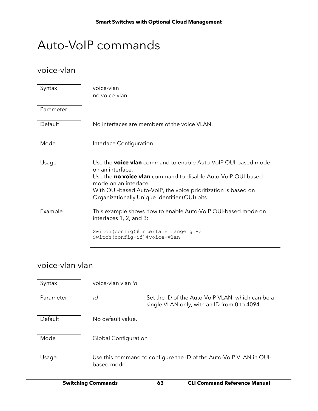# Auto-VoIP commands

### voice-vlan

| Syntax    | voice-vlan<br>no voice-vlan                                                                                                                                                                                                                                                                                 |
|-----------|-------------------------------------------------------------------------------------------------------------------------------------------------------------------------------------------------------------------------------------------------------------------------------------------------------------|
| Parameter |                                                                                                                                                                                                                                                                                                             |
| Default   | No interfaces are members of the voice VLAN.                                                                                                                                                                                                                                                                |
| Mode      | Interface Configuration                                                                                                                                                                                                                                                                                     |
| Usage     | Use the <b>voice vlan</b> command to enable Auto-VoIP OUI-based mode<br>on an interface.<br>Use the <b>no voice vlan</b> command to disable Auto-VoIP OUI-based<br>mode on an interface<br>With OUI-based Auto-VoIP, the voice prioritization is based on<br>Organizationally Unique Identifier (OUI) bits. |
| Example   | This example shows how to enable Auto-VoIP OUI-based mode on<br>interfaces 1, 2, and 3:                                                                                                                                                                                                                     |
|           | Switch (config) #interface range g1-3<br>Switch (config-if) #voice-vlan                                                                                                                                                                                                                                     |

### voice-vlan vlan

| Syntax    | voice-vlan vlan id          |                                                                                                  |
|-----------|-----------------------------|--------------------------------------------------------------------------------------------------|
| Parameter | id                          | Set the ID of the Auto-VoIP VLAN, which can be a<br>single VLAN only, with an ID from 0 to 4094. |
| Default   | No default value.           |                                                                                                  |
| Mode      | <b>Global Configuration</b> |                                                                                                  |
| Usage     | based mode.                 | Use this command to configure the ID of the Auto-VoIP VLAN in OUI-                               |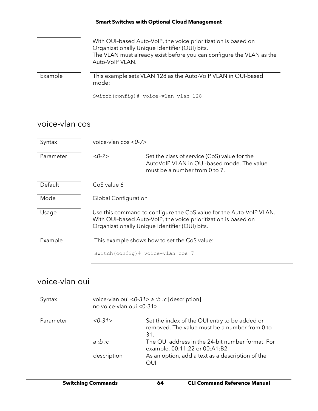|         | With OUI-based Auto-VoIP, the voice prioritization is based on<br>Organizationally Unique Identifier (OUI) bits.<br>The VLAN must already exist before you can configure the VLAN as the<br>Auto-VolP VLAN. |
|---------|-------------------------------------------------------------------------------------------------------------------------------------------------------------------------------------------------------------|
| Example | This example sets VLAN 128 as the Auto-VoIP VLAN in OUI-based<br>mode:                                                                                                                                      |
|         | Switch (config) # voice-vlan vlan 128                                                                                                                                                                       |

### voice-vlan cos

| Syntax    | voice-vlan $\cos$ <0-7>     |                                                                                                                                                                                         |
|-----------|-----------------------------|-----------------------------------------------------------------------------------------------------------------------------------------------------------------------------------------|
| Parameter | <0.7>                       | Set the class of service (CoS) value for the<br>AutoVoIP VLAN in OUI-based mode. The value<br>must be a number from $0$ to $7$ .                                                        |
| Default   | CoS value 6                 |                                                                                                                                                                                         |
| Mode      | <b>Global Configuration</b> |                                                                                                                                                                                         |
| Usage     |                             | Use this command to configure the CoS value for the Auto-VoIP VLAN.<br>With OUI-based Auto-VoIP, the voice prioritization is based on<br>Organizationally Unique Identifier (OUI) bits. |
| Example   |                             | This example shows how to set the CoS value:                                                                                                                                            |
|           |                             | Switch (config) # voice-vlan cos 7                                                                                                                                                      |

### voice-vlan oui

| Syntax    | no voice-vlan oui <0-31> | voice-vlan oui <0-31> a :b :c [description]                                                           |
|-----------|--------------------------|-------------------------------------------------------------------------------------------------------|
| Parameter | <0.31>                   | Set the index of the OUI entry to be added or<br>removed. The value must be a number from 0 to<br>31. |
|           | a : b : c                | The OUI address in the 24-bit number format. For<br>example, 00:11:22 or 00:A1:B2.                    |
|           | description              | As an option, add a text as a description of the<br>OUI                                               |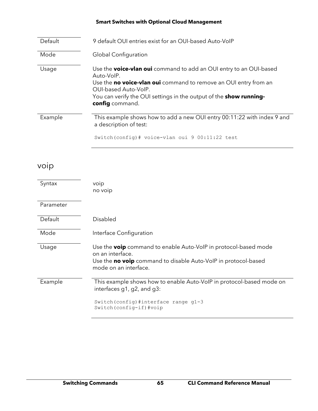| Default | 9 default OUI entries exist for an OUI-based Auto-VoIP                                                                                                                                                                                                                              |
|---------|-------------------------------------------------------------------------------------------------------------------------------------------------------------------------------------------------------------------------------------------------------------------------------------|
| Mode    | <b>Global Configuration</b>                                                                                                                                                                                                                                                         |
| Usage   | Use the <b>voice-vlan oui</b> command to add an OUI entry to an OUI-based<br>Auto-VoIP.<br>Use the no voice-vlan oui command to remove an OUI entry from an<br>OUI-based Auto-VoIP.<br>You can verify the OUI settings in the output of the <b>show running-</b><br>config command. |
| Example | This example shows how to add a new OUI entry 00:11:22 with index 9 and<br>a description of test:<br>Switch (config) $\#$ voice-vlan oui 9 00:11:22 test                                                                                                                            |
|         |                                                                                                                                                                                                                                                                                     |

## voip

| Syntax    | voip<br>no voip                                                                                                                                                                       |
|-----------|---------------------------------------------------------------------------------------------------------------------------------------------------------------------------------------|
| Parameter |                                                                                                                                                                                       |
| Default   | Disabled                                                                                                                                                                              |
| Mode      | Interface Configuration                                                                                                                                                               |
| Usage     | Use the <b>voip</b> command to enable Auto-VoIP in protocol-based mode<br>on an interface.<br>Use the no voip command to disable Auto-VoIP in protocol-based<br>mode on an interface. |
| Example   | This example shows how to enable Auto-VoIP in protocol-based mode on<br>interfaces g1, g2, and g3:                                                                                    |
|           | Switch (config) #interface range g1-3<br>Switch (config-if) #voip                                                                                                                     |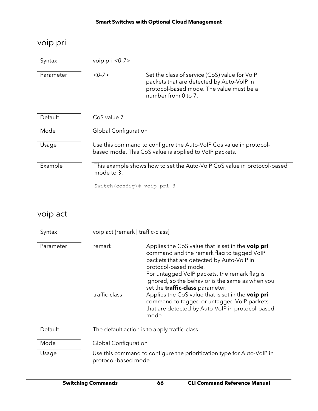## voip pri

| Syntax    | voip pri $<0$ -7>            |                                                                                                                                                               |
|-----------|------------------------------|---------------------------------------------------------------------------------------------------------------------------------------------------------------|
| Parameter | $<$ 0-7 $>$                  | Set the class of service (CoS) value for VoIP<br>packets that are detected by Auto-VoIP in<br>protocol-based mode. The value must be a<br>number from 0 to 7. |
| Default   | CoS value 7                  |                                                                                                                                                               |
| Mode      | Global Configuration         |                                                                                                                                                               |
| Usage     |                              | Use this command to configure the Auto-VoIP Cos value in protocol-<br>based mode. This CoS value is applied to VoIP packets.                                  |
| Example   | mode to 3:                   | This example shows how to set the Auto-VoIP CoS value in protocol-based                                                                                       |
|           | Switch (config) # voip pri 3 |                                                                                                                                                               |

## voip act

| Syntax    | voip act {remark   traffic-class} |                                                                                                                                                                                                                                                                                                                                                                                                                                                                                             |
|-----------|-----------------------------------|---------------------------------------------------------------------------------------------------------------------------------------------------------------------------------------------------------------------------------------------------------------------------------------------------------------------------------------------------------------------------------------------------------------------------------------------------------------------------------------------|
| Parameter | remark<br>traffic-class           | Applies the CoS value that is set in the <b>voip pri</b><br>command and the remark flag to tagged VoIP<br>packets that are detected by Auto-VoIP in<br>protocol-based mode.<br>For untagged VoIP packets, the remark flag is<br>ignored, so the behavior is the same as when you<br>set the <b>traffic-class</b> parameter.<br>Applies the CoS value that is set in the voip pri<br>command to tagged or untagged VoIP packets<br>that are detected by Auto-VoIP in protocol-based<br>mode. |
| Default   |                                   | The default action is to apply traffic-class                                                                                                                                                                                                                                                                                                                                                                                                                                                |
| Mode      | Global Configuration              |                                                                                                                                                                                                                                                                                                                                                                                                                                                                                             |
| Usage     | protocol-based mode.              | Use this command to configure the prioritization type for Auto-VoIP in                                                                                                                                                                                                                                                                                                                                                                                                                      |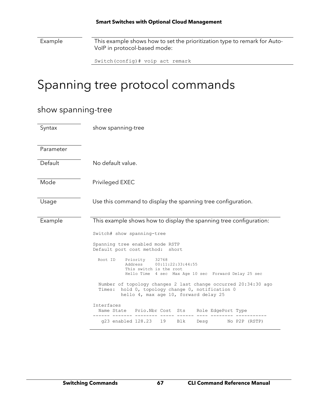Example This example shows how to set the prioritization type to remark for Auto-VoIP in protocol-based mode:

| Switch (config) # voip act remark |
|-----------------------------------|
|-----------------------------------|

# Spanning tree protocol commands

### show spanning-tree

| Syntax    | show spanning-tree                                                                                                                                             |  |
|-----------|----------------------------------------------------------------------------------------------------------------------------------------------------------------|--|
| Parameter |                                                                                                                                                                |  |
| Default   | No default value.                                                                                                                                              |  |
| Mode      | Privileged EXEC                                                                                                                                                |  |
| Usage     | Use this command to display the spanning tree configuration.                                                                                                   |  |
| Example   | This example shows how to display the spanning tree configuration:                                                                                             |  |
|           | Switch# show spanning-tree                                                                                                                                     |  |
|           | Spanning tree enabled mode RSTP<br>Default port cost method:<br>short                                                                                          |  |
|           | 32768<br>Root ID<br>Priority<br>00:11:22:33:44:55<br>Address<br>This switch is the root<br>Hello Time 4 sec Max Age 10 sec Forward Delay 25 sec                |  |
|           | Number of topology changes 2 last change occurred 20:34:30 ago<br>hold 0, topology change 0, notification 0<br>Times:<br>hello 4, max age 10, forward delay 25 |  |
|           | Interfaces<br>Name State Prio. Nbr Cost Sts<br>Role EdgePort Type                                                                                              |  |
|           | g23 enabled 128.23<br>19<br>Blk<br>No P2P (RSTP)<br>Desq                                                                                                       |  |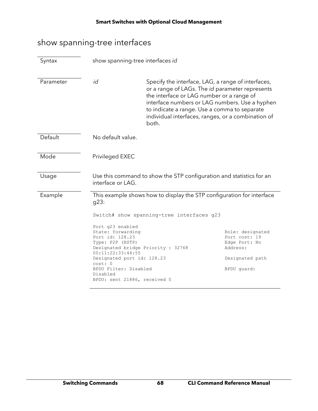## show spanning-tree interfaces

| Syntax    | show spanning-tree interfaces id                                                                                                                                                                                                                                                                                                                                                                                                                                                        |                                                                                                                                                                                                                                                                                                                     |  |
|-----------|-----------------------------------------------------------------------------------------------------------------------------------------------------------------------------------------------------------------------------------------------------------------------------------------------------------------------------------------------------------------------------------------------------------------------------------------------------------------------------------------|---------------------------------------------------------------------------------------------------------------------------------------------------------------------------------------------------------------------------------------------------------------------------------------------------------------------|--|
| Parameter | id                                                                                                                                                                                                                                                                                                                                                                                                                                                                                      | Specify the interface, LAG, a range of interfaces,<br>or a range of LAGs. The id parameter represents<br>the interface or LAG number or a range of<br>interface numbers or LAG numbers. Use a hyphen<br>to indicate a range. Use a comma to separate<br>individual interfaces, ranges, or a combination of<br>both. |  |
| Default   | No default value.                                                                                                                                                                                                                                                                                                                                                                                                                                                                       |                                                                                                                                                                                                                                                                                                                     |  |
| Mode      | Privileged EXEC                                                                                                                                                                                                                                                                                                                                                                                                                                                                         |                                                                                                                                                                                                                                                                                                                     |  |
| Usage     | interface or LAG.                                                                                                                                                                                                                                                                                                                                                                                                                                                                       | Use this command to show the STP configuration and statistics for an                                                                                                                                                                                                                                                |  |
| Example   | This example shows how to display the STP configuration for interface<br>g23:<br>Switch# show spanning-tree interfaces g23<br>Port g23 enabled<br>State: forwarding<br>Role: designated<br>Port id: 128.23<br>Port cost: 19<br>Type: P2P (RSTP)<br>Edge Port: No<br>Designated bridge Priority : 32768<br>Address:<br>00:11:22:33:44:55<br>Designated port id: 128.23<br>Designated path<br>cost: 0<br>BPDU Filter: Disabled<br>BPDU quard:<br>Disabled<br>BPDU: sent 21886, received 0 |                                                                                                                                                                                                                                                                                                                     |  |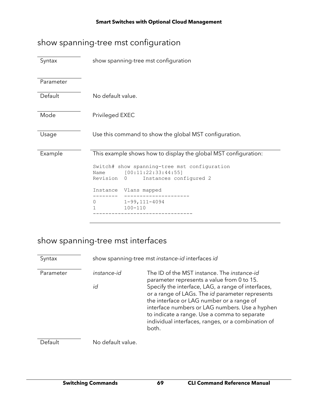## show spanning-tree mst configuration

| Syntax    | show spanning-tree mst configuration                                                                                                                                                      |  |  |
|-----------|-------------------------------------------------------------------------------------------------------------------------------------------------------------------------------------------|--|--|
| Parameter |                                                                                                                                                                                           |  |  |
| Default   | No default value.                                                                                                                                                                         |  |  |
| Mode      | Privileged EXEC                                                                                                                                                                           |  |  |
| Usage     | Use this command to show the global MST configuration.                                                                                                                                    |  |  |
| Example   | This example shows how to display the global MST configuration:<br>Switch# show spanning-tree mst configuration<br>[00:11:22:33:44:55]<br>Name<br>Revision<br>Instances configured 2<br>0 |  |  |
|           | Vlans mapped<br>Instance                                                                                                                                                                  |  |  |
|           | $1 - 99, 111 - 4094$<br>0<br>$100 - 110$<br>1                                                                                                                                             |  |  |

## show spanning-tree mst interfaces

| Syntax    |                   | show spanning-tree mst instance-id interfaces id                                                                                                                                                                                                                                                                                                                                                                        |
|-----------|-------------------|-------------------------------------------------------------------------------------------------------------------------------------------------------------------------------------------------------------------------------------------------------------------------------------------------------------------------------------------------------------------------------------------------------------------------|
| Parameter | instance-id<br>id | The ID of the MST instance. The <i>instance-id</i><br>parameter represents a value from 0 to 15.<br>Specify the interface, LAG, a range of interfaces,<br>or a range of LAGs. The id parameter represents<br>the interface or LAG number or a range of<br>interface numbers or LAG numbers. Use a hyphen<br>to indicate a range. Use a comma to separate<br>individual interfaces, ranges, or a combination of<br>both. |
| Default   | No default value. |                                                                                                                                                                                                                                                                                                                                                                                                                         |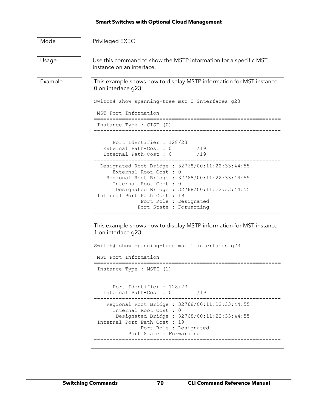| Mode    | Privileged EXEC                                                                                                                                                                                                                                                                                                                                 |  |
|---------|-------------------------------------------------------------------------------------------------------------------------------------------------------------------------------------------------------------------------------------------------------------------------------------------------------------------------------------------------|--|
| Usage   | Use this command to show the MSTP information for a specific MST<br>instance on an interface.                                                                                                                                                                                                                                                   |  |
| Example | This example shows how to display MSTP information for MST instance<br>0 on interface g23:<br>Switch# show spanning-tree mst 0 interfaces g23<br>MST Port Information<br>Instance Type : CIST (0)<br>Port Identifier : 128/23<br>External Path-Cost: 0 /19<br>Internal Path-Cost : 0<br>/19<br>Designated Root Bridge : 32768/00:11:22:33:44:55 |  |
|         | External Root Cost : 0<br>Regional Root Bridge : 32768/00:11:22:33:44:55<br>Internal Root Cost : 0<br>Designated Bridge : 32768/00:11:22:33:44:55<br>Internal Port Path Cost : 19<br>Port Role : Designated<br>Port State : Forwarding                                                                                                          |  |
|         | This example shows how to display MSTP information for MST instance<br>1 on interface g23:<br>Switch# show spanning-tree mst 1 interfaces g23<br>MST Port Information<br>Instance Type : MSTI (1)                                                                                                                                               |  |
|         | Port Identifier : 128/23<br>Internal Path-Cost: 0 /19<br>Regional Root Bridge : 32768/00:11:22:33:44:55<br>Internal Root Cost : 0<br>Designated Bridge : 32768/00:11:22:33:44:55<br>Internal Port Path Cost : 19<br>Port Role : Designated<br>Port State : Forwarding                                                                           |  |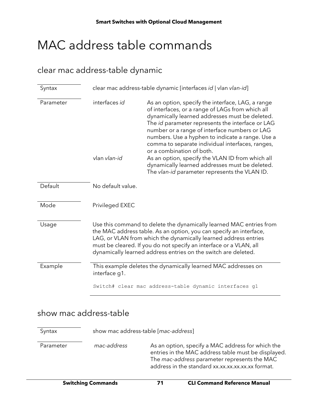# MAC address table commands

### clear mac address-table dynamic

| Syntax    | clear mac address-table dynamic [interfaces id   vlan vlan-id]                                                                                                                                                                                                                                                                                       |                                                                                                                                                                                                                                                                                                                                                                                                                                                                                                                                                          |
|-----------|------------------------------------------------------------------------------------------------------------------------------------------------------------------------------------------------------------------------------------------------------------------------------------------------------------------------------------------------------|----------------------------------------------------------------------------------------------------------------------------------------------------------------------------------------------------------------------------------------------------------------------------------------------------------------------------------------------------------------------------------------------------------------------------------------------------------------------------------------------------------------------------------------------------------|
| Parameter | interfaces id<br>vlan vlan-id                                                                                                                                                                                                                                                                                                                        | As an option, specify the interface, LAG, a range<br>of interfaces, or a range of LAGs from which all<br>dynamically learned addresses must be deleted.<br>The id parameter represents the interface or LAG<br>number or a range of interface numbers or LAG<br>numbers. Use a hyphen to indicate a range. Use a<br>comma to separate individual interfaces, ranges,<br>or a combination of both.<br>As an option, specify the VLAN ID from which all<br>dynamically learned addresses must be deleted.<br>The vlan-id parameter represents the VLAN ID. |
| Default   | No default value.                                                                                                                                                                                                                                                                                                                                    |                                                                                                                                                                                                                                                                                                                                                                                                                                                                                                                                                          |
| Mode      | Privileged EXEC                                                                                                                                                                                                                                                                                                                                      |                                                                                                                                                                                                                                                                                                                                                                                                                                                                                                                                                          |
| Usage     | Use this command to delete the dynamically learned MAC entries from<br>the MAC address table. As an option, you can specify an interface,<br>LAG, or VLAN from which the dynamically learned address entries<br>must be cleared. If you do not specify an interface or a VLAN, all<br>dynamically learned address entries on the switch are deleted. |                                                                                                                                                                                                                                                                                                                                                                                                                                                                                                                                                          |
| Example   | This example deletes the dynamically learned MAC addresses on<br>interface q1.                                                                                                                                                                                                                                                                       |                                                                                                                                                                                                                                                                                                                                                                                                                                                                                                                                                          |
|           |                                                                                                                                                                                                                                                                                                                                                      | Switch# clear mac address-table dynamic interfaces g1                                                                                                                                                                                                                                                                                                                                                                                                                                                                                                    |

### show mac address-table

Syntax show mac address-table [*mac-address*] Parameter *mac-address* As an option, specify a MAC address for which the entries in the MAC address table must be displayed. The *mac-address* parameter represents the MAC address in the standard xx.xx.xx.xx.xx.xx format.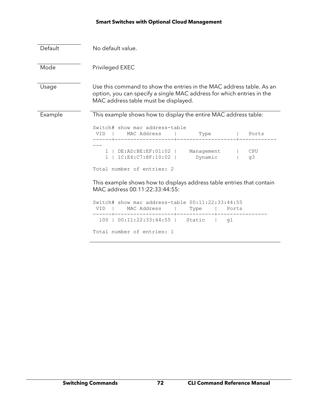| Default | No default value.                                                                                                                                                                     |  |  |
|---------|---------------------------------------------------------------------------------------------------------------------------------------------------------------------------------------|--|--|
| Mode    | Privileged EXEC                                                                                                                                                                       |  |  |
| Usage   | Use this command to show the entries in the MAC address table. As an<br>option, you can specify a single MAC address for which entries in the<br>MAC address table must be displayed. |  |  |
| Example | This example shows how to display the entire MAC address table:                                                                                                                       |  |  |
|         | Switch# show mac address-table<br>VID   MACAddress   Type   Ports                                                                                                                     |  |  |
|         | 1   DE:AD:BE:EF:01:02   Management   CPU<br>1   1C:E6:C7:8F:10:02   Dynamic  <br>q3                                                                                                   |  |  |
|         | Total number of entries: 2                                                                                                                                                            |  |  |
|         | This example shows how to displays address table entries that contain<br>MAC address 00:11:22:33:44:55:                                                                               |  |  |
|         | Switch# show mac address-table 00:11:22:33:44:55<br>VID   MACAddress   Type   Ports                                                                                                   |  |  |
|         | 100   00:11:22:33:44:55   Static   q1                                                                                                                                                 |  |  |
|         | Total number of entries: 1                                                                                                                                                            |  |  |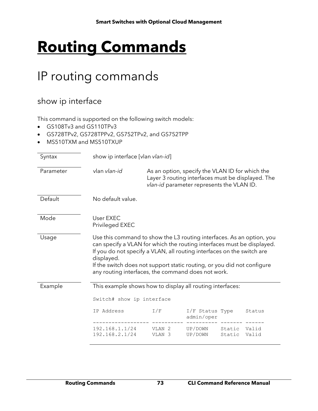# **Routing Commands**

## IP routing commands

### show ip interface

This command is supported on the following switch models:

- GS108Tv3 and GS110TPv3
- GS728TPv2, GS728TPPv2, GS752TPv2, and GS752TPP
- MS510TXM and MS510TXUP

| Syntax    | show ip interface [vlan vlan-id]                                                                                                                                                                                                                                                                                                                                         |                                        |                                                                                                                                                   |                  |                |
|-----------|--------------------------------------------------------------------------------------------------------------------------------------------------------------------------------------------------------------------------------------------------------------------------------------------------------------------------------------------------------------------------|----------------------------------------|---------------------------------------------------------------------------------------------------------------------------------------------------|------------------|----------------|
| Parameter | vlan vlan-id                                                                                                                                                                                                                                                                                                                                                             |                                        | As an option, specify the VLAN ID for which the<br>Layer 3 routing interfaces must be displayed. The<br>vlan-id parameter represents the VLAN ID. |                  |                |
| Default   | No default value.                                                                                                                                                                                                                                                                                                                                                        |                                        |                                                                                                                                                   |                  |                |
| Mode      | User EXEC<br>Privileged EXEC                                                                                                                                                                                                                                                                                                                                             |                                        |                                                                                                                                                   |                  |                |
| Usage     | Use this command to show the L3 routing interfaces. As an option, you<br>can specify a VLAN for which the routing interfaces must be displayed.<br>If you do not specify a VLAN, all routing interfaces on the switch are<br>displayed.<br>If the switch does not support static routing, or you did not configure<br>any routing interfaces, the command does not work. |                                        |                                                                                                                                                   |                  |                |
| Example   | This example shows how to display all routing interfaces:<br>Switch# show ip interface                                                                                                                                                                                                                                                                                   |                                        |                                                                                                                                                   |                  |                |
|           |                                                                                                                                                                                                                                                                                                                                                                          |                                        |                                                                                                                                                   |                  |                |
|           | IP Address                                                                                                                                                                                                                                                                                                                                                               | I/F                                    | I/F Status Type<br>admin/oper                                                                                                                     |                  | Status         |
|           | 192.168.1.1/24<br>192.168.2.1/24                                                                                                                                                                                                                                                                                                                                         | VLAN <sub>2</sub><br>VLAN <sub>3</sub> | UP/DOWN<br>UP/DOWN                                                                                                                                | Static<br>Static | Valid<br>Valid |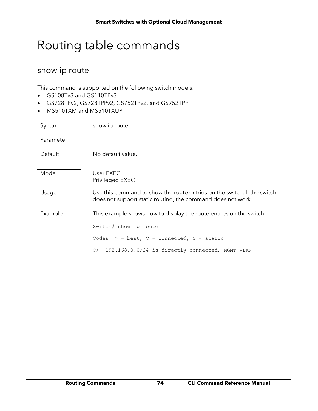## Routing table commands

### show ip route

This command is supported on the following switch models:

- GS108Tv3 and GS110TPv3
- GS728TPv2, GS728TPPv2, GS752TPv2, and GS752TPP
- MS510TXM and MS510TXUP

| Syntax    | show ip route                                                                                                                          |
|-----------|----------------------------------------------------------------------------------------------------------------------------------------|
| Parameter |                                                                                                                                        |
| Default   | No default value.                                                                                                                      |
| Mode      | User EXEC<br>Privileged EXEC                                                                                                           |
| Usage     | Use this command to show the route entries on the switch. If the switch<br>does not support static routing, the command does not work. |
| Example   | This example shows how to display the route entries on the switch:                                                                     |
|           | Switch# show ip route                                                                                                                  |
|           | Codes: $>$ - best, C - connected, S - static                                                                                           |
|           | 192.168.0.0/24 is directly connected, MGMT VLAN<br>C                                                                                   |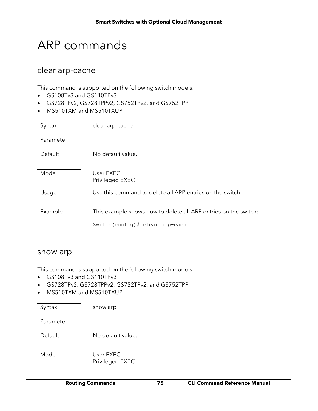## ARP commands

### clear arp-cache

This command is supported on the following switch models:

- GS108Tv3 and GS110TPv3
- GS728TPv2, GS728TPPv2, GS752TPv2, and GS752TPP
- MS510TXM and MS510TXUP

| Syntax    | clear arp-cache                                                 |
|-----------|-----------------------------------------------------------------|
| Parameter |                                                                 |
| Default   | No default value.                                               |
| Mode      | User EXEC<br>Privileged EXEC                                    |
| Usage     | Use this command to delete all ARP entries on the switch.       |
| Example   | This example shows how to delete all ARP entries on the switch: |
|           | Switch(config)# clear arp-cache                                 |

#### show arp

This command is supported on the following switch models:

- GS108Tv3 and GS110TPv3
- GS728TPv2, GS728TPPv2, GS752TPv2, and GS752TPP
- MS510TXM and MS510TXUP

| Syntax | show arp |
|--------|----------|
|--------|----------|

Parameter

Default No default value.

Mode User EXEC Privileged EXEC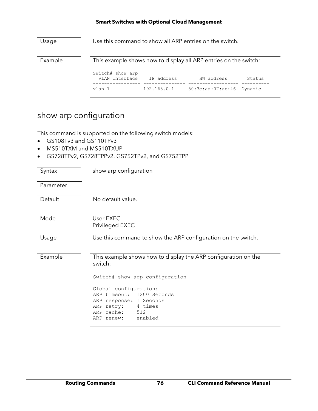| Usage   | Use this command to show all ARP entries on the switch.          |             |                   |         |
|---------|------------------------------------------------------------------|-------------|-------------------|---------|
| Example | This example shows how to display all ARP entries on the switch: |             |                   |         |
|         | Switch# show arp<br>VLAN Interface                               | IP address  | HW address        | Status  |
|         | vlan 1                                                           | 192.168.0.1 | 50:3e:aa:07:ab:46 | Dynamic |

### show arp configuration

This command is supported on the following switch models:

- GS108Tv3 and GS110TPv3
- MS510TXM and MS510TXUP
- GS728TPv2, GS728TPPv2, GS752TPv2, and GS752TPP

| Syntax    | show arp configuration                                                                                                                                                              |
|-----------|-------------------------------------------------------------------------------------------------------------------------------------------------------------------------------------|
| Parameter |                                                                                                                                                                                     |
| Default   | No default value.                                                                                                                                                                   |
| Mode      | User EXEC<br>Privileged EXEC                                                                                                                                                        |
| Usage     | Use this command to show the ARP configuration on the switch.                                                                                                                       |
| Example   | This example shows how to display the ARP configuration on the<br>switch:                                                                                                           |
|           | Switch# show arp configuration<br>Global configuration:<br>ARP timeout: 1200 Seconds<br>ARP response: 1 Seconds<br>ARP retry: 4 times<br>ARP cache:<br>512<br>enabled<br>ARP renew: |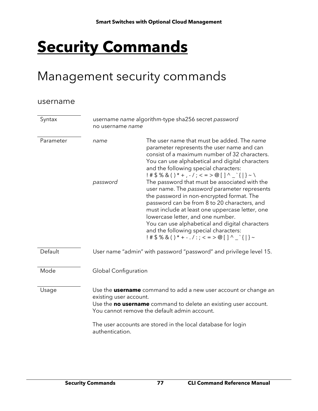# **Security Commands**

## Management security commands

#### username

| Syntax    | username name algorithm-type sha256 secret password<br>no username name                                                                                                                                                                                                                                |                                                                                                                                                                                                                                                                                                                                                                                                                                            |
|-----------|--------------------------------------------------------------------------------------------------------------------------------------------------------------------------------------------------------------------------------------------------------------------------------------------------------|--------------------------------------------------------------------------------------------------------------------------------------------------------------------------------------------------------------------------------------------------------------------------------------------------------------------------------------------------------------------------------------------------------------------------------------------|
| Parameter | name                                                                                                                                                                                                                                                                                                   | The user name that must be added. The name<br>parameter represents the user name and can<br>consist of a maximum number of 32 characters.<br>You can use alphabetical and digital characters<br>and the following special characters:<br>$!$ # \$ % & ( ) * + , - / ; < = > @ [ ] ^ _ `{ } ~ \                                                                                                                                             |
|           | password                                                                                                                                                                                                                                                                                               | The password that must be associated with the<br>user name. The password parameter represents<br>the password in non-encrypted format. The<br>password can be from 8 to 20 characters, and<br>must include at least one uppercase letter, one<br>lowercase letter, and one number.<br>You can use alphabetical and digital characters<br>and the following special characters:<br>$!$ # \$ % & ( ) * + - . / : ; < = > @ [ ] ^ _ ` {   } ~ |
| Default   | User name "admin" with password "password" and privilege level 15.                                                                                                                                                                                                                                     |                                                                                                                                                                                                                                                                                                                                                                                                                                            |
| Mode      | <b>Global Configuration</b>                                                                                                                                                                                                                                                                            |                                                                                                                                                                                                                                                                                                                                                                                                                                            |
| Usage     | Use the <b>username</b> command to add a new user account or change an<br>existing user account.<br>Use the no username command to delete an existing user account.<br>You cannot remove the default admin account.<br>The user accounts are stored in the local database for login<br>authentication. |                                                                                                                                                                                                                                                                                                                                                                                                                                            |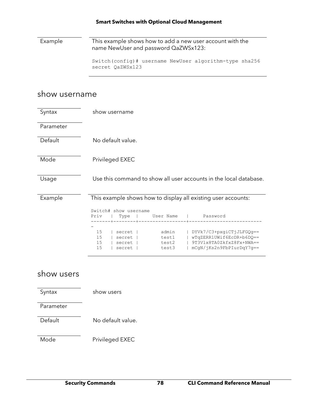Example This example shows how to add a new user account with the name NewUser and password QaZWSx123:

> Switch(config)# username NewUser algorithm-type sha256 secret QaZWSx123

#### show username

| Syntax     | show username                                                                                                                                                                                                              |  |  |
|------------|----------------------------------------------------------------------------------------------------------------------------------------------------------------------------------------------------------------------------|--|--|
| Parameter  |                                                                                                                                                                                                                            |  |  |
| Default    | No default value.                                                                                                                                                                                                          |  |  |
| Mode       | Privileged EXEC                                                                                                                                                                                                            |  |  |
| Usage      | Use this command to show all user accounts in the local database.                                                                                                                                                          |  |  |
| Example    | This example shows how to display all existing user accounts:                                                                                                                                                              |  |  |
|            | Switch# show username<br>User Name<br>Priv<br>Password<br>Type                                                                                                                                                             |  |  |
|            | 15<br>DYVk7/C3+pxgiCTjJLFGQg ==<br>admin<br>  secret  <br>wTqZERR1UWif6EcDR+b6DQ ==<br>15<br>test1<br>secret  <br>9T3Vlx8TA0ZkfxZ8Fx+NWA ==<br>15<br>test2<br>secret<br>15<br>mCgN/jKs2n9FbPIurDqY7g ==<br>secret<br>test3 |  |  |
| show users |                                                                                                                                                                                                                            |  |  |
| Syntax     | show users                                                                                                                                                                                                                 |  |  |
| Parameter  |                                                                                                                                                                                                                            |  |  |
| Default    | No default value.                                                                                                                                                                                                          |  |  |
| Mode       | Privileged EXEC                                                                                                                                                                                                            |  |  |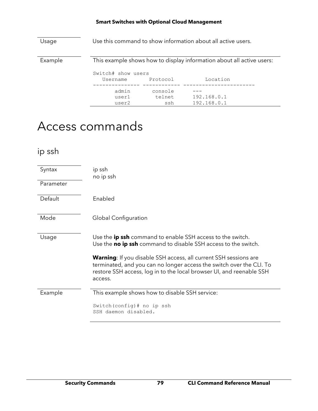| Usage   | Use this command to show information about all active users. |                          |                                                                       |
|---------|--------------------------------------------------------------|--------------------------|-----------------------------------------------------------------------|
| Example |                                                              |                          | This example shows how to display information about all active users: |
|         | Switch# show users<br>Username                               | Protocol                 | Location                                                              |
|         | admin<br>user1<br>user2                                      | console<br>telnet<br>ssh | 192.168.0.1<br>192.168.0.1                                            |

## Access commands

### ip ssh

| Syntax<br>Parameter | ip ssh<br>no ip ssh                                                                                                                                                                                                                |
|---------------------|------------------------------------------------------------------------------------------------------------------------------------------------------------------------------------------------------------------------------------|
| Default             | Enabled                                                                                                                                                                                                                            |
| Mode                | Global Configuration                                                                                                                                                                                                               |
| Usage               | Use the ip ssh command to enable SSH access to the switch.<br>Use the no ip ssh command to disable SSH access to the switch.                                                                                                       |
|                     | <b>Warning:</b> If you disable SSH access, all current SSH sessions are<br>terminated, and you can no longer access the switch over the CLI. To<br>restore SSH access, log in to the local browser UI, and reenable SSH<br>access. |
| Example             | This example shows how to disable SSH service:                                                                                                                                                                                     |
|                     | Switch (config) # no ip ssh<br>SSH daemon disabled.                                                                                                                                                                                |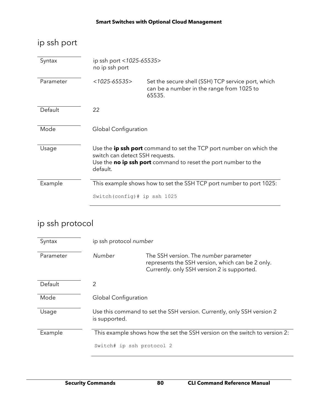### ip ssh port

| Syntax    | ip ssh port <1025-65535><br>no ip ssh port                                                                                                                                                  |                                                                                                           |  |
|-----------|---------------------------------------------------------------------------------------------------------------------------------------------------------------------------------------------|-----------------------------------------------------------------------------------------------------------|--|
| Parameter | $<$ 1025-65535>                                                                                                                                                                             | Set the secure shell (SSH) TCP service port, which<br>can be a number in the range from 1025 to<br>65535. |  |
| Default   | 22                                                                                                                                                                                          |                                                                                                           |  |
| Mode      | Global Configuration                                                                                                                                                                        |                                                                                                           |  |
| Usage     | Use the <b>ip ssh port</b> command to set the TCP port number on which the<br>switch can detect SSH requests.<br>Use the no ip ssh port command to reset the port number to the<br>default. |                                                                                                           |  |
| Example   |                                                                                                                                                                                             | This example shows how to set the SSH TCP port number to port 1025:                                       |  |
|           | Switch (config) # ip ssh 1025                                                                                                                                                               |                                                                                                           |  |

### ip ssh protocol

| Syntax    | ip ssh protocol number                                                                  |                                                                                                                                                 |
|-----------|-----------------------------------------------------------------------------------------|-------------------------------------------------------------------------------------------------------------------------------------------------|
| Parameter | Number                                                                                  | The SSH version. The <i>number</i> parameter<br>represents the SSH version, which can be 2 only.<br>Currently. only SSH version 2 is supported. |
| Default   | 2                                                                                       |                                                                                                                                                 |
| Mode      | <b>Global Configuration</b>                                                             |                                                                                                                                                 |
| Usage     | Use this command to set the SSH version. Currently, only SSH version 2<br>is supported. |                                                                                                                                                 |
| Example   | This example shows how the set the SSH version on the switch to version 2:              |                                                                                                                                                 |
|           | Switch# ip ssh protocol 2                                                               |                                                                                                                                                 |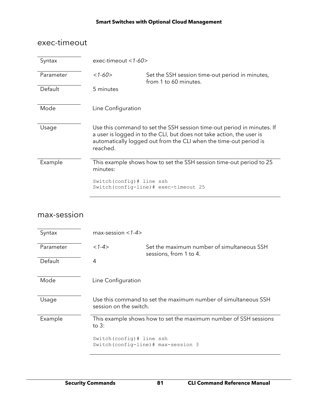### exec-timeout

| Syntax    | exec-timeout $<$ 1-60 $>$  |                                                                                                                                                                                                                      |
|-----------|----------------------------|----------------------------------------------------------------------------------------------------------------------------------------------------------------------------------------------------------------------|
| Parameter | $<1-60>$                   | Set the SSH session time-out period in minutes,<br>from 1 to 60 minutes.                                                                                                                                             |
| Default   | 5 minutes                  |                                                                                                                                                                                                                      |
| Mode      | Line Configuration         |                                                                                                                                                                                                                      |
| Usage     | reached.                   | Use this command to set the SSH session time-out period in minutes. If<br>a user is logged in to the CLI, but does not take action, the user is<br>automatically logged out from the CLI when the time-out period is |
| Example   | minutes:                   | This example shows how to set the SSH session time-out period to 25                                                                                                                                                  |
|           | Switch (config) # line ssh | Switch(config-line)# exec-timeout 25                                                                                                                                                                                 |

### max-session

| Syntax    | max-session $<$ 1-4 $>$                                                     |                                                                      |
|-----------|-----------------------------------------------------------------------------|----------------------------------------------------------------------|
| Parameter | $<1-4>$                                                                     | Set the maximum number of simultaneous SSH<br>sessions, from 1 to 4. |
| Default   | 4                                                                           |                                                                      |
| Mode      | Line Configuration                                                          |                                                                      |
| Usage     | session on the switch.                                                      | Use this command to set the maximum number of simultaneous SSH       |
| Example   | This example shows how to set the maximum number of SSH sessions<br>to $3:$ |                                                                      |
|           | Switch (config) # line ssh                                                  | Switch (config-line) # max-session 3                                 |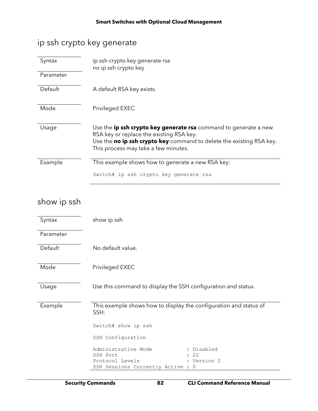### ip ssh crypto key generate

| Syntax    | ip ssh crypto key generate rsa<br>no ip ssh crypto key                                                       |  |
|-----------|--------------------------------------------------------------------------------------------------------------|--|
| Parameter |                                                                                                              |  |
| Default   | A default RSA key exists.                                                                                    |  |
| Mode      | Privileged EXEC                                                                                              |  |
| Usage     | Use the ip ssh crypto key generate rsa command to generate a new<br>RSA key or replace the existing RSA key. |  |
|           | Use the no ip ssh crypto key command to delete the existing RSA key.<br>This process may take a few minutes. |  |
| Example   | This example shows how to generate a new RSA key:                                                            |  |
|           | Switch# ip ssh crypto key generate rsa                                                                       |  |

### show ip ssh

| Syntax    | show ip ssh                                                                                                                 |  |  |
|-----------|-----------------------------------------------------------------------------------------------------------------------------|--|--|
| Parameter |                                                                                                                             |  |  |
| Default   | No default value.                                                                                                           |  |  |
| Mode      | Privileged EXEC                                                                                                             |  |  |
| Usage     | Use this command to display the SSH configuration and status.                                                               |  |  |
| Example   | This example shows how to display the configuration and status of<br>SSH:                                                   |  |  |
|           | Switch# show ip ssh                                                                                                         |  |  |
|           | SSH Configuration                                                                                                           |  |  |
|           | Administrative Mode<br>Disabled<br>22<br>SSH Port<br>: Version 2<br>Protocol Levels<br>SSH Sessions Currently Active :<br>0 |  |  |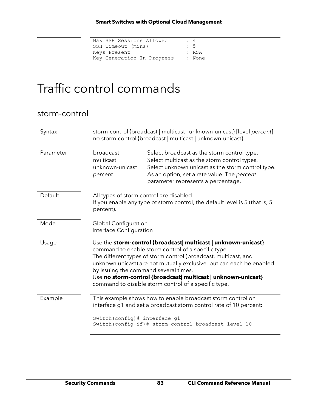| $\div$ 4  |
|-----------|
| $\cdot$ 5 |
| : RSA     |
| : None    |
|           |

## Traffic control commands

| storm-control |                                                                                                                                                                                                                                                                                                                                                                                                                                    |                                                                                                                                                                                                                                       |
|---------------|------------------------------------------------------------------------------------------------------------------------------------------------------------------------------------------------------------------------------------------------------------------------------------------------------------------------------------------------------------------------------------------------------------------------------------|---------------------------------------------------------------------------------------------------------------------------------------------------------------------------------------------------------------------------------------|
| Syntax        | storm-control {broadcast   multicast   unknown-unicast} [level percent]<br>no storm-control {broadcast   multicast   unknown-unicast}                                                                                                                                                                                                                                                                                              |                                                                                                                                                                                                                                       |
| Parameter     | broadcast<br>multicast<br>unknown-unicast<br>percent                                                                                                                                                                                                                                                                                                                                                                               | Select broadcast as the storm control type.<br>Select multicast as the storm control types.<br>Select unknown unicast as the storm control type.<br>As an option, set a rate value. The percent<br>parameter represents a percentage. |
| Default       | All types of storm control are disabled.<br>If you enable any type of storm control, the default level is 5 (that is, 5)<br>percent).                                                                                                                                                                                                                                                                                              |                                                                                                                                                                                                                                       |
| Mode          | <b>Global Configuration</b><br>Interface Configuration                                                                                                                                                                                                                                                                                                                                                                             |                                                                                                                                                                                                                                       |
| Usage         | Use the storm-control {broadcast  multicast   unknown-unicast}<br>command to enable storm control of a specific type.<br>The different types of storm control (broadcast, multicast, and<br>unknown unicast) are not mutually exclusive, but can each be enabled<br>by issuing the command several times.<br>Use no storm-control {broadcast  multicast   unknown-unicast}<br>command to disable storm control of a specific type. |                                                                                                                                                                                                                                       |
| Example       |                                                                                                                                                                                                                                                                                                                                                                                                                                    | This example shows how to enable broadcast storm control on<br>interface g1 and set a broadcast storm control rate of 10 percent:                                                                                                     |
|               | Switch (config) # interface g1                                                                                                                                                                                                                                                                                                                                                                                                     | Switch(config-if)# storm-control broadcast level 10                                                                                                                                                                                   |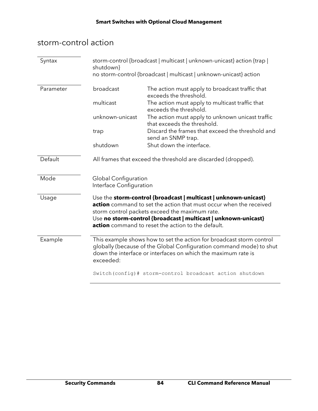### storm-control action

| Syntax    | storm-control {broadcast   multicast   unknown-unicast} action {trap  <br>shutdown}<br>no storm-control {broadcast   multicast   unknown-unicast} action                                                                  |                                                                                                                                                                                                                                                                                                                        |
|-----------|---------------------------------------------------------------------------------------------------------------------------------------------------------------------------------------------------------------------------|------------------------------------------------------------------------------------------------------------------------------------------------------------------------------------------------------------------------------------------------------------------------------------------------------------------------|
| Parameter | broadcast                                                                                                                                                                                                                 | The action must apply to broadcast traffic that<br>exceeds the threshold.                                                                                                                                                                                                                                              |
|           | multicast                                                                                                                                                                                                                 | The action must apply to multicast traffic that<br>exceeds the threshold.                                                                                                                                                                                                                                              |
|           | unknown-unicast                                                                                                                                                                                                           | The action must apply to unknown unicast traffic<br>that exceeds the threshold.                                                                                                                                                                                                                                        |
|           | trap                                                                                                                                                                                                                      | Discard the frames that exceed the threshold and<br>send an SNMP trap.                                                                                                                                                                                                                                                 |
|           | shutdown                                                                                                                                                                                                                  | Shut down the interface.                                                                                                                                                                                                                                                                                               |
| Default   | All frames that exceed the threshold are discarded (dropped).                                                                                                                                                             |                                                                                                                                                                                                                                                                                                                        |
| Mode      | Global Configuration<br>Interface Configuration                                                                                                                                                                           |                                                                                                                                                                                                                                                                                                                        |
| Usage     |                                                                                                                                                                                                                           | Use the storm-control {broadcast   multicast   unknown-unicast}<br><b>action</b> command to set the action that must occur when the received<br>storm control packets exceed the maximum rate.<br>Use no storm-control {broadcast   multicast   unknown-unicast}<br>action command to reset the action to the default. |
| Example   | This example shows how to set the action for broadcast storm control<br>globally (because of the Global Configuration command mode) to shut<br>down the interface or interfaces on which the maximum rate is<br>exceeded: |                                                                                                                                                                                                                                                                                                                        |
|           |                                                                                                                                                                                                                           | Switch (config) # storm-control broadcast action shutdown                                                                                                                                                                                                                                                              |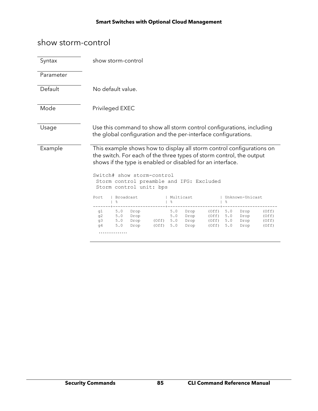### show storm-control

| Syntax    | show storm-control                                                                                                                                                                                                                                                                                               |
|-----------|------------------------------------------------------------------------------------------------------------------------------------------------------------------------------------------------------------------------------------------------------------------------------------------------------------------|
| Parameter |                                                                                                                                                                                                                                                                                                                  |
| Default   | No default value.                                                                                                                                                                                                                                                                                                |
| Mode      | Privileged EXEC                                                                                                                                                                                                                                                                                                  |
| Usage     | Use this command to show all storm control configurations, including<br>the global configuration and the per-interface configurations.                                                                                                                                                                           |
| Example   | This example shows how to display all storm control configurations on<br>the switch. For each of the three types of storm control, the output<br>shows if the type is enabled or disabled for an interface.<br>Switch# show storm-control<br>Storm control preamble and IFG: Excluded<br>Storm control unit: bps |
|           | Broadcast<br>Multicast<br>  Unknown-Unicast<br>Port<br>옹<br>ိင<br>응                                                                                                                                                                                                                                              |
|           | 5.0<br>5.0<br>q1<br>Drop<br>Drop<br>(Off)<br>5.0<br>Drop<br>(Off)<br>5.0<br>5.0<br>5.0<br>q2<br>Drop<br>Drop<br>(Off)<br>Drop<br>(Off)<br>5.0<br>$(Off)$ 5.0<br>q3<br>Drop<br>Drop<br>(Off)<br>5.0<br>Drop<br>(Off)<br>5.0<br>Drop<br>5.0<br>(Off)<br>Drop<br>(Off)<br>5.0<br>Drop<br>(Off)<br>q4<br>.           |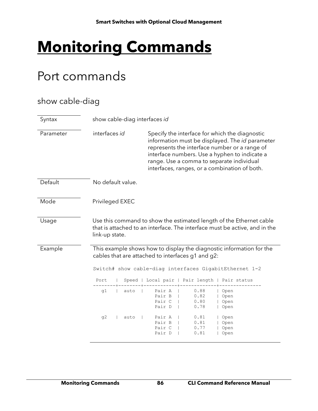# **Monitoring Commands**

## Port commands

### show cable-diag

| Syntax    | show cable-diag interfaces id |                                                                                                                                                                                                                                                                                                   |
|-----------|-------------------------------|---------------------------------------------------------------------------------------------------------------------------------------------------------------------------------------------------------------------------------------------------------------------------------------------------|
| Parameter | interfaces id                 | Specify the interface for which the diagnostic<br>information must be displayed. The id parameter<br>represents the interface number or a range of<br>interface numbers. Use a hyphen to indicate a<br>range. Use a comma to separate individual<br>interfaces, ranges, or a combination of both. |
| Default   | No default value.             |                                                                                                                                                                                                                                                                                                   |
| Mode      | Privileged EXEC               |                                                                                                                                                                                                                                                                                                   |
| Usage     | link-up state.                | Use this command to show the estimated length of the Ethernet cable<br>that is attached to an interface. The interface must be active, and in the                                                                                                                                                 |
| Example   | Port                          | This example shows how to display the diagnostic information for the<br>cables that are attached to interfaces g1 and g2:<br>Switch# show cable-diag interfaces GigabitEthernet 1-2<br>Speed   Local pair   Pair length<br>Pair status                                                            |
|           | q1<br>auto                    | 0.88<br>Pair A<br>Open<br>Pair B<br>0.82<br>Open<br>Pair C<br>0.80<br>Open<br>Pair D<br>0.78<br>Open                                                                                                                                                                                              |
|           | q2<br>auto                    | 0.81<br>Pair A<br>Open<br>Pair B<br>0.81<br>Open<br>Pair C<br>0.77<br>Open<br>Pair D<br>0.81<br>Open                                                                                                                                                                                              |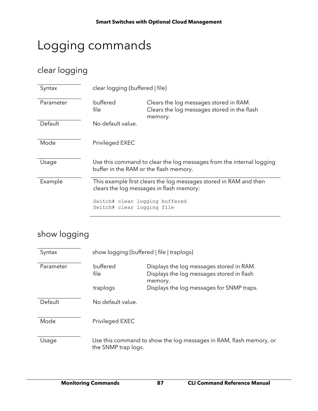## Logging commands

### clear logging

| Syntax    | clear logging {buffered   file}                              |                                                                                                               |
|-----------|--------------------------------------------------------------|---------------------------------------------------------------------------------------------------------------|
| Parameter | buffered<br>file                                             | Clears the log messages stored in RAM.<br>Clears the log messages stored in the flash<br>memory.              |
| Default   | No default value.                                            |                                                                                                               |
| Mode      | Privileged EXEC                                              |                                                                                                               |
| Usage     | buffer in the RAM or the flash memory.                       | Use this command to clear the log messages from the internal logging                                          |
| Example   |                                                              | This example first clears the log messages stored in RAM and then<br>clears the log messages in flash memory: |
|           | Switch# clear logging buffered<br>Switch# clear logging file |                                                                                                               |

### show logging

| Syntax    | show logging [buffered   file   traplogs]                                                 |                                                                                                  |
|-----------|-------------------------------------------------------------------------------------------|--------------------------------------------------------------------------------------------------|
| Parameter | buffered<br>file                                                                          | Displays the log messages stored in RAM.<br>Displays the log messages stored in flash<br>memory. |
|           | traplogs                                                                                  | Displays the log messages for SNMP traps.                                                        |
| Default   | No default value.                                                                         |                                                                                                  |
| Mode      | Privileged EXEC                                                                           |                                                                                                  |
| Usage     | Use this command to show the log messages in RAM, flash memory, or<br>the SNMP trap logs. |                                                                                                  |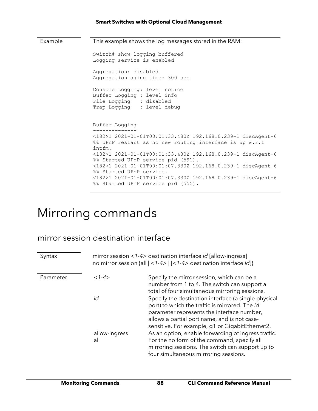| This example shows the log messages stored in the RAM:<br>Example |                                                                                                                                  |
|-------------------------------------------------------------------|----------------------------------------------------------------------------------------------------------------------------------|
|                                                                   | Switch# show logging buffered<br>Logging service is enabled                                                                      |
|                                                                   | Aggregation: disabled<br>Aggregation aging time: 300 sec                                                                         |
|                                                                   | Console Logging: level notice<br>Buffer Logging : level info<br>File Logging : disabled<br>Trap Logging : level debug            |
|                                                                   | Buffer Logging                                                                                                                   |
|                                                                   | <182>1 2021-01-01T00:01:33.480Z 192.168.0.239-1 discAgent-6<br>%% UPnP restart as no new routing interface is up w.r.t<br>intfm. |
|                                                                   | <182>1 2021-01-01T00:01:33.480Z 192.168.0.239-1 discAgent-6<br>%% Started UPnP service pid (591).                                |
|                                                                   | <182>1 2021-01-01T00:01:07.330Z 192.168.0.239-1 discAgent-6<br>%% Started UPnP service.                                          |
|                                                                   | <182>1 2021-01-01T00:01:07.330Z 192.168.0.239-1 discAgent-6<br>%% Started UPnP service pid (555).                                |

## Mirroring commands

### mirror session destination interface

| Syntax    |                      | mirror session <1-4> destination interface <i>id</i> [allow-ingress]<br>no mirror session {all   <1-4>   [<1-4> destination interface id]}                                                                                                              |
|-----------|----------------------|---------------------------------------------------------------------------------------------------------------------------------------------------------------------------------------------------------------------------------------------------------|
| Parameter | $<1-4>$              | Specify the mirror session, which can be a<br>number from 1 to 4. The switch can support a<br>total of four simultaneous mirroring sessions.                                                                                                            |
|           | id                   | Specify the destination interface (a single physical<br>port) to which the traffic is mirrored. The id<br>parameter represents the interface number,<br>allows a partial port name, and is not case-<br>sensitive. For example, g1 or GigabitEthernet2. |
|           | allow-ingress<br>all | As an option, enable forwarding of ingress traffic.<br>For the no form of the command, specify all<br>mirroring sessions. The switch can support up to<br>four simultaneous mirroring sessions.                                                         |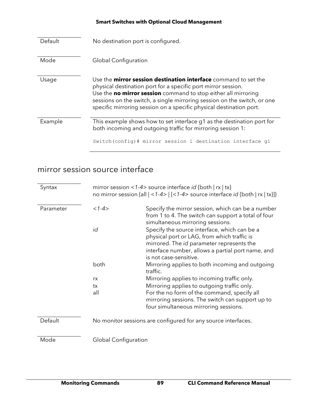| Default | No destination port is configured.                                                                                                                                                                                                                                                                                                                           |
|---------|--------------------------------------------------------------------------------------------------------------------------------------------------------------------------------------------------------------------------------------------------------------------------------------------------------------------------------------------------------------|
| Mode    | <b>Global Configuration</b>                                                                                                                                                                                                                                                                                                                                  |
| Usage   | Use the <b>mirror session destination interface</b> command to set the<br>physical destination port for a specific port mirror session.<br>Use the no mirror session command to stop either all mirroring<br>sessions on the switch, a single mirroring session on the switch, or one<br>specific mirroring session on a specific physical destination port. |
| Example | This example shows how to set interface q1 as the destination port for<br>both incoming and outgoing traffic for mirroring session 1:                                                                                                                                                                                                                        |
|         | Switch (config) # mirror session 1 destination interface q1                                                                                                                                                                                                                                                                                                  |

### mirror session source interface

| Syntax    |                                                               | mirror session <1-4> source interface $id$ {both   rx   tx}<br>no mirror session {all $ $ < 1-4> $ $ [< 1-4> source interface <i>id</i> {both $ x $ tx}]}                                                               |
|-----------|---------------------------------------------------------------|-------------------------------------------------------------------------------------------------------------------------------------------------------------------------------------------------------------------------|
| Parameter | $<1-4>$                                                       | Specify the mirror session, which can be a number<br>from 1 to 4. The switch can support a total of four<br>simultaneous mirroring sessions.                                                                            |
|           | id                                                            | Specify the source interface, which can be a<br>physical port or LAG, from which traffic is<br>mirrored. The id parameter represents the<br>interface number, allows a partial port name, and<br>is not case-sensitive. |
|           | both                                                          | Mirroring applies to both incoming and outgoing<br>traffic.                                                                                                                                                             |
|           | rx                                                            | Mirroring applies to incoming traffic only.                                                                                                                                                                             |
|           | tx                                                            | Mirroring applies to outgoing traffic only.                                                                                                                                                                             |
|           | all                                                           | For the no form of the command, specify all<br>mirroring sessions. The switch can support up to<br>four simultaneous mirroring sessions.                                                                                |
| Default   | No monitor sessions are configured for any source interfaces. |                                                                                                                                                                                                                         |
| Mode      | Global Configuration                                          |                                                                                                                                                                                                                         |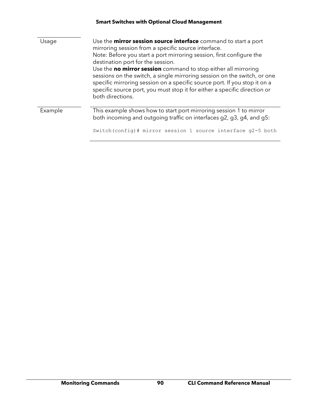|         | <b>Smart Switches with Optional Cloud Management</b>                                                                                                                                                                                                                                                                                                                                                                                                                                                                                                                   |
|---------|------------------------------------------------------------------------------------------------------------------------------------------------------------------------------------------------------------------------------------------------------------------------------------------------------------------------------------------------------------------------------------------------------------------------------------------------------------------------------------------------------------------------------------------------------------------------|
| Usage   | Use the <b>mirror session source interface</b> command to start a port<br>mirroring session from a specific source interface.<br>Note: Before you start a port mirroring session, first configure the<br>destination port for the session.<br>Use the no mirror session command to stop either all mirroring<br>sessions on the switch, a single mirroring session on the switch, or one<br>specific mirroring session on a specific source port. If you stop it on a<br>specific source port, you must stop it for either a specific direction or<br>both directions. |
| Example | This example shows how to start port mirroring session 1 to mirror<br>both incoming and outgoing traffic on interfaces g2, g3, g4, and g5:<br>Switch (config)# mirror session 1 source interface g2-5 both                                                                                                                                                                                                                                                                                                                                                             |
|         |                                                                                                                                                                                                                                                                                                                                                                                                                                                                                                                                                                        |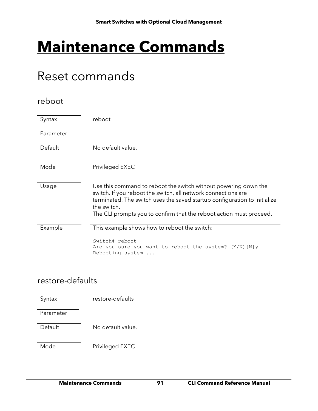# **Maintenance Commands**

## Reset commands

### reboot

| Syntax    | reboot                                                                                                                                                                                                                                                                                              |
|-----------|-----------------------------------------------------------------------------------------------------------------------------------------------------------------------------------------------------------------------------------------------------------------------------------------------------|
| Parameter |                                                                                                                                                                                                                                                                                                     |
| Default   | No default value.                                                                                                                                                                                                                                                                                   |
| Mode      | Privileged EXEC                                                                                                                                                                                                                                                                                     |
| Usage     | Use this command to reboot the switch without powering down the<br>switch. If you reboot the switch, all network connections are<br>terminated. The switch uses the saved startup configuration to initialize<br>the switch.<br>The CLI prompts you to confirm that the reboot action must proceed. |
| Example   | This example shows how to reboot the switch:                                                                                                                                                                                                                                                        |
|           | Switch# reboot<br>Are you sure you want to reboot the system? $(Y/N)$ [N] y<br>Rebooting system                                                                                                                                                                                                     |

### restore-defaults

| Syntax    | restore-defaults  |
|-----------|-------------------|
| Parameter |                   |
| Default   | No default value. |
| Mode      | Privileged EXEC   |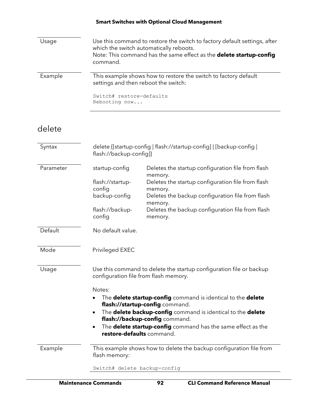| Usage   | Use this command to restore the switch to factory default settings, after<br>which the switch automatically reboots.<br>Note: This command has the same effect as the delete startup-config<br>command. |
|---------|---------------------------------------------------------------------------------------------------------------------------------------------------------------------------------------------------------|
| Example | This example shows how to restore the switch to factory default<br>settings and then reboot the switch:<br>Switch# restore-defaults                                                                     |
|         | Rebooting now                                                                                                                                                                                           |

### delete

| Syntax                                                                                         | delete {[startup-config   flash://startup-config]   [backup-config  <br>flash://backup-config]}              |                                                                                                  |
|------------------------------------------------------------------------------------------------|--------------------------------------------------------------------------------------------------------------|--------------------------------------------------------------------------------------------------|
| Parameter                                                                                      | startup-config                                                                                               | Deletes the startup configuration file from flash<br>memory.                                     |
|                                                                                                | flash://startup-                                                                                             | Deletes the startup configuration file from flash                                                |
|                                                                                                | config<br>backup-config                                                                                      | memory.<br>Deletes the backup configuration file from flash<br>memory.                           |
|                                                                                                | flash://backup-<br>config                                                                                    | Deletes the backup configuration file from flash<br>memory.                                      |
| Default                                                                                        | No default value.                                                                                            |                                                                                                  |
| Mode                                                                                           | Privileged EXEC                                                                                              |                                                                                                  |
| Usage                                                                                          | Use this command to delete the startup configuration file or backup<br>configuration file from flash memory. |                                                                                                  |
|                                                                                                | Notes:                                                                                                       |                                                                                                  |
|                                                                                                | The <b>delete startup-config</b> command is identical to the <b>delete</b>                                   |                                                                                                  |
| flash://startup-config command.<br>The delete backup-config command is identical to the delete |                                                                                                              |                                                                                                  |
|                                                                                                | flash://backup-config command.                                                                               |                                                                                                  |
|                                                                                                | $\bullet$                                                                                                    | The <b>delete startup-config</b> command has the same effect as the<br>restore-defaults command. |
| Example                                                                                        | flash memory:                                                                                                | This example shows how to delete the backup configuration file from                              |
|                                                                                                | Switch# delete backup-config                                                                                 |                                                                                                  |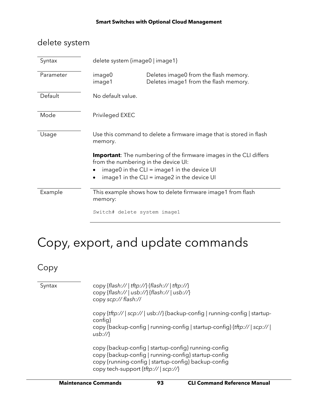### delete system

| Syntax    | delete system {image0   image1}                                                                                    |                                                                                |
|-----------|--------------------------------------------------------------------------------------------------------------------|--------------------------------------------------------------------------------|
| Parameter | image0<br>image1                                                                                                   | Deletes image0 from the flash memory.<br>Deletes image1 from the flash memory. |
| Default   | No default value.                                                                                                  |                                                                                |
| Mode      | Privileged EXEC                                                                                                    |                                                                                |
| Usage     | Use this command to delete a firmware image that is stored in flash<br>memory.                                     |                                                                                |
|           | <b>Important</b> : The numbering of the firmware images in the CLI differs<br>from the numbering in the device UI: |                                                                                |
|           | image0 in the $CLI = image1$ in the device UI<br>image1 in the $CLI = image2$ in the device UI                     |                                                                                |
| Example   | This example shows how to delete firmware image1 from flash<br>memory:                                             |                                                                                |
|           | Switch# delete system image1                                                                                       |                                                                                |

# Copy, export, and update commands

Copy

| Syntax | copy {flash://   tftp://} {flash://   tftp://}<br>copy {flash://   usb://} {flash://   usb://}<br>copy scp:// flash://                                                                                        |
|--------|---------------------------------------------------------------------------------------------------------------------------------------------------------------------------------------------------------------|
|        | copy {tftp://   scp://   usb://} {backup-config   running-config   startup-<br>config}<br>copy {backup-config   running-config   startup-config} {tftp://   scp://  <br>usb://                                |
|        | copy {backup-config   startup-config} running-config<br>copy {backup-config   running-config} startup-config<br>copy {running-config   startup-config} backup-config<br>copy tech-support $\{tftp:// scp:// $ |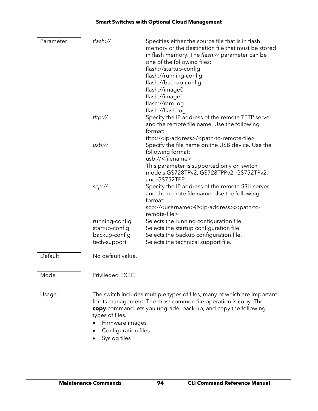| Parameter | flash://                                                                  | Specifies either the source file that is in flash<br>memory or the destination file that must be stored<br>in flash memory. The flash:// parameter can be<br>one of the following files:<br>flash://startup-config<br>flash://running-config<br>flash://backup-config<br>flash://image0<br>flash://image1<br>flash://ram.log<br>flash://flash.log |
|-----------|---------------------------------------------------------------------------|---------------------------------------------------------------------------------------------------------------------------------------------------------------------------------------------------------------------------------------------------------------------------------------------------------------------------------------------------|
|           | tftp://                                                                   | Specify the IP address of the remote TFTP server<br>and the remote file name. Use the following<br>format:<br>tftp:// <ip-address>/<path-to-remote-file></path-to-remote-file></ip-address>                                                                                                                                                       |
|           | usb://                                                                    | Specify the file name on the USB device. Use the<br>following format:<br>usb:// <filename><br/>This parameter is supported only on switch<br/>models GS728TPv2, GS728TPPv2, GS752TPv2,<br/>and GS752TPP.</filename>                                                                                                                               |
|           | scp://                                                                    | Specify the IP address of the remote SSH server<br>and the remote file name. Use the following<br>format:<br>scp:// <username>@<ip-address>:<path-to-<br>remote-file&gt;</path-to-<br></ip-address></username>                                                                                                                                    |
|           | running-config<br>startup-config<br>backup-config<br>tech-support         | Selects the running configuration file.<br>Selects the startup configuration file.<br>Selects the backup configuration file.<br>Selects the technical support file.                                                                                                                                                                               |
| Default   | No default value.                                                         |                                                                                                                                                                                                                                                                                                                                                   |
| Mode      | Privileged EXEC                                                           |                                                                                                                                                                                                                                                                                                                                                   |
| Usage     | types of files.<br>Firmware images<br>Configuration files<br>Syslog files | The switch includes multiple types of files, many of which are important<br>for its management. The most common file operation is copy. The<br>copy command lets you upgrade, back up, and copy the following                                                                                                                                     |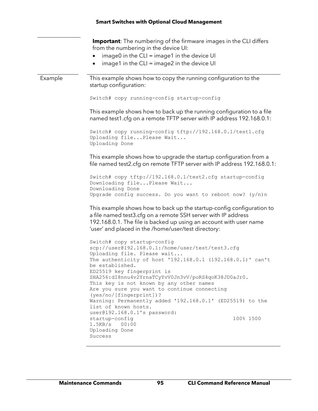**Important**: The numbering of the firmware images in the CLI differs from the numbering in the device UI:

- $image0$  in the CLI = image1 in the device UI
- image1 in the CLI = image2 in the device UI

Example This example shows how to copy the running configuration to the startup configuration:

```
Switch# copy running-config startup-config
```
This example shows how to back up the running configuration to a file named test1.cfg on a remote TFTP server with IP address 192.168.0.1:

```
Switch# copy running-config tftp://192.168.0.1/test1.cfg
Uploading file...Please Wait...
Uploading Done
```
This example shows how to upgrade the startup configuration from a file named test2.cfg on remote TFTP server with IP address 192.168.0.1:

Switch# copy tftp://192.168.0.1/test2.cfg startup-config Downloading file...Please Wait... Downloading Done Upgrade config success. Do you want to reboot now? (y/n)n

This example shows how to back up the startup-config configuration to a file named test3.cfg on a remote SSH server with IP address 192.168.0.1. The file is backed up using an account with user name 'user' and placed in the /home/user/test directory:

Switch# copy startup-config scp://user@192.168.0.1:/home/user/test/test3.cfg Uploading file. Please wait... The authenticity of host '192.168.0.1 (192.168.0.1)' can't be established. ED25519 key fingerprint is SHA256:dI8nnu4v2YrnaTCyYvV0Jn3vV/poRS4qoK38JD0aJr0. This key is not known by any other names Are you sure you want to continue connecting (yes/no/[fingerprint])? Warning: Permanently added '192.168.0.1' (ED25519) to the list of known hosts. user@192.168.0.1's password: startup-config 100% 1500 1.5KB/s 00:00 Uploading Done Success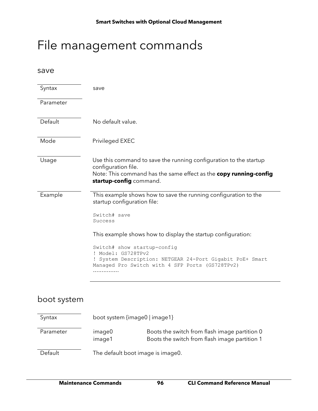## File management commands

save

| Syntax    | save                                                                                                                                                                                                                                                                                                                                                               |
|-----------|--------------------------------------------------------------------------------------------------------------------------------------------------------------------------------------------------------------------------------------------------------------------------------------------------------------------------------------------------------------------|
| Parameter |                                                                                                                                                                                                                                                                                                                                                                    |
| Default   | No default value.                                                                                                                                                                                                                                                                                                                                                  |
| Mode      | Privileged EXEC                                                                                                                                                                                                                                                                                                                                                    |
| Usage     | Use this command to save the running configuration to the startup<br>configuration file.<br>Note: This command has the same effect as the copy running-config<br>startup-config command.                                                                                                                                                                           |
| Example   | This example shows how to save the running configuration to the<br>startup configuration file:<br>Switch# save<br>Success<br>This example shows how to display the startup configuration:<br>Switch# show startup-config<br>! Model: GS728TPv2<br>! System Description: NETGEAR 24-Port Gigabit PoE+ Smart<br>Managed Pro Switch with 4 SFP Ports (GS728TPv2)<br>. |

### boot system

| Syntax    | boot system {image0   image1}     |                                                                                                |
|-----------|-----------------------------------|------------------------------------------------------------------------------------------------|
| Parameter | image0<br>image1                  | Boots the switch from flash image partition 0<br>Boots the switch from flash image partition 1 |
| Default   | The default boot image is image0. |                                                                                                |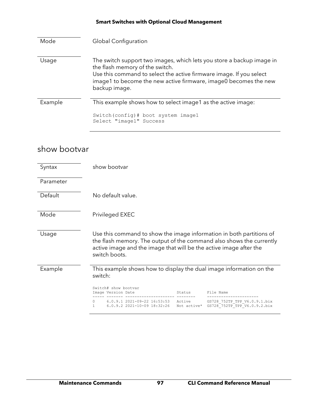| Mode    | <b>Global Configuration</b>                                                                                                                                                                                                                                          |  |
|---------|----------------------------------------------------------------------------------------------------------------------------------------------------------------------------------------------------------------------------------------------------------------------|--|
| Usage   | The switch support two images, which lets you store a backup image in<br>the flash memory of the switch.<br>Use this command to select the active firmware image. If you select<br>image1 to become the new active firmware, image0 becomes the new<br>backup image. |  |
| Example | This example shows how to select image1 as the active image:                                                                                                                                                                                                         |  |
|         | Switch (config) # boot system image1<br>Select "image1" Success                                                                                                                                                                                                      |  |

### show bootvar

| Syntax    | show bootvar                                                                                                                                                                                                                        |                       |                                                              |
|-----------|-------------------------------------------------------------------------------------------------------------------------------------------------------------------------------------------------------------------------------------|-----------------------|--------------------------------------------------------------|
| Parameter |                                                                                                                                                                                                                                     |                       |                                                              |
| Default   | No default value.                                                                                                                                                                                                                   |                       |                                                              |
| Mode      | Privileged EXEC                                                                                                                                                                                                                     |                       |                                                              |
| Usage     | Use this command to show the image information in both partitions of<br>the flash memory. The output of the command also shows the currently<br>active image and the image that will be the active image after the<br>switch boots. |                       |                                                              |
| Example   | This example shows how to display the dual image information on the<br>switch:                                                                                                                                                      |                       |                                                              |
|           | Switch# show bootvar<br>Image Version Date                                                                                                                                                                                          | Status                | File Name                                                    |
|           | 6.0.9.1 2021-09-22 16:53:53<br>$\begin{array}{c} \n\end{array}$<br>$6.0.9.2$ 2021-10-09 18:32:26<br>1                                                                                                                               | Active<br>Not active* | GS728 752TP TPP V6.0.9.1.bix<br>GS728 752TP TPP V6.0.9.2.bix |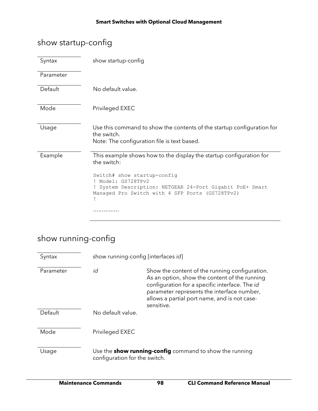### show startup-config

| Syntax    | show startup-config                                                                                                                                                                                                                                |
|-----------|----------------------------------------------------------------------------------------------------------------------------------------------------------------------------------------------------------------------------------------------------|
| Parameter |                                                                                                                                                                                                                                                    |
| Default   | No default value.                                                                                                                                                                                                                                  |
| Mode      | Privileged EXEC                                                                                                                                                                                                                                    |
| Usage     | Use this command to show the contents of the startup configuration for<br>the switch.<br>Note: The configuration file is text based.                                                                                                               |
| Example   | This example shows how to the display the startup configuration for<br>the switch:<br>Switch# show startup-config<br>Model: GS728TPv2<br>System Description: NETGEAR 24-Port Gigabit PoE+ Smart<br>Managed Pro Switch with 4 SFP Ports (GS728TPv2) |
|           |                                                                                                                                                                                                                                                    |

### show running-config

| Syntax    | show running-config [interfaces id]                                                             |                                                                                                                                                                                                                                                               |
|-----------|-------------------------------------------------------------------------------------------------|---------------------------------------------------------------------------------------------------------------------------------------------------------------------------------------------------------------------------------------------------------------|
| Parameter | id                                                                                              | Show the content of the running configuration.<br>As an option, show the content of the running<br>configuration for a specific interface. The id<br>parameter represents the interface number,<br>allows a partial port name, and is not case-<br>sensitive. |
| Default   | No default value.                                                                               |                                                                                                                                                                                                                                                               |
| Mode      | Privileged EXEC                                                                                 |                                                                                                                                                                                                                                                               |
| Usage     | Use the <b>show running-config</b> command to show the running<br>configuration for the switch. |                                                                                                                                                                                                                                                               |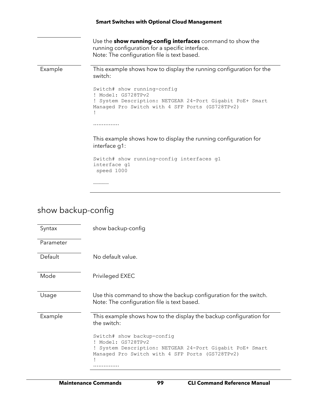|         | <b>Smart Switches with Optional Cloud Management</b>                                                                                                                |  |  |
|---------|---------------------------------------------------------------------------------------------------------------------------------------------------------------------|--|--|
|         | Use the <b>show running-config interfaces</b> command to show the<br>running configuration for a specific interface.<br>Note: The configuration file is text based. |  |  |
| Example | This example shows how to display the running configuration for the<br>switch:                                                                                      |  |  |
|         | Switch# show running-config<br>! Model: GS728TPv2<br>! System Description: NETGEAR 24-Port Gigabit PoE+ Smart<br>Managed Pro Switch with 4 SFP Ports (GS728TPv2)    |  |  |
|         | .                                                                                                                                                                   |  |  |
|         | This example shows how to display the running configuration for<br>interface g1:                                                                                    |  |  |
|         | Switch# show running-config interfaces g1<br>interface q1<br>speed 1000                                                                                             |  |  |
|         |                                                                                                                                                                     |  |  |

### show backup-config

| Syntax    | show backup-config                                                                                                                                          |
|-----------|-------------------------------------------------------------------------------------------------------------------------------------------------------------|
| Parameter |                                                                                                                                                             |
| Default   | No default value.                                                                                                                                           |
| Mode      | Privileged EXEC                                                                                                                                             |
| Usage     | Use this command to show the backup configuration for the switch.<br>Note: The configuration file is text based.                                            |
| Example   | This example shows how to the display the backup configuration for<br>the switch:                                                                           |
|           | Switch# show backup-config<br>Model: GS728TPv2<br>System Description: NETGEAR 24-Port Gigabit PoE+ Smart<br>Managed Pro Switch with 4 SFP Ports (GS728TPv2) |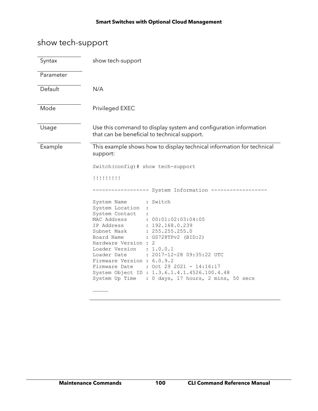### show tech-support

| Syntax    | show tech-support                                                                                                                                                                                                                                                                                                                                                                                                                                                                                                                                                                                                                  |  |
|-----------|------------------------------------------------------------------------------------------------------------------------------------------------------------------------------------------------------------------------------------------------------------------------------------------------------------------------------------------------------------------------------------------------------------------------------------------------------------------------------------------------------------------------------------------------------------------------------------------------------------------------------------|--|
| Parameter |                                                                                                                                                                                                                                                                                                                                                                                                                                                                                                                                                                                                                                    |  |
| Default   | N/A                                                                                                                                                                                                                                                                                                                                                                                                                                                                                                                                                                                                                                |  |
| Mode      | Privileged EXEC                                                                                                                                                                                                                                                                                                                                                                                                                                                                                                                                                                                                                    |  |
| Usage     | Use this command to display system and configuration information<br>that can be beneficial to technical support.                                                                                                                                                                                                                                                                                                                                                                                                                                                                                                                   |  |
| Example   | This example shows how to display technical information for technical<br>support:<br>Switch (config) # show tech-support<br>!!!!!!!!!!<br>: Switch<br>System Name<br>System Location<br>System Contact<br>MAC Address<br>: 00:01:02:03:04:05<br>: 192.168.0.239<br>IP Address<br>: 255.255.255.0<br>Subnet Mask<br>: GS728TPv2 (BID:2)<br>Board Name<br>Hardware Version : 2<br>Loader Version : 1.0.0.1<br>: 2017-12-28 09:35:22 UTC<br>Loader Date<br>Firmware Version : 6.0.9.2<br>Firmware Date : Oct 29 2021 - 14:16:17<br>System Object ID : 1.3.6.1.4.1.4526.100.4.48<br>System Up Time : 0 days, 17 hours, 2 mins, 50 secs |  |